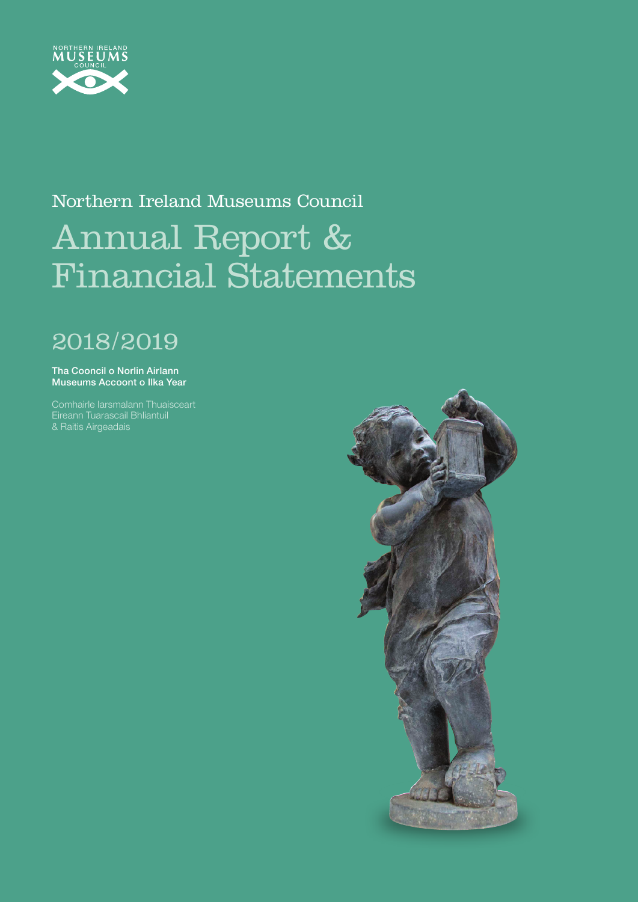

# Northern Ireland Museums Council Annual Report & Financial Statements

# 2018/2019

Tha Cooncil o Norlin Airlann Museums Accoont o Ilka Year

Comhairle Iarsmalann Thuaisceart Eireann Tuarascail Bhliantuil & Raitis Airgeadais

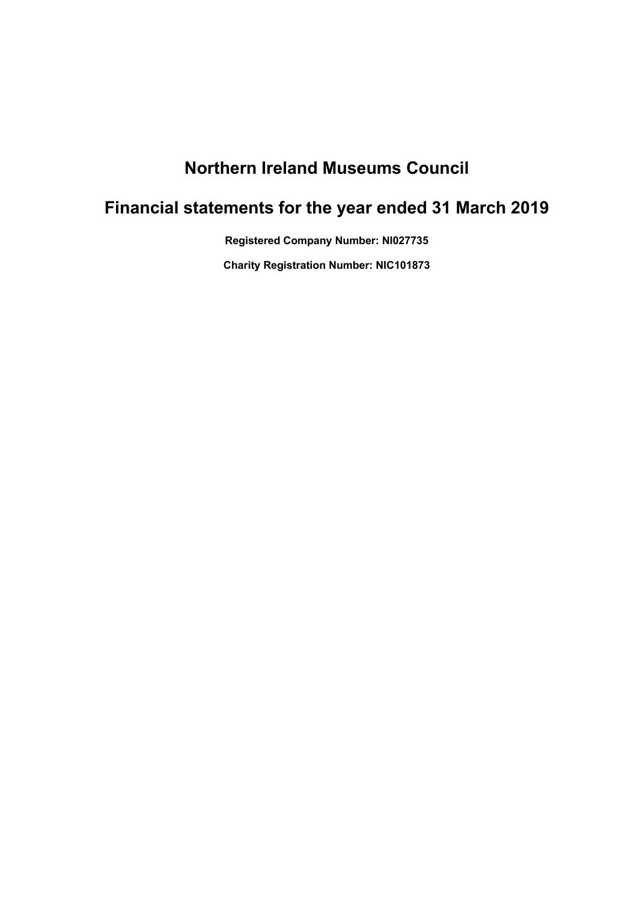## **Northern Ireland Museums Council**

## **Financial statements for the year ended 31 March 2019**

**Registered Company Number: NI027735**

**Charity Registration Number: NIC101873**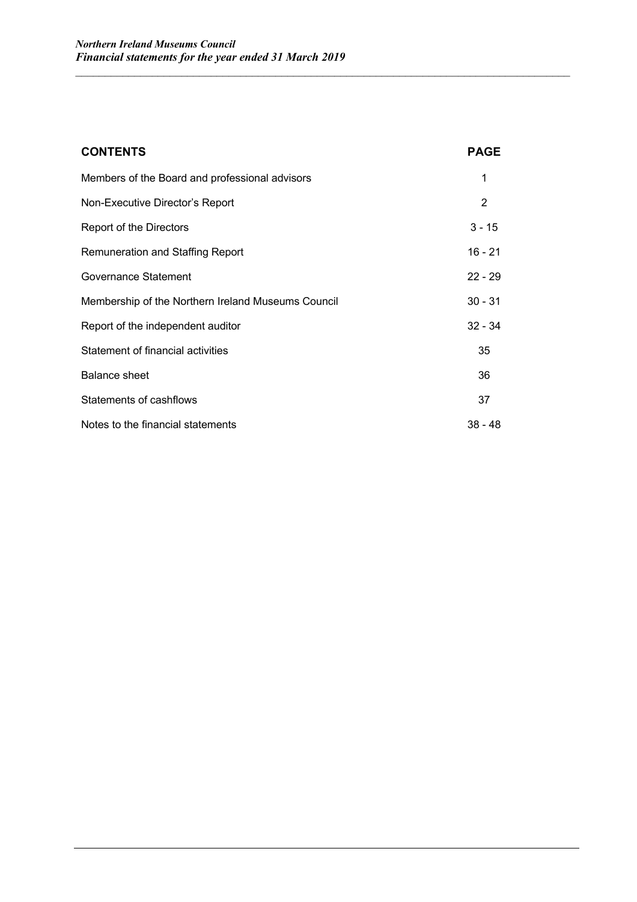| <b>CONTENTS</b>                                    | <b>PAGE</b> |
|----------------------------------------------------|-------------|
| Members of the Board and professional advisors     | 1           |
| Non-Executive Director's Report                    | 2           |
| Report of the Directors                            | $3 - 15$    |
| <b>Remuneration and Staffing Report</b>            | 16 - 21     |
| Governance Statement                               | $22 - 29$   |
| Membership of the Northern Ireland Museums Council | $30 - 31$   |
| Report of the independent auditor                  | $32 - 34$   |
| Statement of financial activities                  | 35          |
| <b>Balance sheet</b>                               | 36          |
| Statements of cashflows                            | 37          |
| Notes to the financial statements                  | $38 - 48$   |

 $\mathcal{L}_\mathcal{L} = \{ \mathcal{L}_\mathcal{L} = \{ \mathcal{L}_\mathcal{L} = \{ \mathcal{L}_\mathcal{L} = \{ \mathcal{L}_\mathcal{L} = \{ \mathcal{L}_\mathcal{L} = \{ \mathcal{L}_\mathcal{L} = \{ \mathcal{L}_\mathcal{L} = \{ \mathcal{L}_\mathcal{L} = \{ \mathcal{L}_\mathcal{L} = \{ \mathcal{L}_\mathcal{L} = \{ \mathcal{L}_\mathcal{L} = \{ \mathcal{L}_\mathcal{L} = \{ \mathcal{L}_\mathcal{L} = \{ \mathcal{L}_\mathcal{$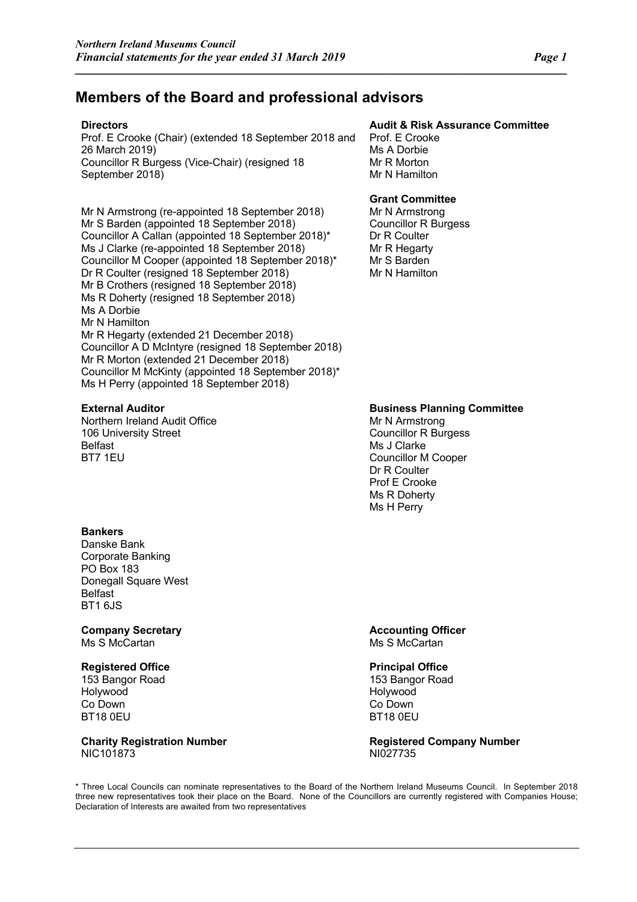### **Members of the Board and professional advisors**

*\_\_\_\_\_\_\_\_\_\_\_\_\_\_\_\_\_\_\_\_\_\_\_\_\_\_\_\_\_\_\_\_\_\_\_\_\_\_\_\_\_\_\_\_\_\_\_\_\_\_\_\_\_\_\_\_\_\_\_\_\_\_\_\_\_\_\_\_\_\_\_\_\_\_\_\_\_\_\_\_\_\_\_\_\_\_\_\_\_\_\_\_\_\_\_\_\_\_\_\_\_\_*

Prof. E Crooke (Chair) (extended 18 September 2018 and 26 March 2019) Councillor R Burgess (Vice-Chair) (resigned 18 September 2018)

Mr N Armstrong (re-appointed 18 September 2018) Mr S Barden (appointed 18 September 2018) Councillor A Callan (appointed 18 September 2018)\* Ms J Clarke (re-appointed 18 September 2018) Councillor M Cooper (appointed 18 September 2018)\* Dr R Coulter (resigned 18 September 2018) Mr B Crothers (resigned 18 September 2018) Ms R Doherty (resigned 18 September 2018) Ms A Dorbie Mr N Hamilton Mr R Hegarty (extended 21 December 2018) Councillor A D McIntyre (resigned 18 September 2018) Mr R Morton (extended 21 December 2018) Councillor M McKinty (appointed 18 September 2018)\* Ms H Perry (appointed 18 September 2018)

Northern Ireland Audit Office 106 University Street Belfast BT7 1EU

#### **Bankers**

Danske Bank Corporate Banking PO Box 183 Donegall Square West Belfast BT1 6JS

**Company Secretary Accounting Officer Accounting Officer** Ms S McCartan Ms S McCartan Ms S McCartan Ms S McCartan Ms S McCartan Ms S McCartan Ms S McCartan Ms S McCartan Ms S McCartan Ms S McCartan Ms S McCartan Ms S McCartan Ms S McCartan Ms S McCartan Ms S McCartan Ms S Ms S Ms

#### **Registered Office**

153 Bangor Road Holywood Co Down BT18 0EU

## NIC101873 NIC101873

#### **Directors Audit & Risk Assurance Committee**

Prof. E Crooke Ms A Dorbie Mr R Morton Mr N Hamilton

#### **Grant Committee**

Mr N Armstrong Councillor R Burgess Dr R Coulter Mr R Hegarty Mr S Barden Mr N Hamilton

#### **External Auditor Business Planning Committee**

Mr N Armstrong Councillor R Burgess Ms J Clarke Councillor M Cooper Dr R Coulter Prof E Crooke Ms R Doherty Ms H Perry

#### **Principal Office**

153 Bangor Road Holywood Co Down BT18 0EU

**Charity Registration Number Registered Company Number** 

\* Three Local Councils can nominate representatives to the Board of the Northern Ireland Museums Council. In September 2018 three new representatives took their place on the Board. None of the Councillors are currently registered with Companies House; Declaration of Interests are awaited from two representatives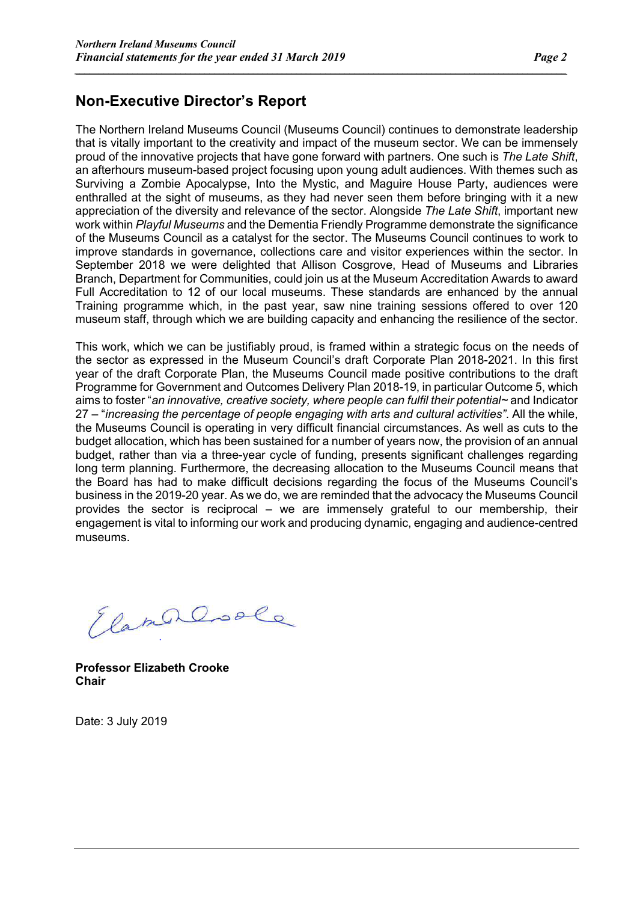### **Non-Executive Director's Report**

The Northern Ireland Museums Council (Museums Council) continues to demonstrate leadership that is vitally important to the creativity and impact of the museum sector. We can be immensely proud of the innovative projects that have gone forward with partners. One such is *The Late Shift*, an afterhours museum-based project focusing upon young adult audiences. With themes such as Surviving a Zombie Apocalypse, Into the Mystic, and Maguire House Party, audiences were enthralled at the sight of museums, as they had never seen them before bringing with it a new appreciation of the diversity and relevance of the sector. Alongside *The Late Shift*, important new work within *Playful Museums* and the Dementia Friendly Programme demonstrate the significance of the Museums Council as a catalyst for the sector. The Museums Council continues to work to improve standards in governance, collections care and visitor experiences within the sector. In September 2018 we were delighted that Allison Cosgrove, Head of Museums and Libraries Branch, Department for Communities, could join us at the Museum Accreditation Awards to award Full Accreditation to 12 of our local museums. These standards are enhanced by the annual Training programme which, in the past year, saw nine training sessions offered to over 120 museum staff, through which we are building capacity and enhancing the resilience of the sector.

*\_\_\_\_\_\_\_\_\_\_\_\_\_\_\_\_\_\_\_\_\_\_\_\_\_\_\_\_\_\_\_\_\_\_\_\_\_\_\_\_\_\_\_\_\_\_\_\_\_\_\_\_\_\_\_\_\_\_\_\_\_\_\_\_\_\_\_\_\_\_\_\_\_\_\_\_\_\_\_\_\_\_\_\_\_\_\_\_\_\_\_\_\_\_\_\_\_\_\_\_\_\_*

This work, which we can be justifiably proud, is framed within a strategic focus on the needs of the sector as expressed in the Museum Council's draft Corporate Plan 2018-2021. In this first year of the draft Corporate Plan, the Museums Council made positive contributions to the draft Programme for Government and Outcomes Delivery Plan 2018-19, in particular Outcome 5, which aims to foster "*an innovative, creative society, where people can fulfil their potential~* and Indicator 27 – "*increasing the percentage of people engaging with arts and cultural activities"*. All the while, the Museums Council is operating in very difficult financial circumstances. As well as cuts to the budget allocation, which has been sustained for a number of years now, the provision of an annual budget, rather than via a three-year cycle of funding, presents significant challenges regarding long term planning. Furthermore, the decreasing allocation to the Museums Council means that the Board has had to make difficult decisions regarding the focus of the Museums Council's business in the 2019-20 year. As we do, we are reminded that the advocacy the Museums Council provides the sector is reciprocal – we are immensely grateful to our membership, their engagement is vital to informing our work and producing dynamic, engaging and audience-centred museums.

ElamerCoole

**Professor Elizabeth Crooke Chair**

Date: 3 July 2019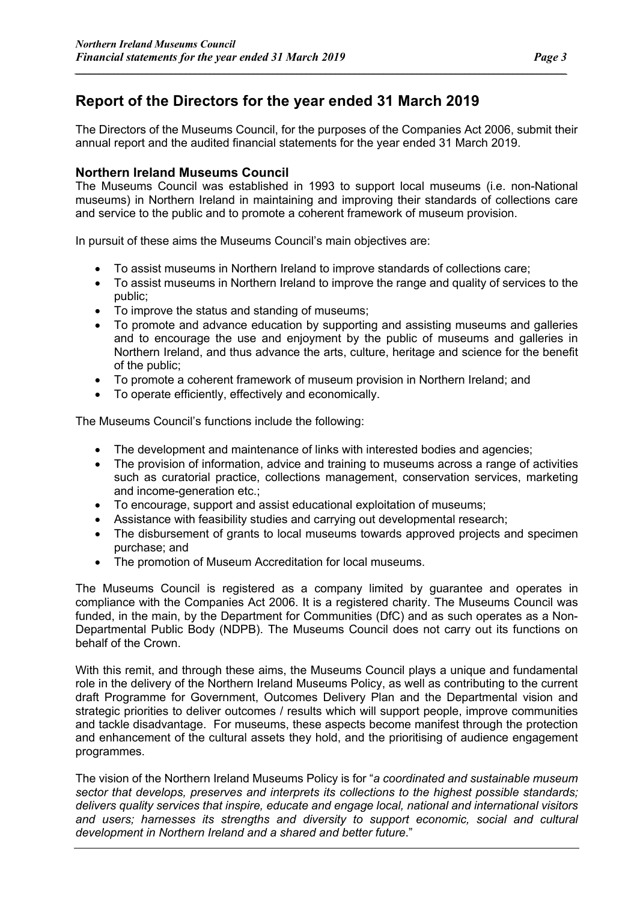### **Report of the Directors for the year ended 31 March 2019**

The Directors of the Museums Council, for the purposes of the Companies Act 2006, submit their annual report and the audited financial statements for the year ended 31 March 2019.

*\_\_\_\_\_\_\_\_\_\_\_\_\_\_\_\_\_\_\_\_\_\_\_\_\_\_\_\_\_\_\_\_\_\_\_\_\_\_\_\_\_\_\_\_\_\_\_\_\_\_\_\_\_\_\_\_\_\_\_\_\_\_\_\_\_\_\_\_\_\_\_\_\_\_\_\_\_\_\_\_\_\_\_\_\_\_\_\_\_\_\_\_\_\_\_\_\_\_\_\_\_\_*

#### **Northern Ireland Museums Council**

The Museums Council was established in 1993 to support local museums (i.e. non-National museums) in Northern Ireland in maintaining and improving their standards of collections care and service to the public and to promote a coherent framework of museum provision.

In pursuit of these aims the Museums Council's main objectives are:

- To assist museums in Northern Ireland to improve standards of collections care;
- To assist museums in Northern Ireland to improve the range and quality of services to the public;
- To improve the status and standing of museums;
- To promote and advance education by supporting and assisting museums and galleries and to encourage the use and enjoyment by the public of museums and galleries in Northern Ireland, and thus advance the arts, culture, heritage and science for the benefit of the public;
- To promote a coherent framework of museum provision in Northern Ireland; and
- To operate efficiently, effectively and economically.

The Museums Council's functions include the following:

- The development and maintenance of links with interested bodies and agencies;
- The provision of information, advice and training to museums across a range of activities such as curatorial practice, collections management, conservation services, marketing and income-generation etc.;
- To encourage, support and assist educational exploitation of museums;
- Assistance with feasibility studies and carrying out developmental research;
- The disbursement of grants to local museums towards approved projects and specimen purchase; and
- The promotion of Museum Accreditation for local museums.

The Museums Council is registered as a company limited by guarantee and operates in compliance with the Companies Act 2006. It is a registered charity. The Museums Council was funded, in the main, by the Department for Communities (DfC) and as such operates as a Non-Departmental Public Body (NDPB). The Museums Council does not carry out its functions on behalf of the Crown.

With this remit, and through these aims, the Museums Council plays a unique and fundamental role in the delivery of the Northern Ireland Museums Policy, as well as contributing to the current draft Programme for Government, Outcomes Delivery Plan and the Departmental vision and strategic priorities to deliver outcomes / results which will support people, improve communities and tackle disadvantage. For museums, these aspects become manifest through the protection and enhancement of the cultural assets they hold, and the prioritising of audience engagement programmes.

The vision of the Northern Ireland Museums Policy is for "*a coordinated and sustainable museum sector that develops, preserves and interprets its collections to the highest possible standards; delivers quality services that inspire, educate and engage local, national and international visitors and users; harnesses its strengths and diversity to support economic, social and cultural development in Northern Ireland and a shared and better future*."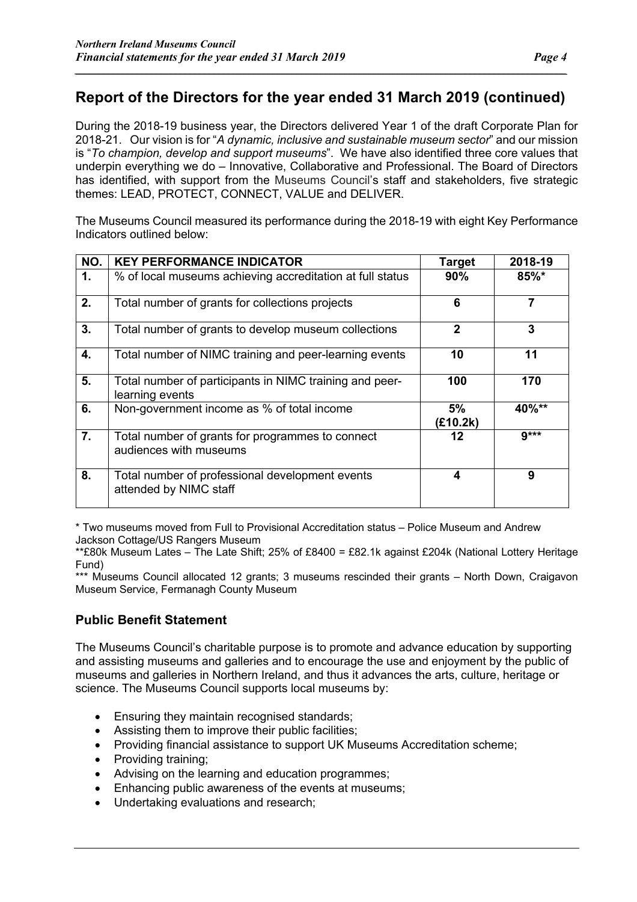*\_\_\_\_\_\_\_\_\_\_\_\_\_\_\_\_\_\_\_\_\_\_\_\_\_\_\_\_\_\_\_\_\_\_\_\_\_\_\_\_\_\_\_\_\_\_\_\_\_\_\_\_\_\_\_\_\_\_\_\_\_\_\_\_\_\_\_\_\_\_\_\_\_\_\_\_\_\_\_\_\_\_\_\_\_\_\_\_\_\_\_\_\_\_\_\_\_\_\_\_\_\_*

During the 2018-19 business year, the Directors delivered Year 1 of the draft Corporate Plan for 2018-21. Our vision is for "*A dynamic, inclusive and sustainable museum sector*" and our mission is "*To champion, develop and support museums*". We have also identified three core values that underpin everything we do – Innovative, Collaborative and Professional. The Board of Directors has identified, with support from the Museums Council's staff and stakeholders, five strategic themes: LEAD, PROTECT, CONNECT, VALUE and DELIVER.

The Museums Council measured its performance during the 2018-19 with eight Key Performance Indicators outlined below:

| NO. | <b>KEY PERFORMANCE INDICATOR</b>                                           | <b>Target</b>  | 2018-19  |
|-----|----------------------------------------------------------------------------|----------------|----------|
| 1.  | % of local museums achieving accreditation at full status                  | 90%            | 85%*     |
| 2.  | Total number of grants for collections projects                            | 6              | 7        |
| 3.  | Total number of grants to develop museum collections                       | $\mathbf{2}$   | 3        |
| 4.  | Total number of NIMC training and peer-learning events                     | 10             | 11       |
| 5.  | Total number of participants in NIMC training and peer-<br>learning events | 100            | 170      |
| 6.  | Non-government income as % of total income                                 | 5%<br>(£10.2k) | $40\%**$ |
| 7.  | Total number of grants for programmes to connect<br>audiences with museums | 12             | $9***$   |
| 8.  | Total number of professional development events<br>attended by NIMC staff  | 4              | 9        |

\* Two museums moved from Full to Provisional Accreditation status – Police Museum and Andrew Jackson Cottage/US Rangers Museum

\*\*£80k Museum Lates – The Late Shift; 25% of £8400 = £82.1k against £204k (National Lottery Heritage Fund)

\*\*\* Museums Council allocated 12 grants; 3 museums rescinded their grants – North Down, Craigavon Museum Service, Fermanagh County Museum

#### **Public Benefit Statement**

The Museums Council's charitable purpose is to promote and advance education by supporting and assisting museums and galleries and to encourage the use and enjoyment by the public of museums and galleries in Northern Ireland, and thus it advances the arts, culture, heritage or science. The Museums Council supports local museums by:

- Ensuring they maintain recognised standards;
- Assisting them to improve their public facilities;
- Providing financial assistance to support UK Museums Accreditation scheme;
- Providing training;
- Advising on the learning and education programmes;
- Enhancing public awareness of the events at museums;
- Undertaking evaluations and research;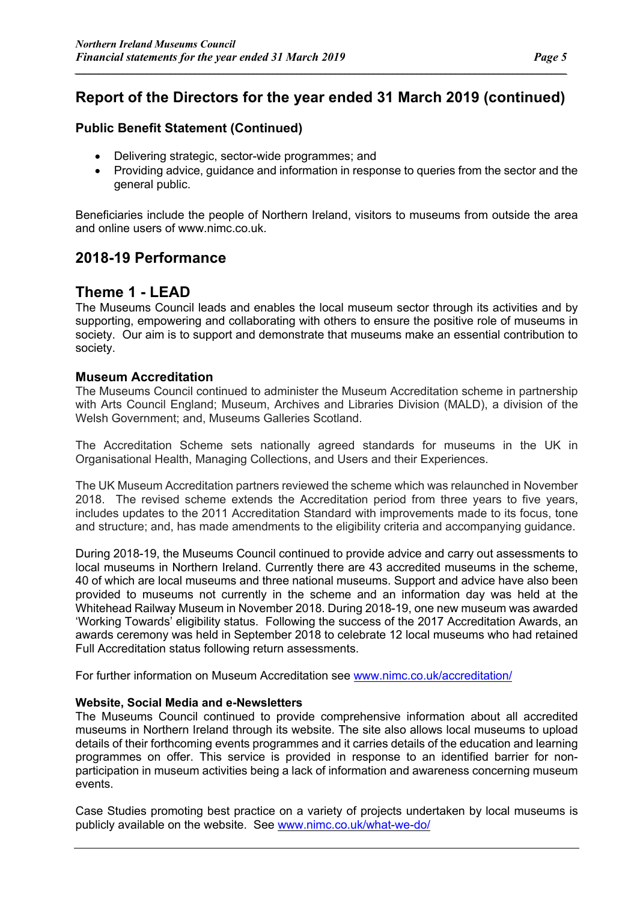*\_\_\_\_\_\_\_\_\_\_\_\_\_\_\_\_\_\_\_\_\_\_\_\_\_\_\_\_\_\_\_\_\_\_\_\_\_\_\_\_\_\_\_\_\_\_\_\_\_\_\_\_\_\_\_\_\_\_\_\_\_\_\_\_\_\_\_\_\_\_\_\_\_\_\_\_\_\_\_\_\_\_\_\_\_\_\_\_\_\_\_\_\_\_\_\_\_\_\_\_\_\_*

#### **Public Benefit Statement (Continued)**

- Delivering strategic, sector-wide programmes; and
- Providing advice, guidance and information in response to queries from the sector and the general public.

Beneficiaries include the people of Northern Ireland, visitors to museums from outside the area and online users of www.nimc.co.uk.

### **2018-19 Performance**

### **Theme 1 - LEAD**

The Museums Council leads and enables the local museum sector through its activities and by supporting, empowering and collaborating with others to ensure the positive role of museums in society. Our aim is to support and demonstrate that museums make an essential contribution to society.

#### **Museum Accreditation**

The Museums Council continued to administer the Museum Accreditation scheme in partnership with Arts Council England; Museum, Archives and Libraries Division (MALD), a division of the Welsh Government; and, Museums Galleries Scotland.

The Accreditation Scheme sets nationally agreed standards for museums in the UK in Organisational Health, Managing Collections, and Users and their Experiences.

The UK Museum Accreditation partners reviewed the scheme which was relaunched in November 2018. The revised scheme extends the Accreditation period from three years to five years, includes updates to the 2011 Accreditation Standard with improvements made to its focus, tone and structure; and, has made amendments to the eligibility criteria and accompanying guidance.

During 2018-19, the Museums Council continued to provide advice and carry out assessments to local museums in Northern Ireland. Currently there are 43 accredited museums in the scheme, 40 of which are local museums and three national museums. Support and advice have also been provided to museums not currently in the scheme and an information day was held at the Whitehead Railway Museum in November 2018. During 2018-19, one new museum was awarded 'Working Towards' eligibility status. Following the success of the 2017 Accreditation Awards, an awards ceremony was held in September 2018 to celebrate 12 local museums who had retained Full Accreditation status following return assessments.

For further information on Museum Accreditation see www.nimc.co.uk/accreditation/

#### **Website, Social Media and e-Newsletters**

The Museums Council continued to provide comprehensive information about all accredited museums in Northern Ireland through its website. The site also allows local museums to upload details of their forthcoming events programmes and it carries details of the education and learning programmes on offer. This service is provided in response to an identified barrier for nonparticipation in museum activities being a lack of information and awareness concerning museum events.

Case Studies promoting best practice on a variety of projects undertaken by local museums is publicly available on the website. See www.nimc.co.uk/what-we-do/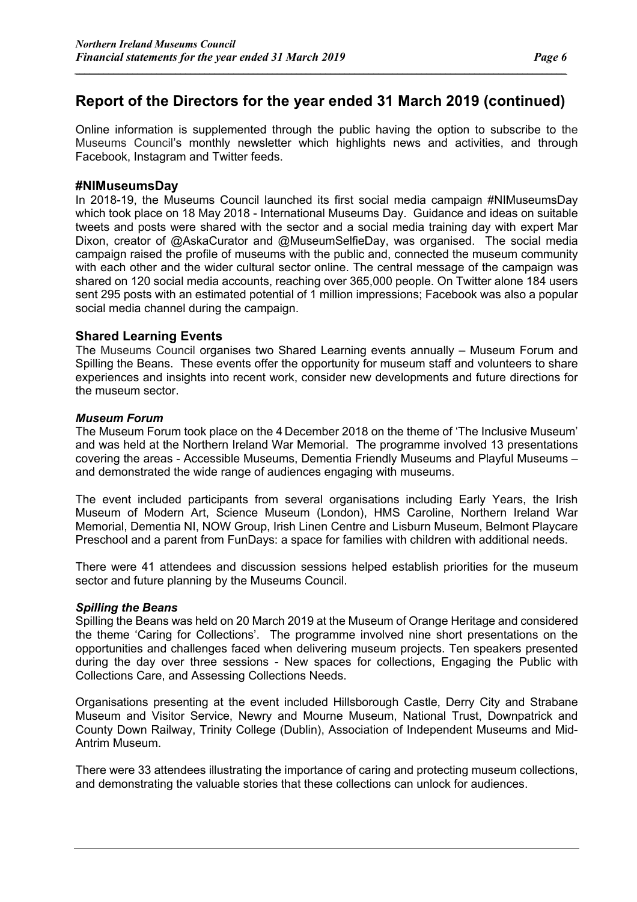*\_\_\_\_\_\_\_\_\_\_\_\_\_\_\_\_\_\_\_\_\_\_\_\_\_\_\_\_\_\_\_\_\_\_\_\_\_\_\_\_\_\_\_\_\_\_\_\_\_\_\_\_\_\_\_\_\_\_\_\_\_\_\_\_\_\_\_\_\_\_\_\_\_\_\_\_\_\_\_\_\_\_\_\_\_\_\_\_\_\_\_\_\_\_\_\_\_\_\_\_\_\_*

Online information is supplemented through the public having the option to subscribe to the Museums Council's monthly newsletter which highlights news and activities, and through Facebook, Instagram and Twitter feeds.

#### **#NIMuseumsDay**

In 2018-19, the Museums Council launched its first social media campaign #NIMuseumsDay which took place on 18 May 2018 - International Museums Day. Guidance and ideas on suitable tweets and posts were shared with the sector and a social media training day with expert Mar Dixon, creator of @AskaCurator and @MuseumSelfieDay, was organised. The social media campaign raised the profile of museums with the public and, connected the museum community with each other and the wider cultural sector online. The central message of the campaign was shared on 120 social media accounts, reaching over 365,000 people. On Twitter alone 184 users sent 295 posts with an estimated potential of 1 million impressions; Facebook was also a popular social media channel during the campaign.

#### **Shared Learning Events**

The Museums Council organises two Shared Learning events annually – Museum Forum and Spilling the Beans. These events offer the opportunity for museum staff and volunteers to share experiences and insights into recent work, consider new developments and future directions for the museum sector.

#### *Museum Forum*

The Museum Forum took place on the 4 December 2018 on the theme of 'The Inclusive Museum' and was held at the Northern Ireland War Memorial. The programme involved 13 presentations covering the areas - Accessible Museums, Dementia Friendly Museums and Playful Museums – and demonstrated the wide range of audiences engaging with museums.

The event included participants from several organisations including Early Years, the Irish Museum of Modern Art, Science Museum (London), HMS Caroline, Northern Ireland War Memorial, Dementia NI, NOW Group, Irish Linen Centre and Lisburn Museum, Belmont Playcare Preschool and a parent from FunDays: a space for families with children with additional needs.

There were 41 attendees and discussion sessions helped establish priorities for the museum sector and future planning by the Museums Council.

#### *Spilling the Beans*

Spilling the Beans was held on 20 March 2019 at the Museum of Orange Heritage and considered the theme 'Caring for Collections'. The programme involved nine short presentations on the opportunities and challenges faced when delivering museum projects. Ten speakers presented during the day over three sessions - New spaces for collections, Engaging the Public with Collections Care, and Assessing Collections Needs.

Organisations presenting at the event included Hillsborough Castle, Derry City and Strabane Museum and Visitor Service, Newry and Mourne Museum, National Trust, Downpatrick and County Down Railway, Trinity College (Dublin), Association of Independent Museums and Mid-Antrim Museum.

There were 33 attendees illustrating the importance of caring and protecting museum collections, and demonstrating the valuable stories that these collections can unlock for audiences.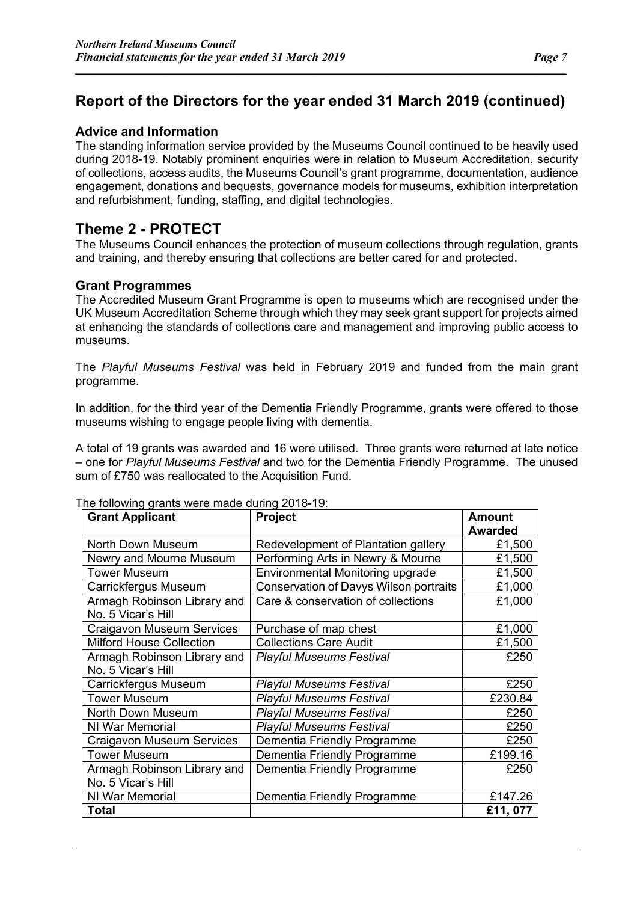*\_\_\_\_\_\_\_\_\_\_\_\_\_\_\_\_\_\_\_\_\_\_\_\_\_\_\_\_\_\_\_\_\_\_\_\_\_\_\_\_\_\_\_\_\_\_\_\_\_\_\_\_\_\_\_\_\_\_\_\_\_\_\_\_\_\_\_\_\_\_\_\_\_\_\_\_\_\_\_\_\_\_\_\_\_\_\_\_\_\_\_\_\_\_\_\_\_\_\_\_\_\_*

#### **Advice and Information**

The standing information service provided by the Museums Council continued to be heavily used during 2018-19. Notably prominent enquiries were in relation to Museum Accreditation, security of collections, access audits, the Museums Council's grant programme, documentation, audience engagement, donations and bequests, governance models for museums, exhibition interpretation and refurbishment, funding, staffing, and digital technologies.

### **Theme 2 - PROTECT**

The Museums Council enhances the protection of museum collections through regulation, grants and training, and thereby ensuring that collections are better cared for and protected.

#### **Grant Programmes**

The Accredited Museum Grant Programme is open to museums which are recognised under the UK Museum Accreditation Scheme through which they may seek grant support for projects aimed at enhancing the standards of collections care and management and improving public access to museums.

The *Playful Museums Festival* was held in February 2019 and funded from the main grant programme.

In addition, for the third year of the Dementia Friendly Programme, grants were offered to those museums wishing to engage people living with dementia.

A total of 19 grants was awarded and 16 were utilised. Three grants were returned at late notice – one for *Playful Museums Festival* and two for the Dementia Friendly Programme. The unused sum of £750 was reallocated to the Acquisition Fund.

| $10.1$ and $10.1$ , $19.0$ and $10.0$ and $10.0$ and $10.0$ and $10.0$<br><b>Grant Applicant</b> | Project                                       | <b>Amount</b>  |
|--------------------------------------------------------------------------------------------------|-----------------------------------------------|----------------|
|                                                                                                  |                                               | <b>Awarded</b> |
| North Down Museum                                                                                | Redevelopment of Plantation gallery           | £1,500         |
| Newry and Mourne Museum                                                                          | Performing Arts in Newry & Mourne             | £1,500         |
| <b>Tower Museum</b>                                                                              | Environmental Monitoring upgrade              | £1,500         |
| Carrickfergus Museum                                                                             | <b>Conservation of Davys Wilson portraits</b> | £1,000         |
| Armagh Robinson Library and<br>No. 5 Vicar's Hill                                                | Care & conservation of collections            | £1,000         |
| Craigavon Museum Services                                                                        | Purchase of map chest                         | £1,000         |
| <b>Milford House Collection</b>                                                                  | <b>Collections Care Audit</b>                 | £1,500         |
| Armagh Robinson Library and                                                                      | <b>Playful Museums Festival</b>               | £250           |
| No. 5 Vicar's Hill                                                                               |                                               |                |
| Carrickfergus Museum                                                                             | <b>Playful Museums Festival</b>               | £250           |
| <b>Tower Museum</b>                                                                              | <b>Playful Museums Festival</b>               | £230.84        |
| North Down Museum                                                                                | <b>Playful Museums Festival</b>               | £250           |
| NI War Memorial                                                                                  | <b>Playful Museums Festival</b>               | £250           |
| <b>Craigavon Museum Services</b>                                                                 | Dementia Friendly Programme                   | £250           |
| <b>Tower Museum</b>                                                                              | Dementia Friendly Programme                   | £199.16        |
| Armagh Robinson Library and                                                                      | Dementia Friendly Programme                   | £250           |
| No. 5 Vicar's Hill                                                                               |                                               |                |
| NI War Memorial                                                                                  | Dementia Friendly Programme                   | £147.26        |
| Total                                                                                            |                                               | £11,077        |

The following grants were made during 2018-19: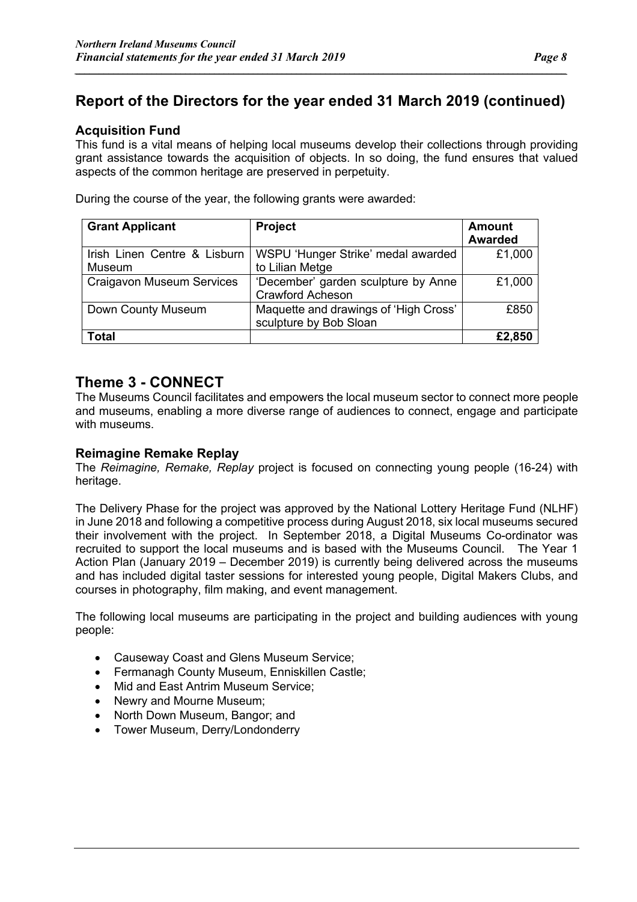*\_\_\_\_\_\_\_\_\_\_\_\_\_\_\_\_\_\_\_\_\_\_\_\_\_\_\_\_\_\_\_\_\_\_\_\_\_\_\_\_\_\_\_\_\_\_\_\_\_\_\_\_\_\_\_\_\_\_\_\_\_\_\_\_\_\_\_\_\_\_\_\_\_\_\_\_\_\_\_\_\_\_\_\_\_\_\_\_\_\_\_\_\_\_\_\_\_\_\_\_\_\_*

#### **Acquisition Fund**

This fund is a vital means of helping local museums develop their collections through providing grant assistance towards the acquisition of objects. In so doing, the fund ensures that valued aspects of the common heritage are preserved in perpetuity.

During the course of the year, the following grants were awarded:

| <b>Grant Applicant</b>           | <b>Project</b>                        | Amount         |
|----------------------------------|---------------------------------------|----------------|
|                                  |                                       | <b>Awarded</b> |
| Irish Linen Centre & Lisburn     | WSPU 'Hunger Strike' medal awarded    | £1,000         |
| Museum                           | to Lilian Metge                       |                |
| <b>Craigavon Museum Services</b> | 'December' garden sculpture by Anne   | £1,000         |
|                                  | <b>Crawford Acheson</b>               |                |
| Down County Museum               | Maquette and drawings of 'High Cross' | £850           |
|                                  | sculpture by Bob Sloan                |                |
| Total                            |                                       | £2.850         |

### **Theme 3 - CONNECT**

The Museums Council facilitates and empowers the local museum sector to connect more people and museums, enabling a more diverse range of audiences to connect, engage and participate with museums.

#### **Reimagine Remake Replay**

The *Reimagine, Remake, Replay* project is focused on connecting young people (16-24) with heritage.

The Delivery Phase for the project was approved by the National Lottery Heritage Fund (NLHF) in June 2018 and following a competitive process during August 2018, six local museums secured their involvement with the project. In September 2018, a Digital Museums Co-ordinator was recruited to support the local museums and is based with the Museums Council. The Year 1 Action Plan (January 2019 – December 2019) is currently being delivered across the museums and has included digital taster sessions for interested young people, Digital Makers Clubs, and courses in photography, film making, and event management.

The following local museums are participating in the project and building audiences with young people:

- Causeway Coast and Glens Museum Service;
- Fermanagh County Museum, Enniskillen Castle;
- Mid and East Antrim Museum Service:
- Newry and Mourne Museum;
- North Down Museum, Bangor; and
- Tower Museum, Derry/Londonderry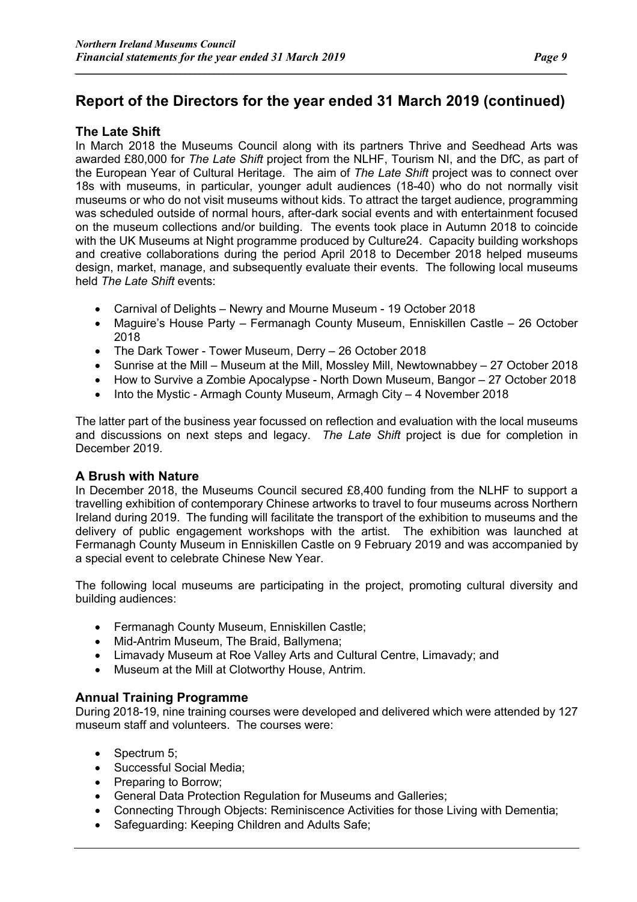*\_\_\_\_\_\_\_\_\_\_\_\_\_\_\_\_\_\_\_\_\_\_\_\_\_\_\_\_\_\_\_\_\_\_\_\_\_\_\_\_\_\_\_\_\_\_\_\_\_\_\_\_\_\_\_\_\_\_\_\_\_\_\_\_\_\_\_\_\_\_\_\_\_\_\_\_\_\_\_\_\_\_\_\_\_\_\_\_\_\_\_\_\_\_\_\_\_\_\_\_\_\_*

#### **The Late Shift**

In March 2018 the Museums Council along with its partners Thrive and Seedhead Arts was awarded £80,000 for *The Late Shift* project from the NLHF, Tourism NI, and the DfC, as part of the European Year of Cultural Heritage. The aim of *The Late Shift* project was to connect over 18s with museums, in particular, younger adult audiences (18-40) who do not normally visit museums or who do not visit museums without kids. To attract the target audience, programming was scheduled outside of normal hours, after-dark social events and with entertainment focused on the museum collections and/or building. The events took place in Autumn 2018 to coincide with the UK Museums at Night programme produced by Culture24. Capacity building workshops and creative collaborations during the period April 2018 to December 2018 helped museums design, market, manage, and subsequently evaluate their events. The following local museums held *The Late Shift* events:

- Carnival of Delights Newry and Mourne Museum 19 October 2018
- Maguire's House Party Fermanagh County Museum, Enniskillen Castle 26 October 2018
- The Dark Tower Tower Museum, Derry 26 October 2018
- Sunrise at the Mill Museum at the Mill, Mossley Mill, Newtownabbey 27 October 2018
- How to Survive a Zombie Apocalypse North Down Museum, Bangor 27 October 2018
- Into the Mystic Armagh County Museum, Armagh City 4 November 2018

The latter part of the business year focussed on reflection and evaluation with the local museums and discussions on next steps and legacy. *The Late Shift* project is due for completion in December 2019.

#### **A Brush with Nature**

In December 2018, the Museums Council secured £8,400 funding from the NLHF to support a travelling exhibition of contemporary Chinese artworks to travel to four museums across Northern Ireland during 2019. The funding will facilitate the transport of the exhibition to museums and the delivery of public engagement workshops with the artist. The exhibition was launched at Fermanagh County Museum in Enniskillen Castle on 9 February 2019 and was accompanied by a special event to celebrate Chinese New Year.

The following local museums are participating in the project, promoting cultural diversity and building audiences:

- Fermanagh County Museum, Enniskillen Castle;
- Mid-Antrim Museum, The Braid, Ballymena;
- Limavady Museum at Roe Valley Arts and Cultural Centre, Limavady; and
- Museum at the Mill at Clotworthy House, Antrim.

#### **Annual Training Programme**

During 2018-19, nine training courses were developed and delivered which were attended by 127 museum staff and volunteers. The courses were:

- Spectrum 5;
- Successful Social Media;
- Preparing to Borrow;
- General Data Protection Regulation for Museums and Galleries;
- Connecting Through Objects: Reminiscence Activities for those Living with Dementia;
- Safeguarding: Keeping Children and Adults Safe;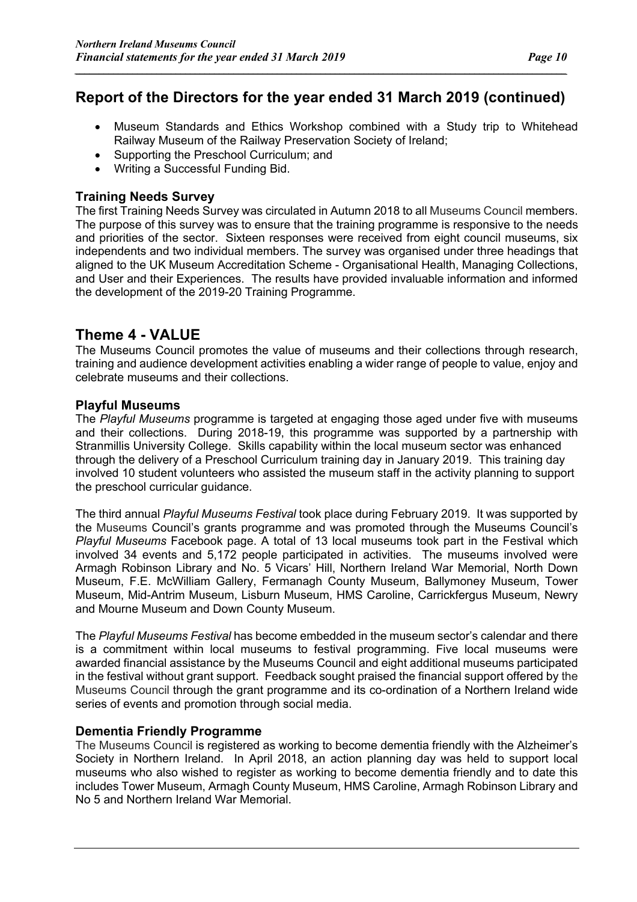*\_\_\_\_\_\_\_\_\_\_\_\_\_\_\_\_\_\_\_\_\_\_\_\_\_\_\_\_\_\_\_\_\_\_\_\_\_\_\_\_\_\_\_\_\_\_\_\_\_\_\_\_\_\_\_\_\_\_\_\_\_\_\_\_\_\_\_\_\_\_\_\_\_\_\_\_\_\_\_\_\_\_\_\_\_\_\_\_\_\_\_\_\_\_\_\_\_\_\_\_\_\_*

- Museum Standards and Ethics Workshop combined with a Study trip to Whitehead Railway Museum of the Railway Preservation Society of Ireland;
- Supporting the Preschool Curriculum; and
- Writing a Successful Funding Bid.

### **Training Needs Survey**

The first Training Needs Survey was circulated in Autumn 2018 to all Museums Council members. The purpose of this survey was to ensure that the training programme is responsive to the needs and priorities of the sector. Sixteen responses were received from eight council museums, six independents and two individual members. The survey was organised under three headings that aligned to the UK Museum Accreditation Scheme - Organisational Health, Managing Collections, and User and their Experiences. The results have provided invaluable information and informed the development of the 2019-20 Training Programme.

### **Theme 4 - VALUE**

The Museums Council promotes the value of museums and their collections through research, training and audience development activities enabling a wider range of people to value, enjoy and celebrate museums and their collections.

### **Playful Museums**

The *Playful Museums* programme is targeted at engaging those aged under five with museums and their collections. During 2018-19, this programme was supported by a partnership with Stranmillis University College. Skills capability within the local museum sector was enhanced through the delivery of a Preschool Curriculum training day in January 2019. This training day involved 10 student volunteers who assisted the museum staff in the activity planning to support the preschool curricular guidance.

The third annual *Playful Museums Festival* took place during February 2019. It was supported by the Museums Council's grants programme and was promoted through the Museums Council's *Playful Museums* Facebook page. A total of 13 local museums took part in the Festival which involved 34 events and 5,172 people participated in activities. The museums involved were Armagh Robinson Library and No. 5 Vicars' Hill, Northern Ireland War Memorial, North Down Museum, F.E. McWilliam Gallery, Fermanagh County Museum, Ballymoney Museum, Tower Museum, Mid-Antrim Museum, Lisburn Museum, HMS Caroline, Carrickfergus Museum, Newry and Mourne Museum and Down County Museum.

The *Playful Museums Festival* has become embedded in the museum sector's calendar and there is a commitment within local museums to festival programming. Five local museums were awarded financial assistance by the Museums Council and eight additional museums participated in the festival without grant support. Feedback sought praised the financial support offered by the Museums Council through the grant programme and its co-ordination of a Northern Ireland wide series of events and promotion through social media.

### **Dementia Friendly Programme**

The Museums Council is registered as working to become dementia friendly with the Alzheimer's Society in Northern Ireland. In April 2018, an action planning day was held to support local museums who also wished to register as working to become dementia friendly and to date this includes Tower Museum, Armagh County Museum, HMS Caroline, Armagh Robinson Library and No 5 and Northern Ireland War Memorial.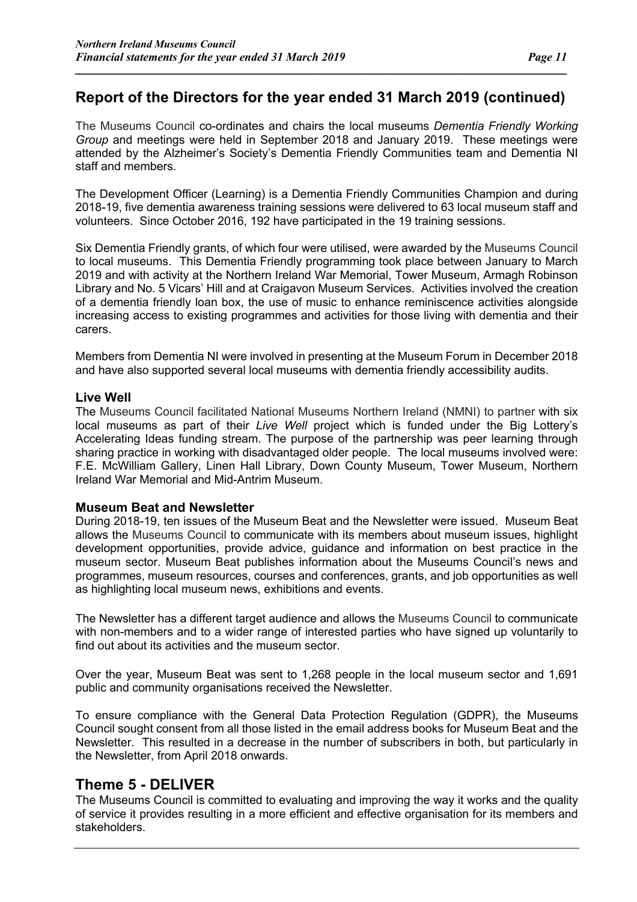*\_\_\_\_\_\_\_\_\_\_\_\_\_\_\_\_\_\_\_\_\_\_\_\_\_\_\_\_\_\_\_\_\_\_\_\_\_\_\_\_\_\_\_\_\_\_\_\_\_\_\_\_\_\_\_\_\_\_\_\_\_\_\_\_\_\_\_\_\_\_\_\_\_\_\_\_\_\_\_\_\_\_\_\_\_\_\_\_\_\_\_\_\_\_\_\_\_\_\_\_\_\_*

The Museums Council co-ordinates and chairs the local museums *Dementia Friendly Working Group* and meetings were held in September 2018 and January 2019. These meetings were attended by the Alzheimer's Society's Dementia Friendly Communities team and Dementia NI staff and members.

The Development Officer (Learning) is a Dementia Friendly Communities Champion and during 2018-19, five dementia awareness training sessions were delivered to 63 local museum staff and volunteers. Since October 2016, 192 have participated in the 19 training sessions.

Six Dementia Friendly grants, of which four were utilised, were awarded by the Museums Council to local museums. This Dementia Friendly programming took place between January to March 2019 and with activity at the Northern Ireland War Memorial, Tower Museum, Armagh Robinson Library and No. 5 Vicars' Hill and at Craigavon Museum Services. Activities involved the creation of a dementia friendly loan box, the use of music to enhance reminiscence activities alongside increasing access to existing programmes and activities for those living with dementia and their carers.

Members from Dementia NI were involved in presenting at the Museum Forum in December 2018 and have also supported several local museums with dementia friendly accessibility audits.

#### **Live Well**

The Museums Council facilitated National Museums Northern Ireland (NMNI) to partner with six local museums as part of their *Live Well* project which is funded under the Big Lottery's Accelerating Ideas funding stream. The purpose of the partnership was peer learning through sharing practice in working with disadvantaged older people. The local museums involved were: F.E. McWilliam Gallery, Linen Hall Library, Down County Museum, Tower Museum, Northern Ireland War Memorial and Mid-Antrim Museum.

#### **Museum Beat and Newsletter**

During 2018-19, ten issues of the Museum Beat and the Newsletter were issued. Museum Beat allows the Museums Council to communicate with its members about museum issues, highlight development opportunities, provide advice, guidance and information on best practice in the museum sector. Museum Beat publishes information about the Museums Council's news and programmes, museum resources, courses and conferences, grants, and job opportunities as well as highlighting local museum news, exhibitions and events.

The Newsletter has a different target audience and allows the Museums Council to communicate with non-members and to a wider range of interested parties who have signed up voluntarily to find out about its activities and the museum sector.

Over the year, Museum Beat was sent to 1,268 people in the local museum sector and 1,691 public and community organisations received the Newsletter.

To ensure compliance with the General Data Protection Regulation (GDPR), the Museums Council sought consent from all those listed in the email address books for Museum Beat and the Newsletter. This resulted in a decrease in the number of subscribers in both, but particularly in the Newsletter, from April 2018 onwards.

### **Theme 5 - DELIVER**

The Museums Council is committed to evaluating and improving the way it works and the quality of service it provides resulting in a more efficient and effective organisation for its members and stakeholders.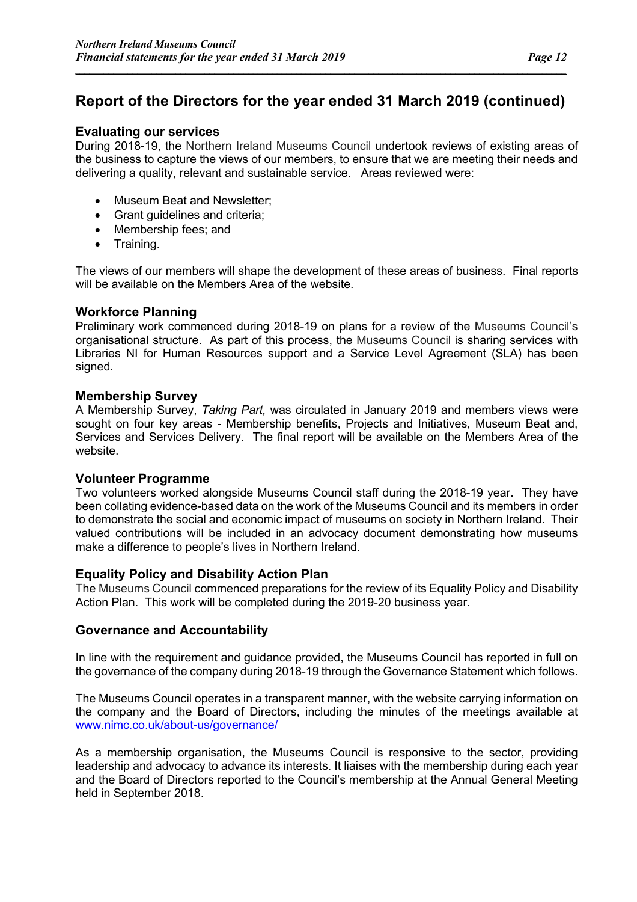*\_\_\_\_\_\_\_\_\_\_\_\_\_\_\_\_\_\_\_\_\_\_\_\_\_\_\_\_\_\_\_\_\_\_\_\_\_\_\_\_\_\_\_\_\_\_\_\_\_\_\_\_\_\_\_\_\_\_\_\_\_\_\_\_\_\_\_\_\_\_\_\_\_\_\_\_\_\_\_\_\_\_\_\_\_\_\_\_\_\_\_\_\_\_\_\_\_\_\_\_\_\_*

#### **Evaluating our services**

During 2018-19, the Northern Ireland Museums Council undertook reviews of existing areas of the business to capture the views of our members, to ensure that we are meeting their needs and delivering a quality, relevant and sustainable service. Areas reviewed were:

- Museum Beat and Newsletter;
- Grant guidelines and criteria;
- Membership fees; and
- Training.

The views of our members will shape the development of these areas of business. Final reports will be available on the Members Area of the website.

#### **Workforce Planning**

Preliminary work commenced during 2018-19 on plans for a review of the Museums Council's organisational structure. As part of this process, the Museums Council is sharing services with Libraries NI for Human Resources support and a Service Level Agreement (SLA) has been signed.

#### **Membership Survey**

A Membership Survey, *Taking Part,* was circulated in January 2019 and members views were sought on four key areas - Membership benefits, Projects and Initiatives, Museum Beat and, Services and Services Delivery. The final report will be available on the Members Area of the website.

#### **Volunteer Programme**

Two volunteers worked alongside Museums Council staff during the 2018-19 year. They have been collating evidence-based data on the work of the Museums Council and its members in order to demonstrate the social and economic impact of museums on society in Northern Ireland. Their valued contributions will be included in an advocacy document demonstrating how museums make a difference to people's lives in Northern Ireland.

#### **Equality Policy and Disability Action Plan**

The Museums Council commenced preparations for the review of its Equality Policy and Disability Action Plan. This work will be completed during the 2019-20 business year.

#### **Governance and Accountability**

In line with the requirement and guidance provided, the Museums Council has reported in full on the governance of the company during 2018-19 through the Governance Statement which follows.

The Museums Council operates in a transparent manner, with the website carrying information on the company and the Board of Directors, including the minutes of the meetings available at www.nimc.co.uk/about-us/governance/

As a membership organisation, the Museums Council is responsive to the sector, providing leadership and advocacy to advance its interests. It liaises with the membership during each year and the Board of Directors reported to the Council's membership at the Annual General Meeting held in September 2018.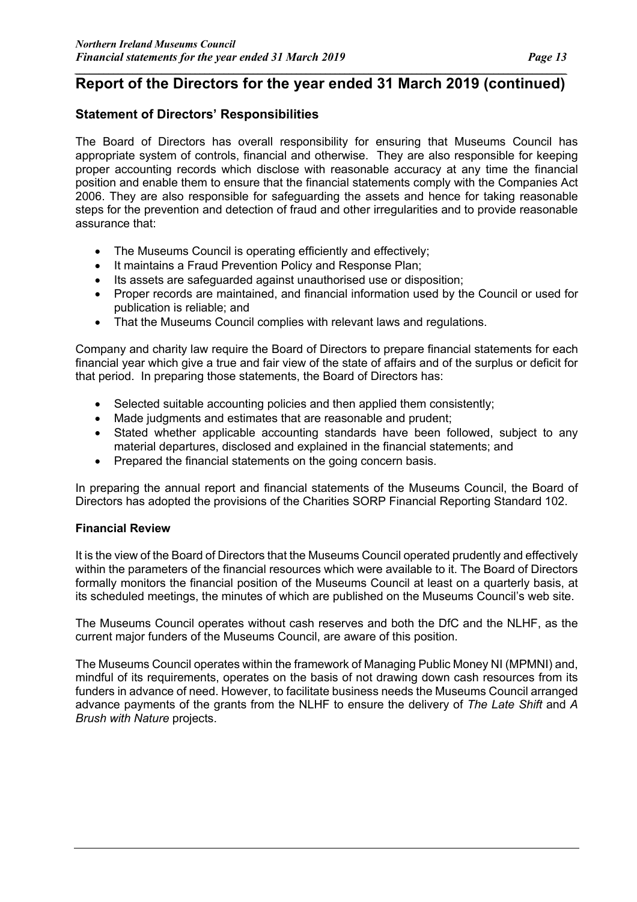#### *\_\_\_\_\_\_\_\_\_\_\_\_\_\_\_\_\_\_\_\_\_\_\_\_\_\_\_\_\_\_\_\_\_\_\_\_\_\_\_\_\_\_\_\_\_\_\_\_\_\_\_\_\_\_\_\_\_\_\_\_\_\_\_\_\_\_\_\_\_\_\_\_\_\_\_\_\_\_\_\_\_\_\_\_\_\_\_\_\_\_\_\_\_\_\_\_\_\_\_\_\_\_* **Report of the Directors for the year ended 31 March 2019 (continued)**

#### **Statement of Directors' Responsibilities**

The Board of Directors has overall responsibility for ensuring that Museums Council has appropriate system of controls, financial and otherwise. They are also responsible for keeping proper accounting records which disclose with reasonable accuracy at any time the financial position and enable them to ensure that the financial statements comply with the Companies Act 2006. They are also responsible for safeguarding the assets and hence for taking reasonable steps for the prevention and detection of fraud and other irregularities and to provide reasonable assurance that:

- The Museums Council is operating efficiently and effectively;
- It maintains a Fraud Prevention Policy and Response Plan;
- Its assets are safeguarded against unauthorised use or disposition;
- Proper records are maintained, and financial information used by the Council or used for publication is reliable; and
- That the Museums Council complies with relevant laws and regulations.

Company and charity law require the Board of Directors to prepare financial statements for each financial year which give a true and fair view of the state of affairs and of the surplus or deficit for that period. In preparing those statements, the Board of Directors has:

- Selected suitable accounting policies and then applied them consistently;
- Made judgments and estimates that are reasonable and prudent;
- Stated whether applicable accounting standards have been followed, subject to any material departures, disclosed and explained in the financial statements; and
- Prepared the financial statements on the going concern basis.

In preparing the annual report and financial statements of the Museums Council, the Board of Directors has adopted the provisions of the Charities SORP Financial Reporting Standard 102.

#### **Financial Review**

It is the view of the Board of Directors that the Museums Council operated prudently and effectively within the parameters of the financial resources which were available to it. The Board of Directors formally monitors the financial position of the Museums Council at least on a quarterly basis, at its scheduled meetings, the minutes of which are published on the Museums Council's web site.

The Museums Council operates without cash reserves and both the DfC and the NLHF, as the current major funders of the Museums Council, are aware of this position.

The Museums Council operates within the framework of Managing Public Money NI (MPMNI) and, mindful of its requirements, operates on the basis of not drawing down cash resources from its funders in advance of need. However, to facilitate business needs the Museums Council arranged advance payments of the grants from the NLHF to ensure the delivery of *The Late Shift* and *A Brush with Nature* projects.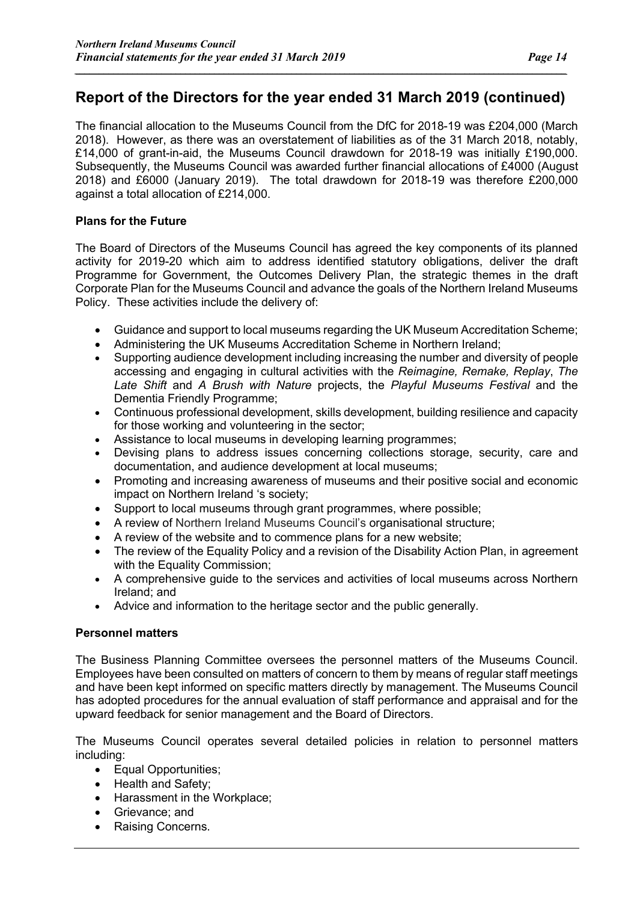*\_\_\_\_\_\_\_\_\_\_\_\_\_\_\_\_\_\_\_\_\_\_\_\_\_\_\_\_\_\_\_\_\_\_\_\_\_\_\_\_\_\_\_\_\_\_\_\_\_\_\_\_\_\_\_\_\_\_\_\_\_\_\_\_\_\_\_\_\_\_\_\_\_\_\_\_\_\_\_\_\_\_\_\_\_\_\_\_\_\_\_\_\_\_\_\_\_\_\_\_\_\_*

The financial allocation to the Museums Council from the DfC for 2018-19 was £204,000 (March 2018). However, as there was an overstatement of liabilities as of the 31 March 2018, notably, £14,000 of grant-in-aid, the Museums Council drawdown for 2018-19 was initially £190,000. Subsequently, the Museums Council was awarded further financial allocations of £4000 (August 2018) and £6000 (January 2019). The total drawdown for 2018-19 was therefore £200,000 against a total allocation of £214,000.

#### **Plans for the Future**

The Board of Directors of the Museums Council has agreed the key components of its planned activity for 2019-20 which aim to address identified statutory obligations, deliver the draft Programme for Government, the Outcomes Delivery Plan, the strategic themes in the draft Corporate Plan for the Museums Council and advance the goals of the Northern Ireland Museums Policy. These activities include the delivery of:

- Guidance and support to local museums regarding the UK Museum Accreditation Scheme;
- Administering the UK Museums Accreditation Scheme in Northern Ireland;
- Supporting audience development including increasing the number and diversity of people accessing and engaging in cultural activities with the *Reimagine, Remake, Replay*, *The Late Shift* and *A Brush with Nature* projects, the *Playful Museums Festival* and the Dementia Friendly Programme;
- Continuous professional development, skills development, building resilience and capacity for those working and volunteering in the sector;
- Assistance to local museums in developing learning programmes;
- Devising plans to address issues concerning collections storage, security, care and documentation, and audience development at local museums;
- Promoting and increasing awareness of museums and their positive social and economic impact on Northern Ireland 's society;
- Support to local museums through grant programmes, where possible;
- A review of Northern Ireland Museums Council's organisational structure;
- A review of the website and to commence plans for a new website;
- The review of the Equality Policy and a revision of the Disability Action Plan, in agreement with the Equality Commission;
- A comprehensive guide to the services and activities of local museums across Northern Ireland; and
- Advice and information to the heritage sector and the public generally.

#### **Personnel matters**

The Business Planning Committee oversees the personnel matters of the Museums Council. Employees have been consulted on matters of concern to them by means of regular staff meetings and have been kept informed on specific matters directly by management. The Museums Council has adopted procedures for the annual evaluation of staff performance and appraisal and for the upward feedback for senior management and the Board of Directors.

The Museums Council operates several detailed policies in relation to personnel matters including:

- Equal Opportunities;
- Health and Safety;
- Harassment in the Workplace;
- Grievance; and
- Raising Concerns.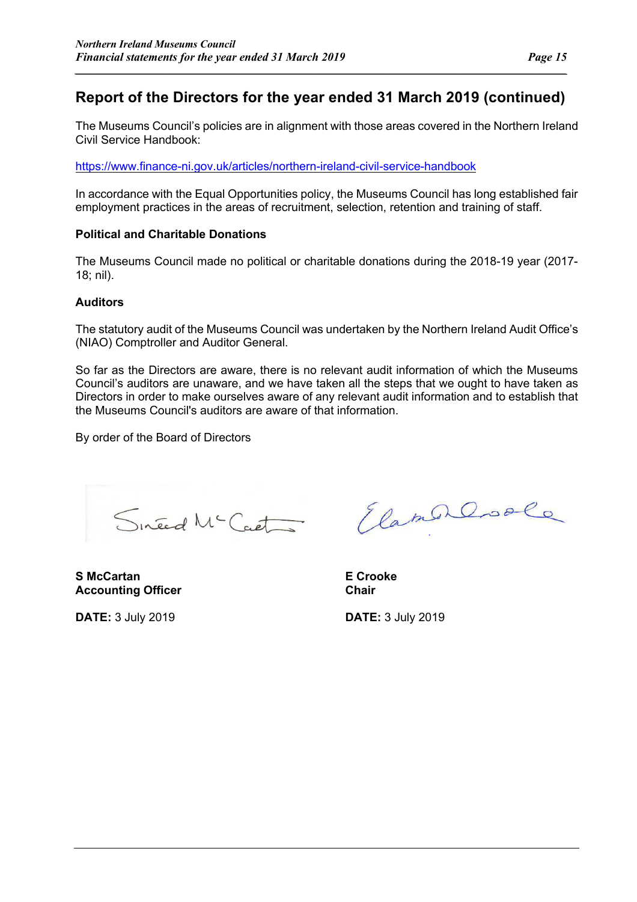*\_\_\_\_\_\_\_\_\_\_\_\_\_\_\_\_\_\_\_\_\_\_\_\_\_\_\_\_\_\_\_\_\_\_\_\_\_\_\_\_\_\_\_\_\_\_\_\_\_\_\_\_\_\_\_\_\_\_\_\_\_\_\_\_\_\_\_\_\_\_\_\_\_\_\_\_\_\_\_\_\_\_\_\_\_\_\_\_\_\_\_\_\_\_\_\_\_\_\_\_\_\_*

The Museums Council's policies are in alignment with those areas covered in the Northern Ireland Civil Service Handbook:

https://www.finance-ni.gov.uk/articles/northern-ireland-civil-service-handbook

In accordance with the Equal Opportunities policy, the Museums Council has long established fair employment practices in the areas of recruitment, selection, retention and training of staff.

#### **Political and Charitable Donations**

The Museums Council made no political or charitable donations during the 2018-19 year (2017- 18; nil).

#### **Auditors**

The statutory audit of the Museums Council was undertaken by the Northern Ireland Audit Office's (NIAO) Comptroller and Auditor General.

So far as the Directors are aware, there is no relevant audit information of which the Museums Council's auditors are unaware, and we have taken all the steps that we ought to have taken as Directors in order to make ourselves aware of any relevant audit information and to establish that the Museums Council's auditors are aware of that information.

By order of the Board of Directors

Sineed Mc Cart

**S McCartan E Crooke** Accounting Officer **Chair Chair** 

**DATE:** 3 July 2019 **DATE:** 3 July 2019

ElamerCoole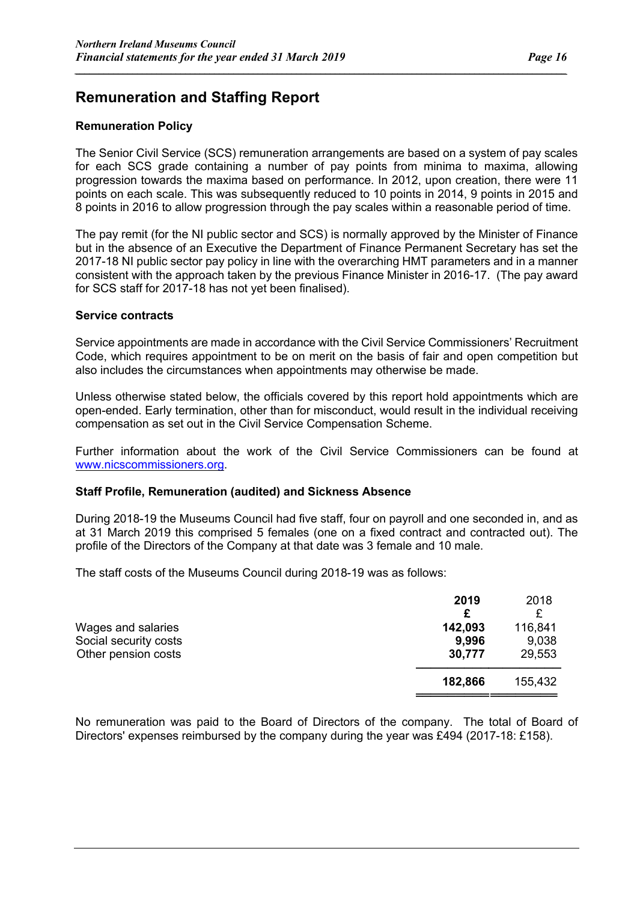### **Remuneration and Staffing Report**

#### **Remuneration Policy**

The Senior Civil Service (SCS) remuneration arrangements are based on a system of pay scales for each SCS grade containing a number of pay points from minima to maxima, allowing progression towards the maxima based on performance. In 2012, upon creation, there were 11 points on each scale. This was subsequently reduced to 10 points in 2014, 9 points in 2015 and 8 points in 2016 to allow progression through the pay scales within a reasonable period of time.

*\_\_\_\_\_\_\_\_\_\_\_\_\_\_\_\_\_\_\_\_\_\_\_\_\_\_\_\_\_\_\_\_\_\_\_\_\_\_\_\_\_\_\_\_\_\_\_\_\_\_\_\_\_\_\_\_\_\_\_\_\_\_\_\_\_\_\_\_\_\_\_\_\_\_\_\_\_\_\_\_\_\_\_\_\_\_\_\_\_\_\_\_\_\_\_\_\_\_\_\_\_\_*

The pay remit (for the NI public sector and SCS) is normally approved by the Minister of Finance but in the absence of an Executive the Department of Finance Permanent Secretary has set the 2017-18 NI public sector pay policy in line with the overarching HMT parameters and in a manner consistent with the approach taken by the previous Finance Minister in 2016-17. (The pay award for SCS staff for 2017-18 has not yet been finalised).

#### **Service contracts**

Service appointments are made in accordance with the Civil Service Commissioners' Recruitment Code, which requires appointment to be on merit on the basis of fair and open competition but also includes the circumstances when appointments may otherwise be made.

Unless otherwise stated below, the officials covered by this report hold appointments which are open-ended. Early termination, other than for misconduct, would result in the individual receiving compensation as set out in the Civil Service Compensation Scheme.

Further information about the work of the Civil Service Commissioners can be found at www.nicscommissioners.org.

#### **Staff Profile, Remuneration (audited) and Sickness Absence**

During 2018-19 the Museums Council had five staff, four on payroll and one seconded in, and as at 31 March 2019 this comprised 5 females (one on a fixed contract and contracted out). The profile of the Directors of the Company at that date was 3 female and 10 male.

The staff costs of the Museums Council during 2018-19 was as follows:

|                       | 2019<br>£ | 2018    |
|-----------------------|-----------|---------|
| Wages and salaries    | 142,093   | 116,841 |
| Social security costs | 9,996     | 9,038   |
| Other pension costs   | 30,777    | 29,553  |
|                       | 182,866   | 155,432 |
|                       |           |         |

No remuneration was paid to the Board of Directors of the company. The total of Board of Directors' expenses reimbursed by the company during the year was £494 (2017-18: £158).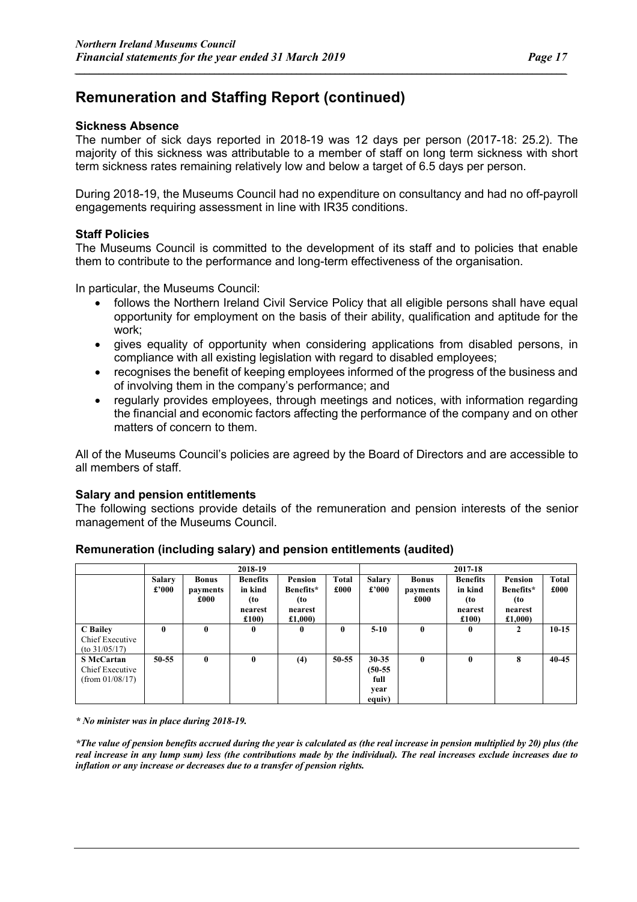#### **Sickness Absence**

The number of sick days reported in 2018-19 was 12 days per person (2017-18: 25.2). The majority of this sickness was attributable to a member of staff on long term sickness with short term sickness rates remaining relatively low and below a target of 6.5 days per person.

*\_\_\_\_\_\_\_\_\_\_\_\_\_\_\_\_\_\_\_\_\_\_\_\_\_\_\_\_\_\_\_\_\_\_\_\_\_\_\_\_\_\_\_\_\_\_\_\_\_\_\_\_\_\_\_\_\_\_\_\_\_\_\_\_\_\_\_\_\_\_\_\_\_\_\_\_\_\_\_\_\_\_\_\_\_\_\_\_\_\_\_\_\_\_\_\_\_\_\_\_\_\_*

During 2018-19, the Museums Council had no expenditure on consultancy and had no off-payroll engagements requiring assessment in line with IR35 conditions.

#### **Staff Policies**

The Museums Council is committed to the development of its staff and to policies that enable them to contribute to the performance and long-term effectiveness of the organisation.

In particular, the Museums Council:

- follows the Northern Ireland Civil Service Policy that all eligible persons shall have equal opportunity for employment on the basis of their ability, qualification and aptitude for the work;
- gives equality of opportunity when considering applications from disabled persons, in compliance with all existing legislation with regard to disabled employees;
- recognises the benefit of keeping employees informed of the progress of the business and of involving them in the company's performance; and
- regularly provides employees, through meetings and notices, with information regarding the financial and economic factors affecting the performance of the company and on other matters of concern to them.

All of the Museums Council's policies are agreed by the Board of Directors and are accessible to all members of staff.

#### **Salary and pension entitlements**

The following sections provide details of the remuneration and pension interests of the senior management of the Museums Council.

|                                                            |                        |                                  | 2018-19                                              |                                                  |                      |                                                  |                                  | 2017-18                                              |                                                   |                      |
|------------------------------------------------------------|------------------------|----------------------------------|------------------------------------------------------|--------------------------------------------------|----------------------|--------------------------------------------------|----------------------------------|------------------------------------------------------|---------------------------------------------------|----------------------|
|                                                            | <b>Salary</b><br>£'000 | <b>Bonus</b><br>payments<br>£000 | <b>Benefits</b><br>in kind<br>(to<br>nearest<br>£100 | Pension<br>Benefits*<br>(to<br>nearest<br>£1.000 | <b>Total</b><br>£000 | <b>Salary</b><br>£'000                           | <b>Bonus</b><br>payments<br>£000 | <b>Benefits</b><br>in kind<br>(to<br>nearest<br>£100 | Pension<br>Benefits*<br>(to<br>nearest<br>£1,000) | <b>Total</b><br>£000 |
| C Bailey<br>Chief Executive<br>$($ to 31/05/17)            | 0                      | 0                                | $\mathbf{0}$                                         | 0                                                | $\mathbf{0}$         | $5-10$                                           | $\mathbf{0}$                     | $\mathbf{0}$                                         | 2                                                 | $10-15$              |
| <b>S</b> McCartan<br>Chief Executive<br>$(from\ 01/08/17)$ | 50-55                  | $\mathbf{0}$                     | $\mathbf{0}$                                         | (4)                                              | $50 - 55$            | $30 - 35$<br>$(50-55)$<br>full<br>year<br>equiv) | $\mathbf{0}$                     | $\mathbf{0}$                                         | 8                                                 | $40 - 45$            |

#### **Remuneration (including salary) and pension entitlements (audited)**

*\* No minister was in place during 2018-19.*

*\*The value of pension benefits accrued during the year is calculated as (the real increase in pension multiplied by 20) plus (the real increase in any lump sum) less (the contributions made by the individual). The real increases exclude increases due to inflation or any increase or decreases due to a transfer of pension rights.*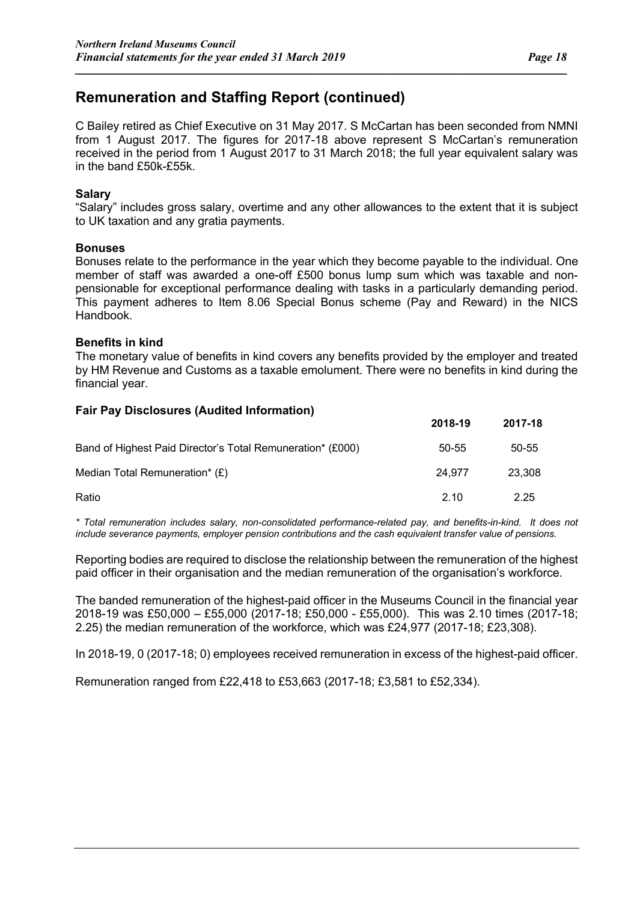**2018-19 2017-18**

### **Remuneration and Staffing Report (continued)**

C Bailey retired as Chief Executive on 31 May 2017. S McCartan has been seconded from NMNI from 1 August 2017. The figures for 2017-18 above represent S McCartan's remuneration received in the period from 1 August 2017 to 31 March 2018; the full year equivalent salary was in the band £50k-£55k.

*\_\_\_\_\_\_\_\_\_\_\_\_\_\_\_\_\_\_\_\_\_\_\_\_\_\_\_\_\_\_\_\_\_\_\_\_\_\_\_\_\_\_\_\_\_\_\_\_\_\_\_\_\_\_\_\_\_\_\_\_\_\_\_\_\_\_\_\_\_\_\_\_\_\_\_\_\_\_\_\_\_\_\_\_\_\_\_\_\_\_\_\_\_\_\_\_\_\_\_\_\_\_*

#### **Salary**

"Salary" includes gross salary, overtime and any other allowances to the extent that it is subject to UK taxation and any gratia payments.

#### **Bonuses**

Bonuses relate to the performance in the year which they become payable to the individual. One member of staff was awarded a one-off £500 bonus lump sum which was taxable and nonpensionable for exceptional performance dealing with tasks in a particularly demanding period. This payment adheres to Item 8.06 Special Bonus scheme (Pay and Reward) in the NICS Handbook.

#### **Benefits in kind**

The monetary value of benefits in kind covers any benefits provided by the employer and treated by HM Revenue and Customs as a taxable emolument. There were no benefits in kind during the financial year.

#### **Fair Pay Disclosures (Audited Information)**

|                                                            | ZU18-19 | <b>2017-18</b> |
|------------------------------------------------------------|---------|----------------|
| Band of Highest Paid Director's Total Remuneration* (£000) | 50-55   | 50-55          |
| Median Total Remuneration* (£)                             | 24.977  | 23.308         |
| Ratio                                                      | 2.10    | 2.25           |

*\* Total remuneration includes salary, non-consolidated performance-related pay, and benefits-in-kind. It does not include severance payments, employer pension contributions and the cash equivalent transfer value of pensions.*

Reporting bodies are required to disclose the relationship between the remuneration of the highest paid officer in their organisation and the median remuneration of the organisation's workforce.

The banded remuneration of the highest-paid officer in the Museums Council in the financial year 2018-19 was £50,000 – £55,000 (2017-18; £50,000 - £55,000). This was 2.10 times (2017-18; 2.25) the median remuneration of the workforce, which was £24,977 (2017-18; £23,308).

In 2018-19, 0 (2017-18; 0) employees received remuneration in excess of the highest-paid officer.

Remuneration ranged from £22,418 to £53,663 (2017-18; £3,581 to £52,334).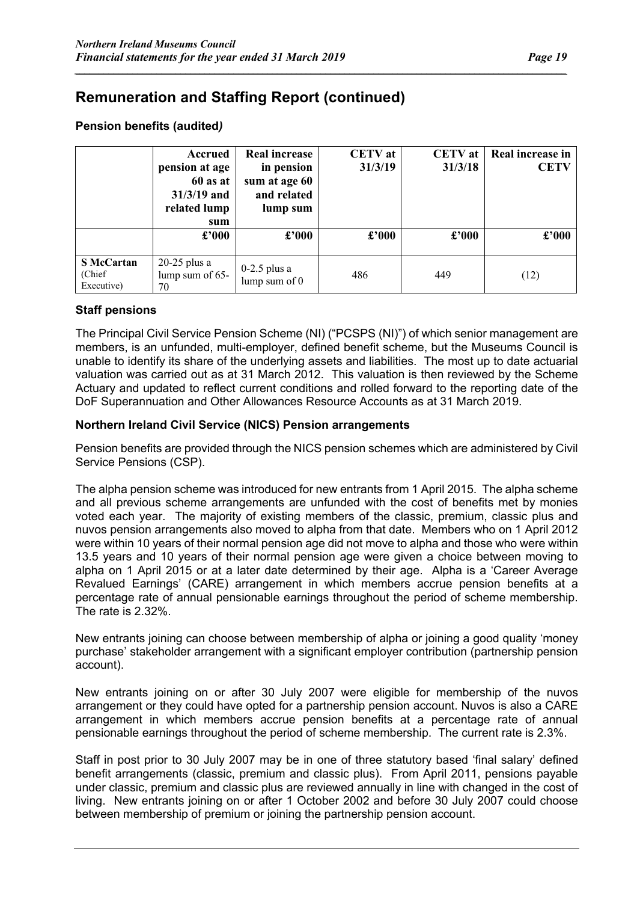#### **Pension benefits (audited***)*

|                                            | Accrued<br>pension at age<br>60 as at<br>$31/3/19$ and<br>related lump<br>sum | <b>Real increase</b><br>in pension<br>sum at age 60<br>and related<br>lump sum | <b>CETV</b> at<br>31/3/19 | <b>CETV</b> at<br>31/3/18 | Real increase in<br><b>CETV</b> |
|--------------------------------------------|-------------------------------------------------------------------------------|--------------------------------------------------------------------------------|---------------------------|---------------------------|---------------------------------|
|                                            | $\pounds$ '000                                                                | $\pounds$ '000                                                                 | $\pounds$ '000            | $\pounds$ '000            | £'000                           |
| <b>S</b> McCartan<br>(Chief)<br>Executive) | $20-25$ plus a<br>lump sum of 65-<br>70                                       | $0-2.5$ plus a<br>lump sum of $0$                                              | 486                       | 449                       | (12)                            |

*\_\_\_\_\_\_\_\_\_\_\_\_\_\_\_\_\_\_\_\_\_\_\_\_\_\_\_\_\_\_\_\_\_\_\_\_\_\_\_\_\_\_\_\_\_\_\_\_\_\_\_\_\_\_\_\_\_\_\_\_\_\_\_\_\_\_\_\_\_\_\_\_\_\_\_\_\_\_\_\_\_\_\_\_\_\_\_\_\_\_\_\_\_\_\_\_\_\_\_\_\_\_*

#### **Staff pensions**

The Principal Civil Service Pension Scheme (NI) ("PCSPS (NI)") of which senior management are members, is an unfunded, multi-employer, defined benefit scheme, but the Museums Council is unable to identify its share of the underlying assets and liabilities. The most up to date actuarial valuation was carried out as at 31 March 2012. This valuation is then reviewed by the Scheme Actuary and updated to reflect current conditions and rolled forward to the reporting date of the DoF Superannuation and Other Allowances Resource Accounts as at 31 March 2019.

#### **Northern Ireland Civil Service (NICS) Pension arrangements**

Pension benefits are provided through the NICS pension schemes which are administered by Civil Service Pensions (CSP).

The alpha pension scheme was introduced for new entrants from 1 April 2015. The alpha scheme and all previous scheme arrangements are unfunded with the cost of benefits met by monies voted each year. The majority of existing members of the classic, premium, classic plus and nuvos pension arrangements also moved to alpha from that date. Members who on 1 April 2012 were within 10 years of their normal pension age did not move to alpha and those who were within 13.5 years and 10 years of their normal pension age were given a choice between moving to alpha on 1 April 2015 or at a later date determined by their age. Alpha is a 'Career Average Revalued Earnings' (CARE) arrangement in which members accrue pension benefits at a percentage rate of annual pensionable earnings throughout the period of scheme membership. The rate is 2.32%.

New entrants joining can choose between membership of alpha or joining a good quality 'money purchase' stakeholder arrangement with a significant employer contribution (partnership pension account).

New entrants joining on or after 30 July 2007 were eligible for membership of the nuvos arrangement or they could have opted for a partnership pension account. Nuvos is also a CARE arrangement in which members accrue pension benefits at a percentage rate of annual pensionable earnings throughout the period of scheme membership. The current rate is 2.3%.

Staff in post prior to 30 July 2007 may be in one of three statutory based 'final salary' defined benefit arrangements (classic, premium and classic plus). From April 2011, pensions payable under classic, premium and classic plus are reviewed annually in line with changed in the cost of living. New entrants joining on or after 1 October 2002 and before 30 July 2007 could choose between membership of premium or joining the partnership pension account.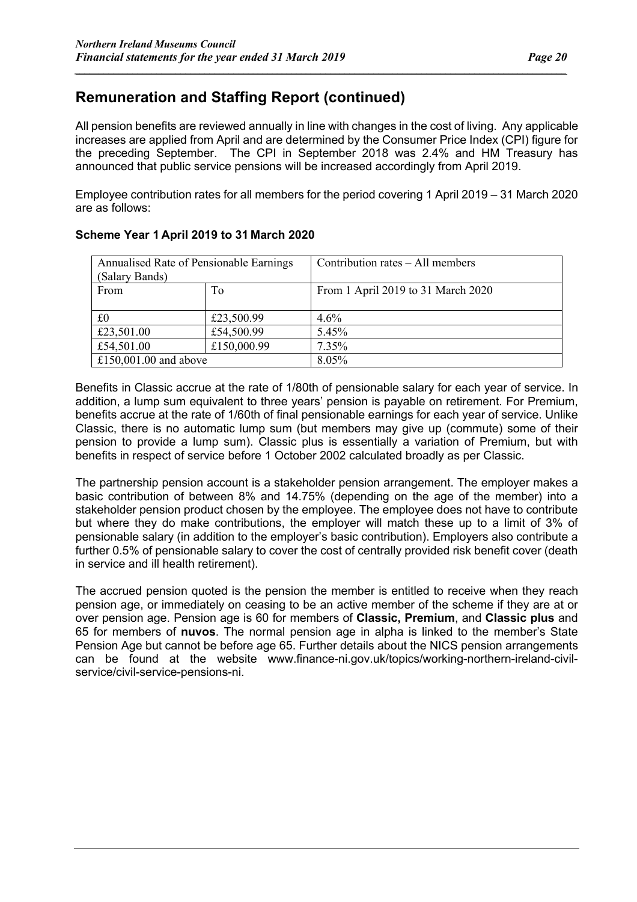All pension benefits are reviewed annually in line with changes in the cost of living. Any applicable increases are applied from April and are determined by the Consumer Price Index (CPI) figure for the preceding September. The CPI in September 2018 was 2.4% and HM Treasury has announced that public service pensions will be increased accordingly from April 2019.

*\_\_\_\_\_\_\_\_\_\_\_\_\_\_\_\_\_\_\_\_\_\_\_\_\_\_\_\_\_\_\_\_\_\_\_\_\_\_\_\_\_\_\_\_\_\_\_\_\_\_\_\_\_\_\_\_\_\_\_\_\_\_\_\_\_\_\_\_\_\_\_\_\_\_\_\_\_\_\_\_\_\_\_\_\_\_\_\_\_\_\_\_\_\_\_\_\_\_\_\_\_\_*

Employee contribution rates for all members for the period covering 1 April 2019 – 31 March 2020 are as follows:

| Annualised Rate of Pensionable Earnings<br>(Salary Bands) |             | Contribution rates – All members   |
|-----------------------------------------------------------|-------------|------------------------------------|
| From                                                      | To          | From 1 April 2019 to 31 March 2020 |
| £0                                                        | £23,500.99  | 4.6%                               |
| £23,501.00                                                | £54,500.99  | 5.45%                              |
| £54,501.00                                                | £150,000.99 | 7.35%                              |
| £150,001.00 and above                                     |             | 8.05%                              |

#### **Scheme Year 1 April 2019 to 31 March 2020**

Benefits in Classic accrue at the rate of 1/80th of pensionable salary for each year of service. In addition, a lump sum equivalent to three years' pension is payable on retirement. For Premium, benefits accrue at the rate of 1/60th of final pensionable earnings for each year of service. Unlike Classic, there is no automatic lump sum (but members may give up (commute) some of their pension to provide a lump sum). Classic plus is essentially a variation of Premium, but with benefits in respect of service before 1 October 2002 calculated broadly as per Classic.

The partnership pension account is a stakeholder pension arrangement. The employer makes a basic contribution of between 8% and 14.75% (depending on the age of the member) into a stakeholder pension product chosen by the employee. The employee does not have to contribute but where they do make contributions, the employer will match these up to a limit of 3% of pensionable salary (in addition to the employer's basic contribution). Employers also contribute a further 0.5% of pensionable salary to cover the cost of centrally provided risk benefit cover (death in service and ill health retirement).

The accrued pension quoted is the pension the member is entitled to receive when they reach pension age, or immediately on ceasing to be an active member of the scheme if they are at or over pension age. Pension age is 60 for members of **Classic, Premium**, and **Classic plus** and 65 for members of **nuvos**. The normal pension age in alpha is linked to the member's State Pension Age but cannot be before age 65. Further details about the NICS pension arrangements can be found at the website www.finance-ni.gov.uk/topics/working-northern-ireland-civilservice/civil-service-pensions-ni.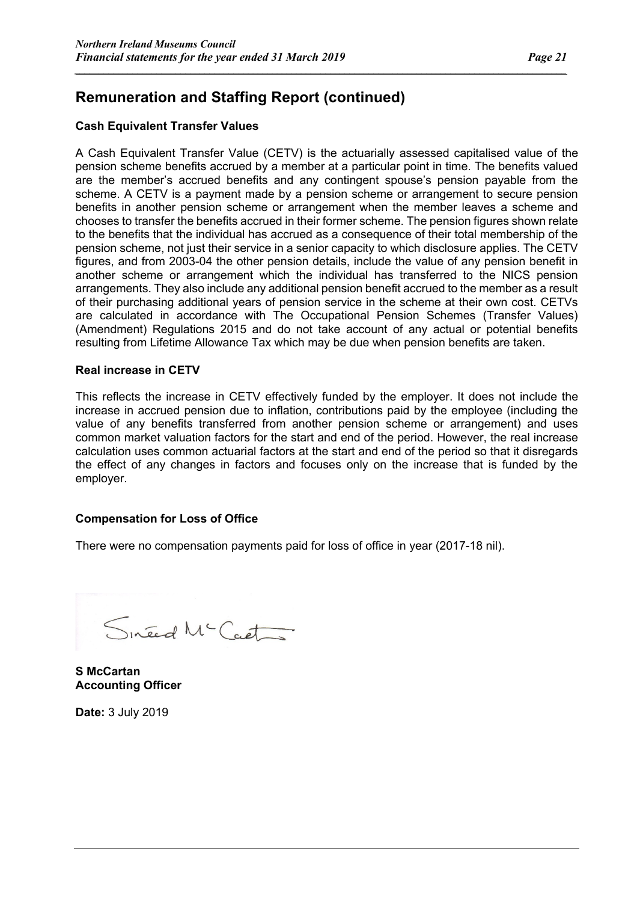#### **Cash Equivalent Transfer Values**

A Cash Equivalent Transfer Value (CETV) is the actuarially assessed capitalised value of the pension scheme benefits accrued by a member at a particular point in time. The benefits valued are the member's accrued benefits and any contingent spouse's pension payable from the scheme. A CETV is a payment made by a pension scheme or arrangement to secure pension benefits in another pension scheme or arrangement when the member leaves a scheme and chooses to transfer the benefits accrued in their former scheme. The pension figures shown relate to the benefits that the individual has accrued as a consequence of their total membership of the pension scheme, not just their service in a senior capacity to which disclosure applies. The CETV figures, and from 2003-04 the other pension details, include the value of any pension benefit in another scheme or arrangement which the individual has transferred to the NICS pension arrangements. They also include any additional pension benefit accrued to the member as a result of their purchasing additional years of pension service in the scheme at their own cost. CETVs are calculated in accordance with The Occupational Pension Schemes (Transfer Values) (Amendment) Regulations 2015 and do not take account of any actual or potential benefits resulting from Lifetime Allowance Tax which may be due when pension benefits are taken.

*\_\_\_\_\_\_\_\_\_\_\_\_\_\_\_\_\_\_\_\_\_\_\_\_\_\_\_\_\_\_\_\_\_\_\_\_\_\_\_\_\_\_\_\_\_\_\_\_\_\_\_\_\_\_\_\_\_\_\_\_\_\_\_\_\_\_\_\_\_\_\_\_\_\_\_\_\_\_\_\_\_\_\_\_\_\_\_\_\_\_\_\_\_\_\_\_\_\_\_\_\_\_*

#### **Real increase in CETV**

This reflects the increase in CETV effectively funded by the employer. It does not include the increase in accrued pension due to inflation, contributions paid by the employee (including the value of any benefits transferred from another pension scheme or arrangement) and uses common market valuation factors for the start and end of the period. However, the real increase calculation uses common actuarial factors at the start and end of the period so that it disregards the effect of any changes in factors and focuses only on the increase that is funded by the employer.

#### **Compensation for Loss of Office**

There were no compensation payments paid for loss of office in year (2017-18 nil).

Sineed Mc Caet

**S McCartan Accounting Officer** 

**Date:** 3 July 2019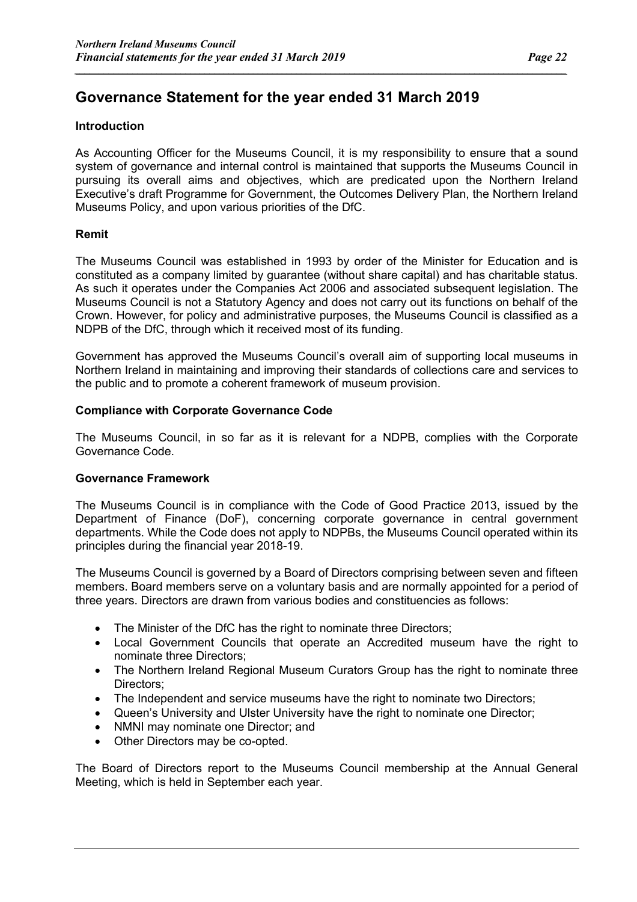#### **Introduction**

As Accounting Officer for the Museums Council, it is my responsibility to ensure that a sound system of governance and internal control is maintained that supports the Museums Council in pursuing its overall aims and objectives, which are predicated upon the Northern Ireland Executive's draft Programme for Government, the Outcomes Delivery Plan, the Northern Ireland Museums Policy, and upon various priorities of the DfC.

*\_\_\_\_\_\_\_\_\_\_\_\_\_\_\_\_\_\_\_\_\_\_\_\_\_\_\_\_\_\_\_\_\_\_\_\_\_\_\_\_\_\_\_\_\_\_\_\_\_\_\_\_\_\_\_\_\_\_\_\_\_\_\_\_\_\_\_\_\_\_\_\_\_\_\_\_\_\_\_\_\_\_\_\_\_\_\_\_\_\_\_\_\_\_\_\_\_\_\_\_\_\_*

#### **Remit**

The Museums Council was established in 1993 by order of the Minister for Education and is constituted as a company limited by guarantee (without share capital) and has charitable status. As such it operates under the Companies Act 2006 and associated subsequent legislation. The Museums Council is not a Statutory Agency and does not carry out its functions on behalf of the Crown. However, for policy and administrative purposes, the Museums Council is classified as a NDPB of the DfC, through which it received most of its funding.

Government has approved the Museums Council's overall aim of supporting local museums in Northern Ireland in maintaining and improving their standards of collections care and services to the public and to promote a coherent framework of museum provision.

#### **Compliance with Corporate Governance Code**

The Museums Council, in so far as it is relevant for a NDPB, complies with the Corporate Governance Code.

#### **Governance Framework**

The Museums Council is in compliance with the Code of Good Practice 2013, issued by the Department of Finance (DoF), concerning corporate governance in central government departments. While the Code does not apply to NDPBs, the Museums Council operated within its principles during the financial year 2018-19.

The Museums Council is governed by a Board of Directors comprising between seven and fifteen members. Board members serve on a voluntary basis and are normally appointed for a period of three years. Directors are drawn from various bodies and constituencies as follows:

- The Minister of the DfC has the right to nominate three Directors;
- Local Government Councils that operate an Accredited museum have the right to nominate three Directors;
- The Northern Ireland Regional Museum Curators Group has the right to nominate three Directors;
- The Independent and service museums have the right to nominate two Directors:
- Queen's University and Ulster University have the right to nominate one Director;
- NMNI may nominate one Director; and
- Other Directors may be co-opted.

The Board of Directors report to the Museums Council membership at the Annual General Meeting, which is held in September each year.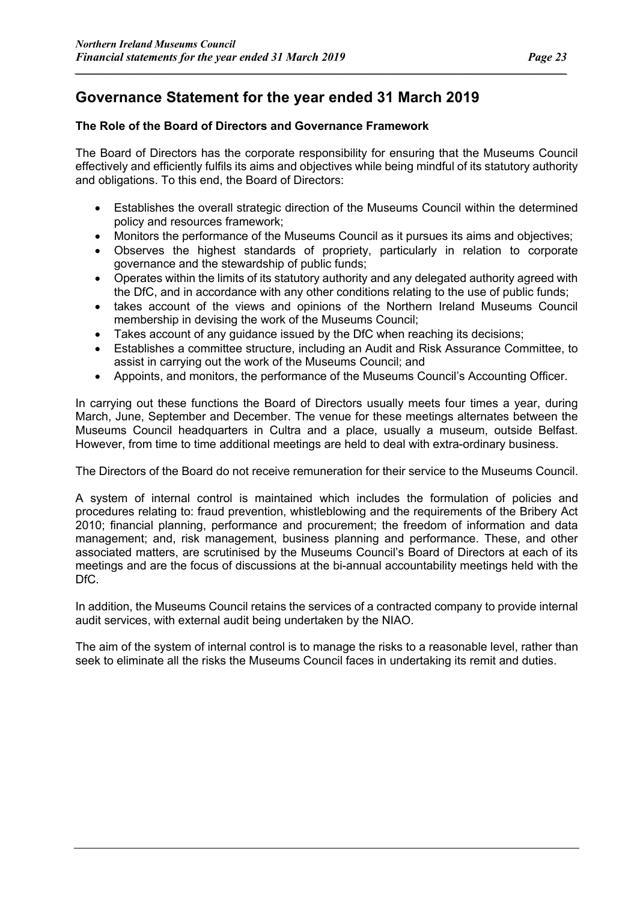### **Governance Statement for the year ended 31 March 2019**

#### **The Role of the Board of Directors and Governance Framework**

The Board of Directors has the corporate responsibility for ensuring that the Museums Council effectively and efficiently fulfils its aims and objectives while being mindful of its statutory authority and obligations. To this end, the Board of Directors:

*\_\_\_\_\_\_\_\_\_\_\_\_\_\_\_\_\_\_\_\_\_\_\_\_\_\_\_\_\_\_\_\_\_\_\_\_\_\_\_\_\_\_\_\_\_\_\_\_\_\_\_\_\_\_\_\_\_\_\_\_\_\_\_\_\_\_\_\_\_\_\_\_\_\_\_\_\_\_\_\_\_\_\_\_\_\_\_\_\_\_\_\_\_\_\_\_\_\_\_\_\_\_*

- Establishes the overall strategic direction of the Museums Council within the determined policy and resources framework;
- Monitors the performance of the Museums Council as it pursues its aims and objectives;
- Observes the highest standards of propriety, particularly in relation to corporate governance and the stewardship of public funds;
- Operates within the limits of its statutory authority and any delegated authority agreed with the DfC, and in accordance with any other conditions relating to the use of public funds;
- takes account of the views and opinions of the Northern Ireland Museums Council membership in devising the work of the Museums Council;
- Takes account of any guidance issued by the DfC when reaching its decisions;
- Establishes a committee structure, including an Audit and Risk Assurance Committee, to assist in carrying out the work of the Museums Council; and
- Appoints, and monitors, the performance of the Museums Council's Accounting Officer.

In carrying out these functions the Board of Directors usually meets four times a year, during March, June, September and December. The venue for these meetings alternates between the Museums Council headquarters in Cultra and a place, usually a museum, outside Belfast. However, from time to time additional meetings are held to deal with extra-ordinary business.

The Directors of the Board do not receive remuneration for their service to the Museums Council.

A system of internal control is maintained which includes the formulation of policies and procedures relating to: fraud prevention, whistleblowing and the requirements of the Bribery Act 2010; financial planning, performance and procurement; the freedom of information and data management; and, risk management, business planning and performance. These, and other associated matters, are scrutinised by the Museums Council's Board of Directors at each of its meetings and are the focus of discussions at the bi-annual accountability meetings held with the DfC.

In addition, the Museums Council retains the services of a contracted company to provide internal audit services, with external audit being undertaken by the NIAO.

The aim of the system of internal control is to manage the risks to a reasonable level, rather than seek to eliminate all the risks the Museums Council faces in undertaking its remit and duties.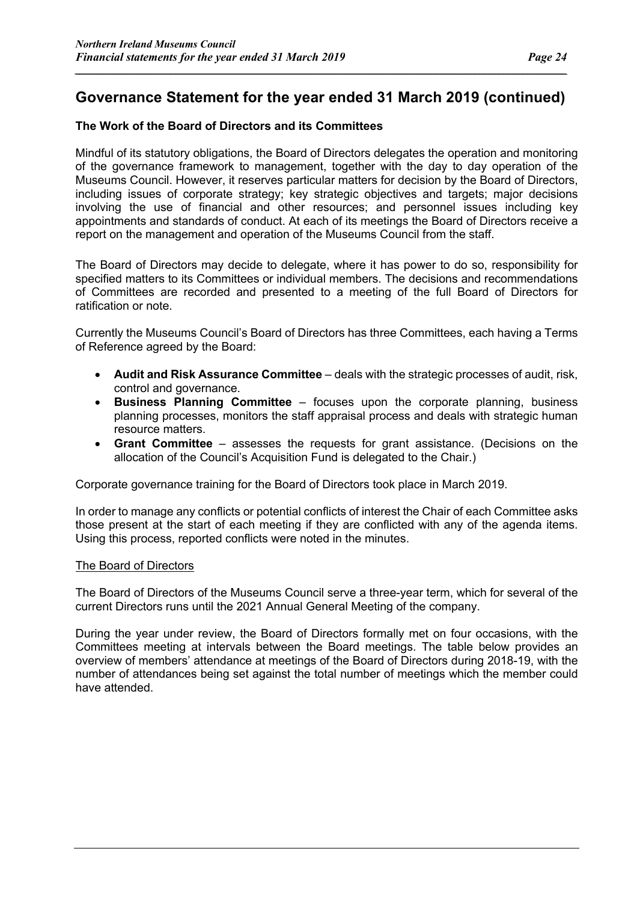*\_\_\_\_\_\_\_\_\_\_\_\_\_\_\_\_\_\_\_\_\_\_\_\_\_\_\_\_\_\_\_\_\_\_\_\_\_\_\_\_\_\_\_\_\_\_\_\_\_\_\_\_\_\_\_\_\_\_\_\_\_\_\_\_\_\_\_\_\_\_\_\_\_\_\_\_\_\_\_\_\_\_\_\_\_\_\_\_\_\_\_\_\_\_\_\_\_\_\_\_\_\_*

#### **The Work of the Board of Directors and its Committees**

Mindful of its statutory obligations, the Board of Directors delegates the operation and monitoring of the governance framework to management, together with the day to day operation of the Museums Council. However, it reserves particular matters for decision by the Board of Directors, including issues of corporate strategy; key strategic objectives and targets; major decisions involving the use of financial and other resources; and personnel issues including key appointments and standards of conduct. At each of its meetings the Board of Directors receive a report on the management and operation of the Museums Council from the staff.

The Board of Directors may decide to delegate, where it has power to do so, responsibility for specified matters to its Committees or individual members. The decisions and recommendations of Committees are recorded and presented to a meeting of the full Board of Directors for ratification or note.

Currently the Museums Council's Board of Directors has three Committees, each having a Terms of Reference agreed by the Board:

- **Audit and Risk Assurance Committee** deals with the strategic processes of audit, risk, control and governance.
- **Business Planning Committee** focuses upon the corporate planning, business planning processes, monitors the staff appraisal process and deals with strategic human resource matters.
- **Grant Committee** assesses the requests for grant assistance. (Decisions on the allocation of the Council's Acquisition Fund is delegated to the Chair.)

Corporate governance training for the Board of Directors took place in March 2019.

In order to manage any conflicts or potential conflicts of interest the Chair of each Committee asks those present at the start of each meeting if they are conflicted with any of the agenda items. Using this process, reported conflicts were noted in the minutes.

#### The Board of Directors

The Board of Directors of the Museums Council serve a three-year term, which for several of the current Directors runs until the 2021 Annual General Meeting of the company.

During the year under review, the Board of Directors formally met on four occasions, with the Committees meeting at intervals between the Board meetings. The table below provides an overview of members' attendance at meetings of the Board of Directors during 2018-19, with the number of attendances being set against the total number of meetings which the member could have attended.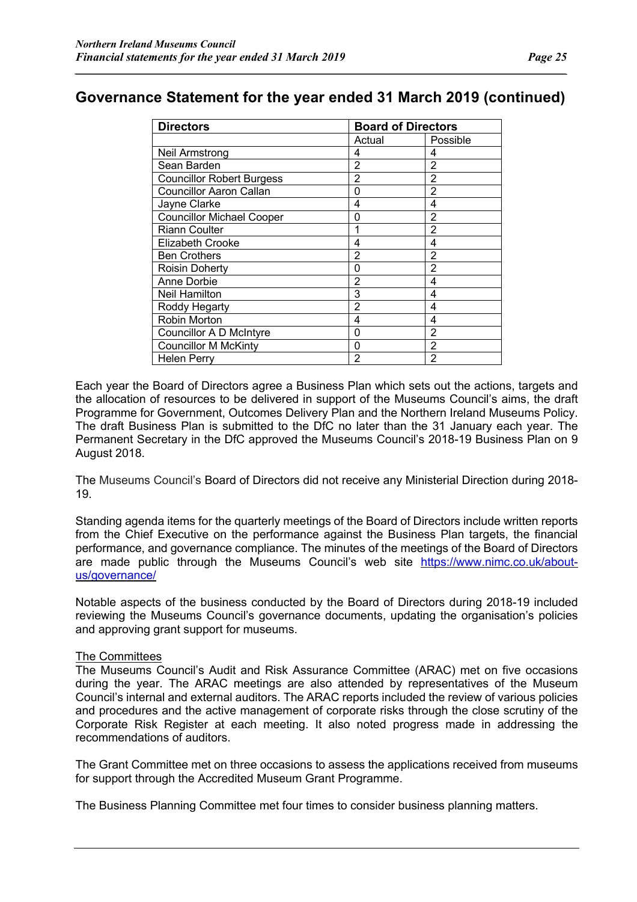*\_\_\_\_\_\_\_\_\_\_\_\_\_\_\_\_\_\_\_\_\_\_\_\_\_\_\_\_\_\_\_\_\_\_\_\_\_\_\_\_\_\_\_\_\_\_\_\_\_\_\_\_\_\_\_\_\_\_\_\_\_\_\_\_\_\_\_\_\_\_\_\_\_\_\_\_\_\_\_\_\_\_\_\_\_\_\_\_\_\_\_\_\_\_\_\_\_\_\_\_\_\_*

| <b>Directors</b>                 | <b>Board of Directors</b> |                |
|----------------------------------|---------------------------|----------------|
|                                  | Actual                    | Possible       |
| Neil Armstrong                   | 4                         | 4              |
| Sean Barden                      | 2                         | 2              |
| <b>Councillor Robert Burgess</b> | 2                         | 2              |
| <b>Councillor Aaron Callan</b>   | 0                         | 2              |
| Jayne Clarke                     | 4                         | 4              |
| <b>Councillor Michael Cooper</b> | 0                         | 2              |
| <b>Riann Coulter</b>             |                           | $\overline{2}$ |
| Elizabeth Crooke                 | 4                         | 4              |
| <b>Ben Crothers</b>              | 2                         | 2              |
| Roisin Doherty                   | 0                         | $\overline{2}$ |
| <b>Anne Dorbie</b>               | 2                         | 4              |
| Neil Hamilton                    | 3                         | 4              |
| Roddy Hegarty                    | 2                         | 4              |
| Robin Morton                     | 4                         | 4              |
| <b>Councillor A D McIntyre</b>   | 0                         | $\overline{2}$ |
| <b>Councillor M McKinty</b>      | 0                         | $\overline{2}$ |
| Helen Perry                      | 2                         | 2              |

Each year the Board of Directors agree a Business Plan which sets out the actions, targets and the allocation of resources to be delivered in support of the Museums Council's aims, the draft Programme for Government, Outcomes Delivery Plan and the Northern Ireland Museums Policy. The draft Business Plan is submitted to the DfC no later than the 31 January each year. The Permanent Secretary in the DfC approved the Museums Council's 2018-19 Business Plan on 9 August 2018.

The Museums Council's Board of Directors did not receive any Ministerial Direction during 2018- 19.

Standing agenda items for the quarterly meetings of the Board of Directors include written reports from the Chief Executive on the performance against the Business Plan targets, the financial performance, and governance compliance. The minutes of the meetings of the Board of Directors are made public through the Museums Council's web site https://www.nimc.co.uk/aboutus/governance/

Notable aspects of the business conducted by the Board of Directors during 2018-19 included reviewing the Museums Council's governance documents, updating the organisation's policies and approving grant support for museums.

#### The Committees

The Museums Council's Audit and Risk Assurance Committee (ARAC) met on five occasions during the year. The ARAC meetings are also attended by representatives of the Museum Council's internal and external auditors. The ARAC reports included the review of various policies and procedures and the active management of corporate risks through the close scrutiny of the Corporate Risk Register at each meeting. It also noted progress made in addressing the recommendations of auditors.

The Grant Committee met on three occasions to assess the applications received from museums for support through the Accredited Museum Grant Programme.

The Business Planning Committee met four times to consider business planning matters.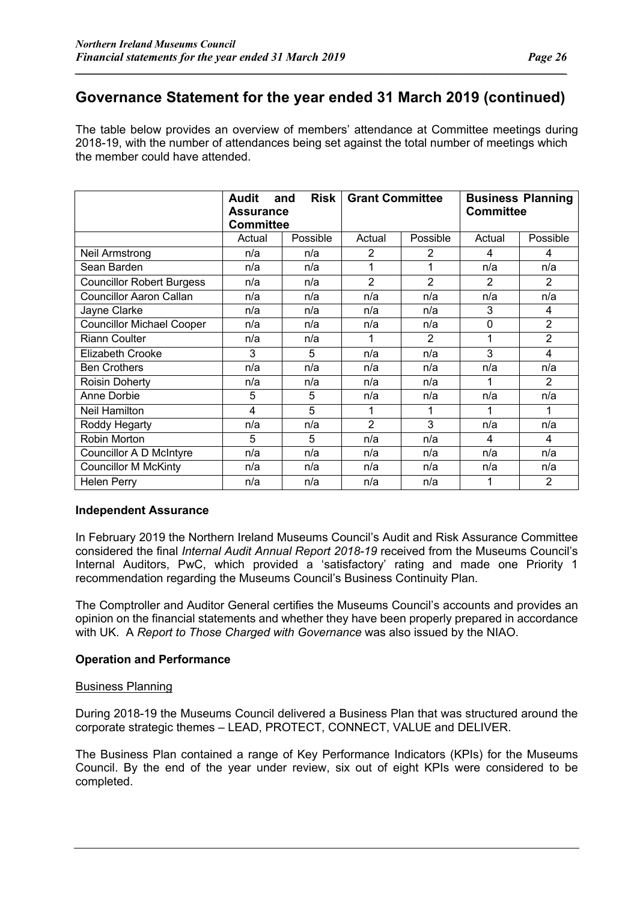*\_\_\_\_\_\_\_\_\_\_\_\_\_\_\_\_\_\_\_\_\_\_\_\_\_\_\_\_\_\_\_\_\_\_\_\_\_\_\_\_\_\_\_\_\_\_\_\_\_\_\_\_\_\_\_\_\_\_\_\_\_\_\_\_\_\_\_\_\_\_\_\_\_\_\_\_\_\_\_\_\_\_\_\_\_\_\_\_\_\_\_\_\_\_\_\_\_\_\_\_\_\_*

The table below provides an overview of members' attendance at Committee meetings during 2018-19, with the number of attendances being set against the total number of meetings which the member could have attended.

|                                  | <b>Risk</b><br><b>Audit</b><br>and |          | <b>Grant Committee</b> |                | <b>Business Planning</b> |                |  |
|----------------------------------|------------------------------------|----------|------------------------|----------------|--------------------------|----------------|--|
|                                  | <b>Assurance</b>                   |          |                        |                | <b>Committee</b>         |                |  |
|                                  | <b>Committee</b>                   |          |                        |                |                          |                |  |
|                                  | Actual                             | Possible | Actual                 | Possible       | Actual                   | Possible       |  |
| Neil Armstrong                   | n/a                                | n/a      | 2                      | 2              | 4                        | 4              |  |
| Sean Barden                      | n/a                                | n/a      |                        | 1              | n/a                      | n/a            |  |
| <b>Councillor Robert Burgess</b> | n/a                                | n/a      | $\overline{2}$         | $\overline{2}$ | 2                        | 2              |  |
| <b>Councillor Aaron Callan</b>   | n/a                                | n/a      | n/a                    | n/a            | n/a                      | n/a            |  |
| Jayne Clarke                     | n/a                                | n/a      | n/a                    | n/a            | 3                        | 4              |  |
| <b>Councillor Michael Cooper</b> | n/a                                | n/a      | n/a                    | n/a            | 0                        | $\overline{2}$ |  |
| <b>Riann Coulter</b>             | n/a                                | n/a      |                        | $\overline{2}$ | 1                        | $\overline{2}$ |  |
| <b>Elizabeth Crooke</b>          | 3                                  | 5        | n/a                    | n/a            | 3                        | 4              |  |
| <b>Ben Crothers</b>              | n/a                                | n/a      | n/a                    | n/a            | n/a                      | n/a            |  |
| Roisin Doherty                   | n/a                                | n/a      | n/a                    | n/a            | 1                        | $\overline{2}$ |  |
| Anne Dorbie                      | 5                                  | 5        | n/a                    | n/a            | n/a                      | n/a            |  |
| <b>Neil Hamilton</b>             | 4                                  | 5        |                        | 1              |                          | 1              |  |
| Roddy Hegarty                    | n/a                                | n/a      | $\overline{2}$         | 3              | n/a                      | n/a            |  |
| Robin Morton                     | 5                                  | 5        | n/a                    | n/a            | 4                        | 4              |  |
| <b>Councillor A D McIntyre</b>   | n/a                                | n/a      | n/a                    | n/a            | n/a                      | n/a            |  |
| <b>Councillor M McKinty</b>      | n/a                                | n/a      | n/a                    | n/a            | n/a                      | n/a            |  |
| <b>Helen Perry</b>               | n/a                                | n/a      | n/a                    | n/a            |                          | 2              |  |

#### **Independent Assurance**

In February 2019 the Northern Ireland Museums Council's Audit and Risk Assurance Committee considered the final *Internal Audit Annual Report 2018-19* received from the Museums Council's Internal Auditors, PwC, which provided a 'satisfactory' rating and made one Priority 1 recommendation regarding the Museums Council's Business Continuity Plan.

The Comptroller and Auditor General certifies the Museums Council's accounts and provides an opinion on the financial statements and whether they have been properly prepared in accordance with UK. A *Report to Those Charged with Governance* was also issued by the NIAO.

#### **Operation and Performance**

#### Business Planning

During 2018-19 the Museums Council delivered a Business Plan that was structured around the corporate strategic themes – LEAD, PROTECT, CONNECT, VALUE and DELIVER.

The Business Plan contained a range of Key Performance Indicators (KPIs) for the Museums Council. By the end of the year under review, six out of eight KPIs were considered to be completed.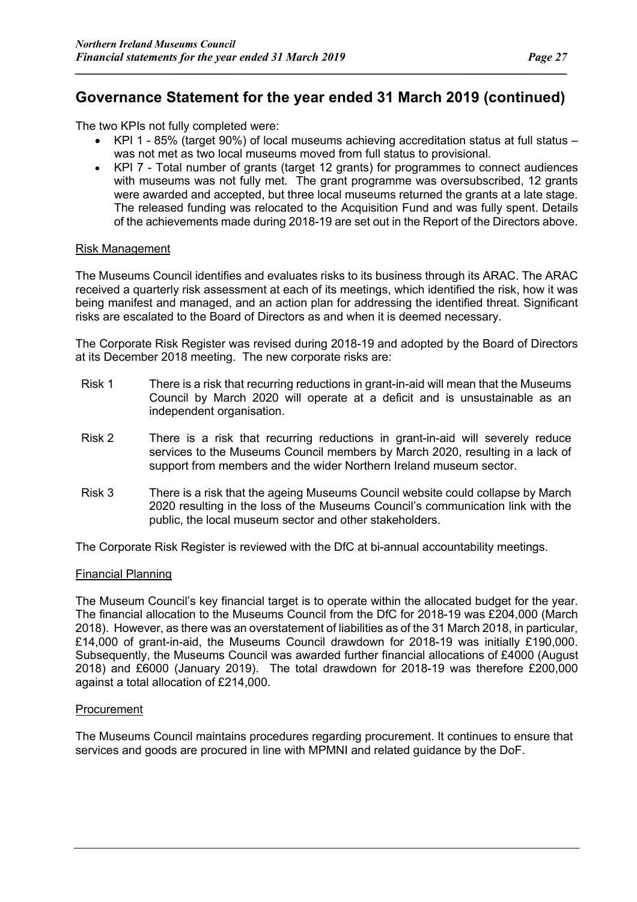*\_\_\_\_\_\_\_\_\_\_\_\_\_\_\_\_\_\_\_\_\_\_\_\_\_\_\_\_\_\_\_\_\_\_\_\_\_\_\_\_\_\_\_\_\_\_\_\_\_\_\_\_\_\_\_\_\_\_\_\_\_\_\_\_\_\_\_\_\_\_\_\_\_\_\_\_\_\_\_\_\_\_\_\_\_\_\_\_\_\_\_\_\_\_\_\_\_\_\_\_\_\_*

The two KPIs not fully completed were:

- $KPI$  1 85% (target 90%) of local museums achieving accreditation status at full status was not met as two local museums moved from full status to provisional.
- KPI 7 Total number of grants (target 12 grants) for programmes to connect audiences with museums was not fully met. The grant programme was oversubscribed, 12 grants were awarded and accepted, but three local museums returned the grants at a late stage. The released funding was relocated to the Acquisition Fund and was fully spent. Details of the achievements made during 2018-19 are set out in the Report of the Directors above.

#### Risk Management

The Museums Council identifies and evaluates risks to its business through its ARAC. The ARAC received a quarterly risk assessment at each of its meetings, which identified the risk, how it was being manifest and managed, and an action plan for addressing the identified threat. Significant risks are escalated to the Board of Directors as and when it is deemed necessary.

The Corporate Risk Register was revised during 2018-19 and adopted by the Board of Directors at its December 2018 meeting. The new corporate risks are:

- Risk 1 There is a risk that recurring reductions in grant-in-aid will mean that the Museums Council by March 2020 will operate at a deficit and is unsustainable as an independent organisation.
- Risk 2 There is a risk that recurring reductions in grant-in-aid will severely reduce services to the Museums Council members by March 2020, resulting in a lack of support from members and the wider Northern Ireland museum sector.
- Risk 3 There is a risk that the ageing Museums Council website could collapse by March 2020 resulting in the loss of the Museums Council's communication link with the public, the local museum sector and other stakeholders.

The Corporate Risk Register is reviewed with the DfC at bi-annual accountability meetings.

#### Financial Planning

The Museum Council's key financial target is to operate within the allocated budget for the year. The financial allocation to the Museums Council from the DfC for 2018-19 was £204,000 (March 2018). However, as there was an overstatement of liabilities as of the 31 March 2018, in particular, £14,000 of grant-in-aid, the Museums Council drawdown for 2018-19 was initially £190,000. Subsequently, the Museums Council was awarded further financial allocations of £4000 (August 2018) and £6000 (January 2019). The total drawdown for 2018-19 was therefore £200,000 against a total allocation of £214,000.

#### Procurement

The Museums Council maintains procedures regarding procurement. It continues to ensure that services and goods are procured in line with MPMNI and related guidance by the DoF.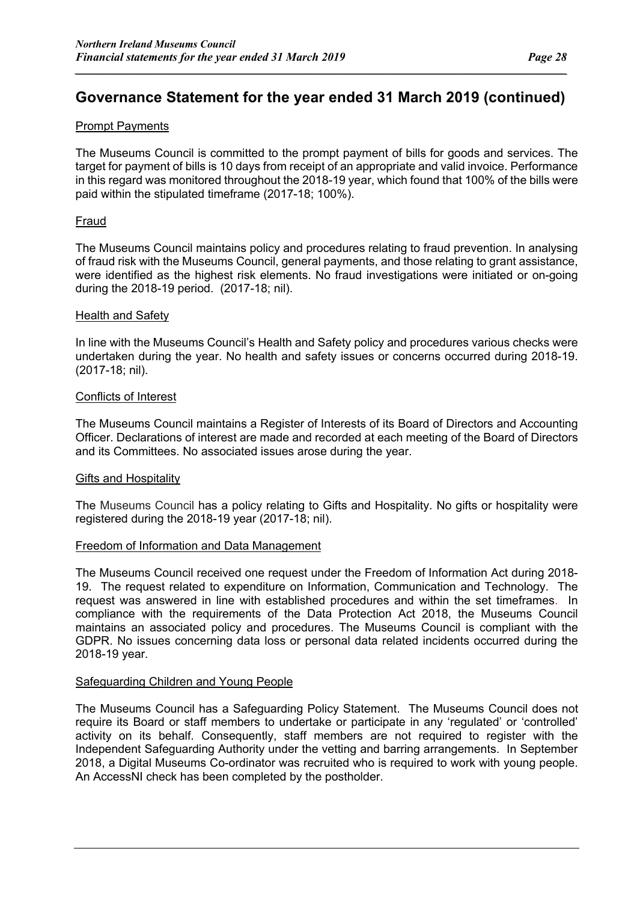*\_\_\_\_\_\_\_\_\_\_\_\_\_\_\_\_\_\_\_\_\_\_\_\_\_\_\_\_\_\_\_\_\_\_\_\_\_\_\_\_\_\_\_\_\_\_\_\_\_\_\_\_\_\_\_\_\_\_\_\_\_\_\_\_\_\_\_\_\_\_\_\_\_\_\_\_\_\_\_\_\_\_\_\_\_\_\_\_\_\_\_\_\_\_\_\_\_\_\_\_\_\_*

#### Prompt Payments

The Museums Council is committed to the prompt payment of bills for goods and services. The target for payment of bills is 10 days from receipt of an appropriate and valid invoice. Performance in this regard was monitored throughout the 2018-19 year, which found that 100% of the bills were paid within the stipulated timeframe (2017-18; 100%).

#### Fraud

The Museums Council maintains policy and procedures relating to fraud prevention. In analysing of fraud risk with the Museums Council, general payments, and those relating to grant assistance, were identified as the highest risk elements. No fraud investigations were initiated or on-going during the 2018-19 period. (2017-18; nil).

#### Health and Safety

In line with the Museums Council's Health and Safety policy and procedures various checks were undertaken during the year. No health and safety issues or concerns occurred during 2018-19. (2017-18; nil).

#### Conflicts of Interest

The Museums Council maintains a Register of Interests of its Board of Directors and Accounting Officer. Declarations of interest are made and recorded at each meeting of the Board of Directors and its Committees. No associated issues arose during the year.

#### Gifts and Hospitality

The Museums Council has a policy relating to Gifts and Hospitality. No gifts or hospitality were registered during the 2018-19 year (2017-18; nil).

#### Freedom of Information and Data Management

The Museums Council received one request under the Freedom of Information Act during 2018- 19. The request related to expenditure on Information, Communication and Technology. The request was answered in line with established procedures and within the set timeframes. In compliance with the requirements of the Data Protection Act 2018, the Museums Council maintains an associated policy and procedures. The Museums Council is compliant with the GDPR. No issues concerning data loss or personal data related incidents occurred during the 2018-19 year.

#### Safeguarding Children and Young People

The Museums Council has a Safeguarding Policy Statement. The Museums Council does not require its Board or staff members to undertake or participate in any 'regulated' or 'controlled' activity on its behalf. Consequently, staff members are not required to register with the Independent Safeguarding Authority under the vetting and barring arrangements. In September 2018, a Digital Museums Co-ordinator was recruited who is required to work with young people. An AccessNI check has been completed by the postholder.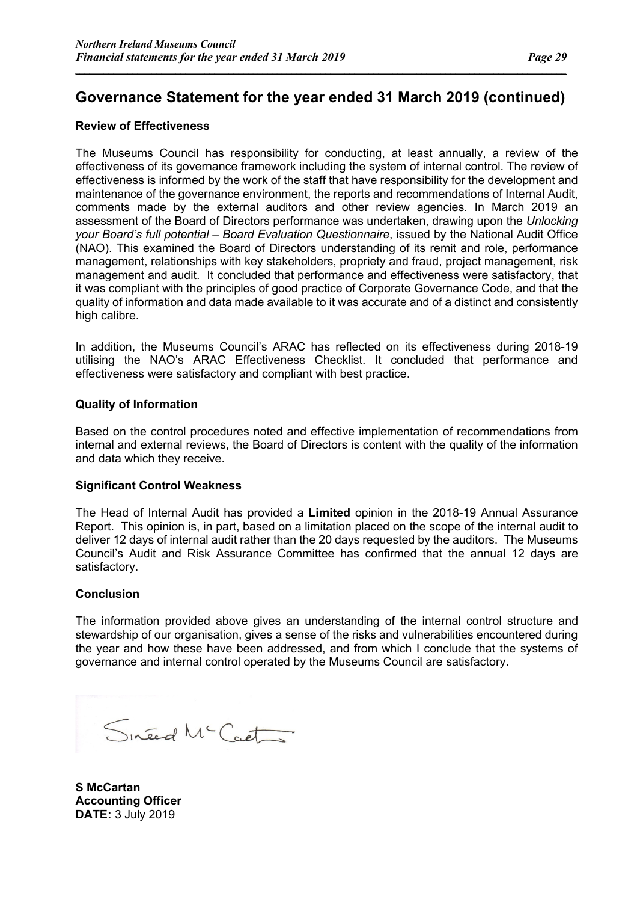*\_\_\_\_\_\_\_\_\_\_\_\_\_\_\_\_\_\_\_\_\_\_\_\_\_\_\_\_\_\_\_\_\_\_\_\_\_\_\_\_\_\_\_\_\_\_\_\_\_\_\_\_\_\_\_\_\_\_\_\_\_\_\_\_\_\_\_\_\_\_\_\_\_\_\_\_\_\_\_\_\_\_\_\_\_\_\_\_\_\_\_\_\_\_\_\_\_\_\_\_\_\_*

#### **Review of Effectiveness**

The Museums Council has responsibility for conducting, at least annually, a review of the effectiveness of its governance framework including the system of internal control. The review of effectiveness is informed by the work of the staff that have responsibility for the development and maintenance of the governance environment, the reports and recommendations of Internal Audit, comments made by the external auditors and other review agencies. In March 2019 an assessment of the Board of Directors performance was undertaken, drawing upon the *Unlocking your Board's full potential – Board Evaluation Questionnaire*, issued by the National Audit Office (NAO). This examined the Board of Directors understanding of its remit and role, performance management, relationships with key stakeholders, propriety and fraud, project management, risk management and audit. It concluded that performance and effectiveness were satisfactory, that it was compliant with the principles of good practice of Corporate Governance Code, and that the quality of information and data made available to it was accurate and of a distinct and consistently high calibre.

In addition, the Museums Council's ARAC has reflected on its effectiveness during 2018-19 utilising the NAO's ARAC Effectiveness Checklist. It concluded that performance and effectiveness were satisfactory and compliant with best practice.

#### **Quality of Information**

Based on the control procedures noted and effective implementation of recommendations from internal and external reviews, the Board of Directors is content with the quality of the information and data which they receive.

#### **Significant Control Weakness**

The Head of Internal Audit has provided a **Limited** opinion in the 2018-19 Annual Assurance Report. This opinion is, in part, based on a limitation placed on the scope of the internal audit to deliver 12 days of internal audit rather than the 20 days requested by the auditors. The Museums Council's Audit and Risk Assurance Committee has confirmed that the annual 12 days are satisfactory.

#### **Conclusion**

The information provided above gives an understanding of the internal control structure and stewardship of our organisation, gives a sense of the risks and vulnerabilities encountered during the year and how these have been addressed, and from which I conclude that the systems of governance and internal control operated by the Museums Council are satisfactory.

Sineed Mc Cart

**S McCartan Accounting Officer DATE:** 3 July 2019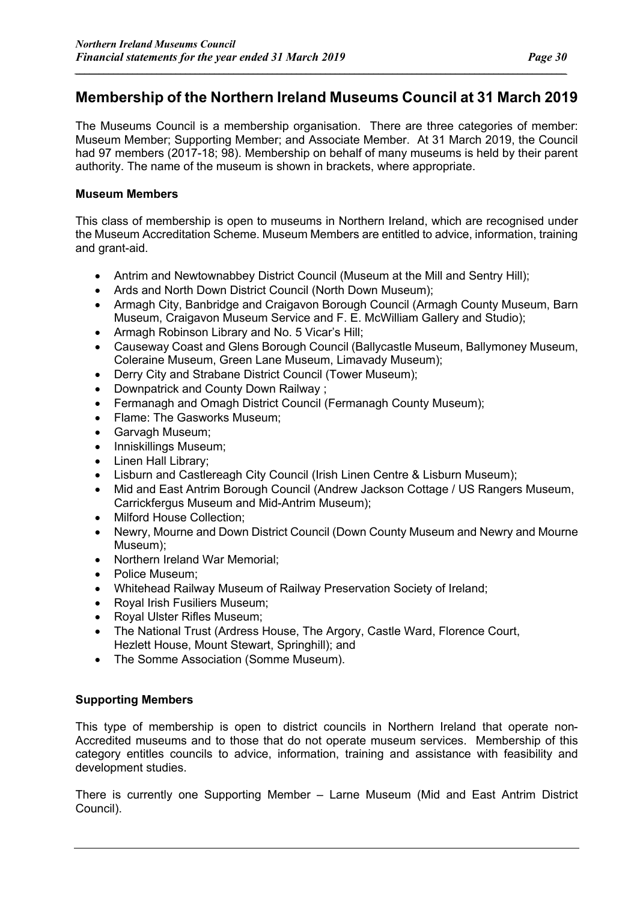### **Membership of the Northern Ireland Museums Council at 31 March 2019**

*\_\_\_\_\_\_\_\_\_\_\_\_\_\_\_\_\_\_\_\_\_\_\_\_\_\_\_\_\_\_\_\_\_\_\_\_\_\_\_\_\_\_\_\_\_\_\_\_\_\_\_\_\_\_\_\_\_\_\_\_\_\_\_\_\_\_\_\_\_\_\_\_\_\_\_\_\_\_\_\_\_\_\_\_\_\_\_\_\_\_\_\_\_\_\_\_\_\_\_\_\_\_*

The Museums Council is a membership organisation. There are three categories of member: Museum Member; Supporting Member; and Associate Member. At 31 March 2019, the Council had 97 members (2017-18; 98). Membership on behalf of many museums is held by their parent authority. The name of the museum is shown in brackets, where appropriate.

#### **Museum Members**

This class of membership is open to museums in Northern Ireland, which are recognised under the Museum Accreditation Scheme. Museum Members are entitled to advice, information, training and grant-aid.

- Antrim and Newtownabbey District Council (Museum at the Mill and Sentry Hill);
- Ards and North Down District Council (North Down Museum);
- Armagh City, Banbridge and Craigavon Borough Council (Armagh County Museum, Barn Museum, Craigavon Museum Service and F. E. McWilliam Gallery and Studio);
- Armagh Robinson Library and No. 5 Vicar's Hill;
- Causeway Coast and Glens Borough Council (Ballycastle Museum, Ballymoney Museum, Coleraine Museum, Green Lane Museum, Limavady Museum);
- Derry City and Strabane District Council (Tower Museum);
- Downpatrick and County Down Railway ;
- Fermanagh and Omagh District Council (Fermanagh County Museum):
- Flame: The Gasworks Museum;
- Garvagh Museum;
- Inniskillings Museum;
- Linen Hall Library;
- Lisburn and Castlereagh City Council (Irish Linen Centre & Lisburn Museum);
- Mid and East Antrim Borough Council (Andrew Jackson Cottage / US Rangers Museum, Carrickfergus Museum and Mid-Antrim Museum);
- Milford House Collection;
- Newry, Mourne and Down District Council (Down County Museum and Newry and Mourne Museum);
- Northern Ireland War Memorial;
- Police Museum;
- Whitehead Railway Museum of Railway Preservation Society of Ireland;
- Royal Irish Fusiliers Museum;
- Royal Ulster Rifles Museum;
- The National Trust (Ardress House, The Argory, Castle Ward, Florence Court, Hezlett House, Mount Stewart, Springhill); and
- The Somme Association (Somme Museum).

#### **Supporting Members**

This type of membership is open to district councils in Northern Ireland that operate non-Accredited museums and to those that do not operate museum services. Membership of this category entitles councils to advice, information, training and assistance with feasibility and development studies.

There is currently one Supporting Member – Larne Museum (Mid and East Antrim District Council).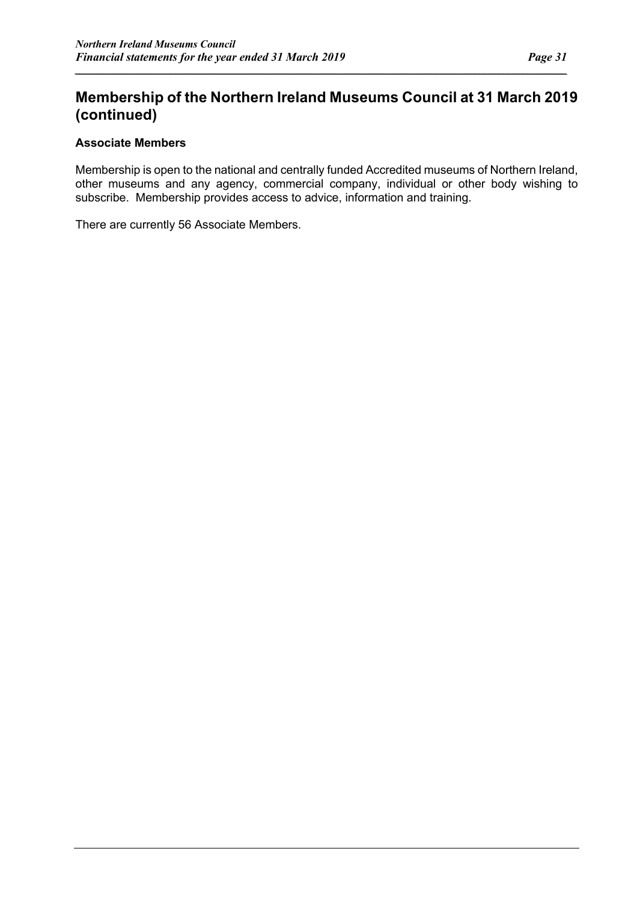### **Membership of the Northern Ireland Museums Council at 31 March 2019 (continued)**

*\_\_\_\_\_\_\_\_\_\_\_\_\_\_\_\_\_\_\_\_\_\_\_\_\_\_\_\_\_\_\_\_\_\_\_\_\_\_\_\_\_\_\_\_\_\_\_\_\_\_\_\_\_\_\_\_\_\_\_\_\_\_\_\_\_\_\_\_\_\_\_\_\_\_\_\_\_\_\_\_\_\_\_\_\_\_\_\_\_\_\_\_\_\_\_\_\_\_\_\_\_\_*

#### **Associate Members**

Membership is open to the national and centrally funded Accredited museums of Northern Ireland, other museums and any agency, commercial company, individual or other body wishing to subscribe. Membership provides access to advice, information and training.

There are currently 56 Associate Members.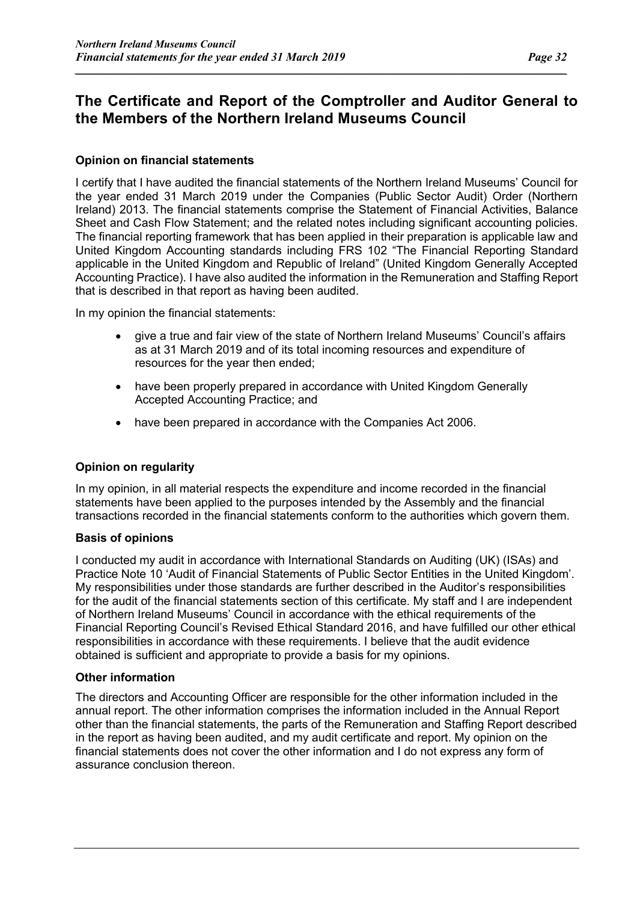### **The Certificate and Report of the Comptroller and Auditor General to the Members of the Northern Ireland Museums Council**

*\_\_\_\_\_\_\_\_\_\_\_\_\_\_\_\_\_\_\_\_\_\_\_\_\_\_\_\_\_\_\_\_\_\_\_\_\_\_\_\_\_\_\_\_\_\_\_\_\_\_\_\_\_\_\_\_\_\_\_\_\_\_\_\_\_\_\_\_\_\_\_\_\_\_\_\_\_\_\_\_\_\_\_\_\_\_\_\_\_\_\_\_\_\_\_\_\_\_\_\_\_\_*

#### **Opinion on financial statements**

I certify that I have audited the financial statements of the Northern Ireland Museums' Council for the year ended 31 March 2019 under the Companies (Public Sector Audit) Order (Northern Ireland) 2013. The financial statements comprise the Statement of Financial Activities, Balance Sheet and Cash Flow Statement; and the related notes including significant accounting policies. The financial reporting framework that has been applied in their preparation is applicable law and United Kingdom Accounting standards including FRS 102 "The Financial Reporting Standard applicable in the United Kingdom and Republic of Ireland" (United Kingdom Generally Accepted Accounting Practice). I have also audited the information in the Remuneration and Staffing Report that is described in that report as having been audited.

In my opinion the financial statements:

- give a true and fair view of the state of Northern Ireland Museums' Council's affairs as at 31 March 2019 and of its total incoming resources and expenditure of resources for the year then ended;
- have been properly prepared in accordance with United Kingdom Generally Accepted Accounting Practice; and
- have been prepared in accordance with the Companies Act 2006.

#### **Opinion on regularity**

In my opinion, in all material respects the expenditure and income recorded in the financial statements have been applied to the purposes intended by the Assembly and the financial transactions recorded in the financial statements conform to the authorities which govern them.

#### **Basis of opinions**

I conducted my audit in accordance with International Standards on Auditing (UK) (ISAs) and Practice Note 10 'Audit of Financial Statements of Public Sector Entities in the United Kingdom'. My responsibilities under those standards are further described in the Auditor's responsibilities for the audit of the financial statements section of this certificate. My staff and I are independent of Northern Ireland Museums' Council in accordance with the ethical requirements of the Financial Reporting Council's Revised Ethical Standard 2016, and have fulfilled our other ethical responsibilities in accordance with these requirements. I believe that the audit evidence obtained is sufficient and appropriate to provide a basis for my opinions.

#### **Other information**

The directors and Accounting Officer are responsible for the other information included in the annual report. The other information comprises the information included in the Annual Report other than the financial statements, the parts of the Remuneration and Staffing Report described in the report as having been audited, and my audit certificate and report. My opinion on the financial statements does not cover the other information and I do not express any form of assurance conclusion thereon.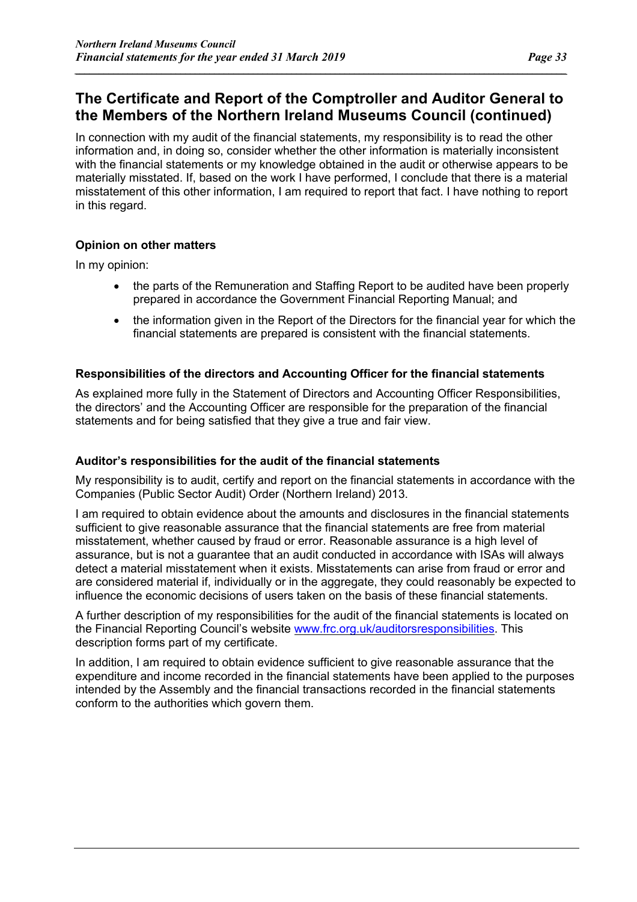### **The Certificate and Report of the Comptroller and Auditor General to the Members of the Northern Ireland Museums Council (continued)**

*\_\_\_\_\_\_\_\_\_\_\_\_\_\_\_\_\_\_\_\_\_\_\_\_\_\_\_\_\_\_\_\_\_\_\_\_\_\_\_\_\_\_\_\_\_\_\_\_\_\_\_\_\_\_\_\_\_\_\_\_\_\_\_\_\_\_\_\_\_\_\_\_\_\_\_\_\_\_\_\_\_\_\_\_\_\_\_\_\_\_\_\_\_\_\_\_\_\_\_\_\_\_*

In connection with my audit of the financial statements, my responsibility is to read the other information and, in doing so, consider whether the other information is materially inconsistent with the financial statements or my knowledge obtained in the audit or otherwise appears to be materially misstated. If, based on the work I have performed, I conclude that there is a material misstatement of this other information, I am required to report that fact. I have nothing to report in this regard.

#### **Opinion on other matters**

In my opinion:

- the parts of the Remuneration and Staffing Report to be audited have been properly prepared in accordance the Government Financial Reporting Manual; and
- the information given in the Report of the Directors for the financial year for which the financial statements are prepared is consistent with the financial statements.

#### **Responsibilities of the directors and Accounting Officer for the financial statements**

As explained more fully in the Statement of Directors and Accounting Officer Responsibilities, the directors' and the Accounting Officer are responsible for the preparation of the financial statements and for being satisfied that they give a true and fair view.

#### **Auditor's responsibilities for the audit of the financial statements**

My responsibility is to audit, certify and report on the financial statements in accordance with the Companies (Public Sector Audit) Order (Northern Ireland) 2013.

I am required to obtain evidence about the amounts and disclosures in the financial statements sufficient to give reasonable assurance that the financial statements are free from material misstatement, whether caused by fraud or error. Reasonable assurance is a high level of assurance, but is not a guarantee that an audit conducted in accordance with ISAs will always detect a material misstatement when it exists. Misstatements can arise from fraud or error and are considered material if, individually or in the aggregate, they could reasonably be expected to influence the economic decisions of users taken on the basis of these financial statements.

A further description of my responsibilities for the audit of the financial statements is located on the Financial Reporting Council's website www.frc.org.uk/auditorsresponsibilities. This description forms part of my certificate.

In addition, I am required to obtain evidence sufficient to give reasonable assurance that the expenditure and income recorded in the financial statements have been applied to the purposes intended by the Assembly and the financial transactions recorded in the financial statements conform to the authorities which govern them.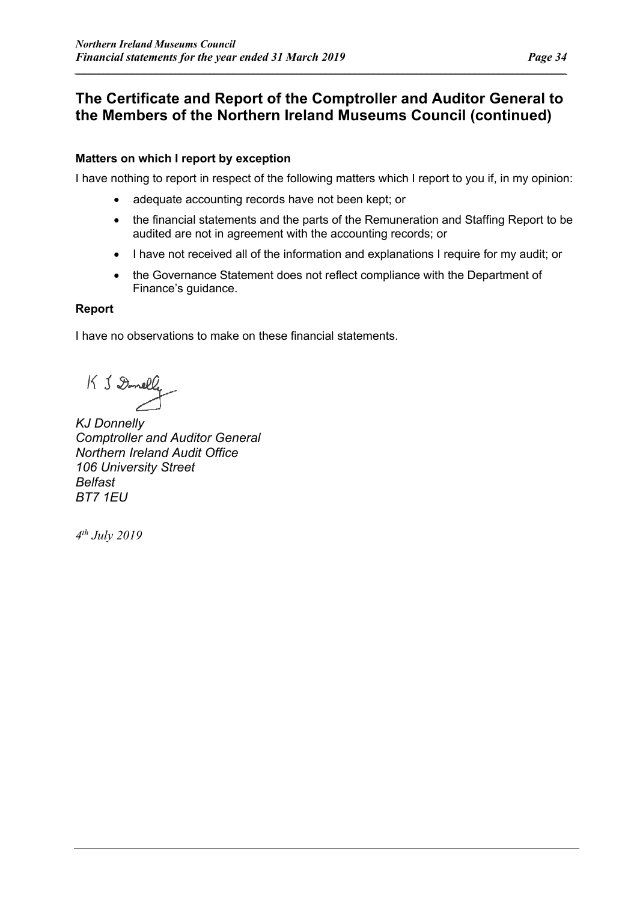### **The Certificate and Report of the Comptroller and Auditor General to the Members of the Northern Ireland Museums Council (continued)**

*\_\_\_\_\_\_\_\_\_\_\_\_\_\_\_\_\_\_\_\_\_\_\_\_\_\_\_\_\_\_\_\_\_\_\_\_\_\_\_\_\_\_\_\_\_\_\_\_\_\_\_\_\_\_\_\_\_\_\_\_\_\_\_\_\_\_\_\_\_\_\_\_\_\_\_\_\_\_\_\_\_\_\_\_\_\_\_\_\_\_\_\_\_\_\_\_\_\_\_\_\_\_*

#### **Matters on which I report by exception**

I have nothing to report in respect of the following matters which I report to you if, in my opinion:

- adequate accounting records have not been kept; or
- the financial statements and the parts of the Remuneration and Staffing Report to be audited are not in agreement with the accounting records; or
- I have not received all of the information and explanations I require for my audit; or
- the Governance Statement does not reflect compliance with the Department of Finance's guidance.

#### **Report**

I have no observations to make on these financial statements.

K & Donelly

*KJ Donnelly Comptroller and Auditor General Northern Ireland Audit Office 106 University Street Belfast BT7 1EU*

*4th July 2019*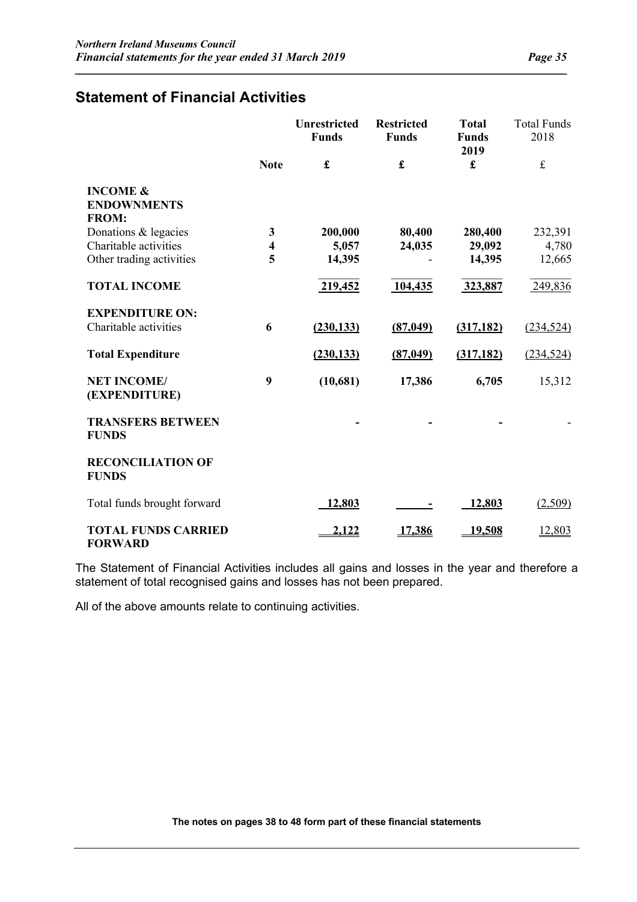### **Statement of Financial Activities**

|                                                           |                         | <b>Unrestricted</b><br><b>Funds</b> | <b>Restricted</b><br><b>Funds</b> | <b>Total</b><br><b>Funds</b><br>2019 | <b>Total Funds</b><br>2018 |
|-----------------------------------------------------------|-------------------------|-------------------------------------|-----------------------------------|--------------------------------------|----------------------------|
|                                                           | <b>Note</b>             | £                                   | £                                 | £                                    | $\pounds$                  |
| <b>INCOME &amp;</b><br><b>ENDOWNMENTS</b><br><b>FROM:</b> |                         |                                     |                                   |                                      |                            |
| Donations & legacies                                      | $\mathbf{3}$            | 200,000                             | 80,400                            | 280,400                              | 232,391                    |
| Charitable activities                                     | $\overline{\mathbf{4}}$ | 5,057                               | 24,035                            | 29,092                               | 4,780                      |
| Other trading activities                                  | 5                       | 14,395                              |                                   | 14,395                               | 12,665                     |
| <b>TOTAL INCOME</b>                                       |                         | 219,452                             | 104,435                           | 323,887                              | 249,836                    |
| <b>EXPENDITURE ON:</b>                                    |                         |                                     |                                   |                                      |                            |
| Charitable activities                                     | 6                       | (230, 133)                          | (87, 049)                         | (317, 182)                           | (234, 524)                 |
| <b>Total Expenditure</b>                                  |                         | (230, 133)                          | (87,049)                          | (317, 182)                           | (234, 524)                 |
| <b>NET INCOME/</b><br>(EXPENDITURE)                       | 9                       | (10,681)                            | 17,386                            | 6,705                                | 15,312                     |
| <b>TRANSFERS BETWEEN</b><br><b>FUNDS</b>                  |                         |                                     |                                   |                                      |                            |
| <b>RECONCILIATION OF</b><br><b>FUNDS</b>                  |                         |                                     |                                   |                                      |                            |
| Total funds brought forward                               |                         | 12,803                              |                                   | 12,803                               | (2,509)                    |
| <b>TOTAL FUNDS CARRIED</b><br><b>FORWARD</b>              |                         | 2,122                               | 17,386                            | <u>19,508</u>                        | 12,803                     |

*\_\_\_\_\_\_\_\_\_\_\_\_\_\_\_\_\_\_\_\_\_\_\_\_\_\_\_\_\_\_\_\_\_\_\_\_\_\_\_\_\_\_\_\_\_\_\_\_\_\_\_\_\_\_\_\_\_\_\_\_\_\_\_\_\_\_\_\_\_\_\_\_\_\_\_\_\_\_\_\_\_\_\_\_\_\_\_\_\_\_\_\_\_\_\_\_\_\_\_\_\_\_*

The Statement of Financial Activities includes all gains and losses in the year and therefore a statement of total recognised gains and losses has not been prepared.

All of the above amounts relate to continuing activities.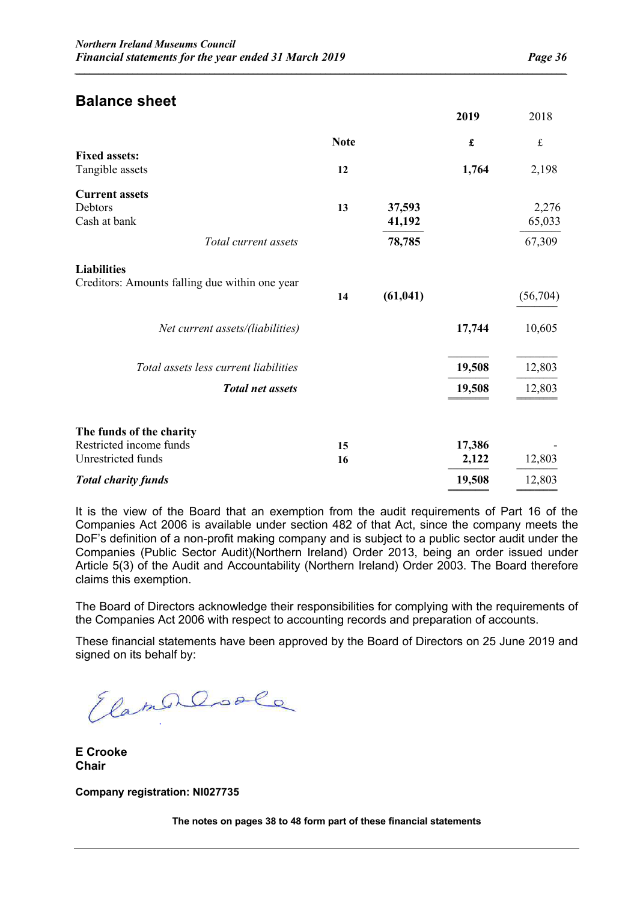### **Balance sheet**

|                                                                           |             |                            | 2019             | 2018                      |
|---------------------------------------------------------------------------|-------------|----------------------------|------------------|---------------------------|
|                                                                           | <b>Note</b> |                            | £                | $\pounds$                 |
| <b>Fixed assets:</b><br>Tangible assets                                   | 12          |                            | 1,764            | 2,198                     |
| <b>Current assets</b><br>Debtors<br>Cash at bank<br>Total current assets  | 13          | 37,593<br>41,192<br>78,785 |                  | 2,276<br>65,033<br>67,309 |
| <b>Liabilities</b><br>Creditors: Amounts falling due within one year      | 14          | (61, 041)                  |                  | (56,704)                  |
| Net current assets/(liabilities)                                          |             |                            | 17,744           | 10,605                    |
| Total assets less current liabilities<br><b>Total net assets</b>          |             |                            | 19,508<br>19,508 | 12,803<br>12,803          |
| The funds of the charity<br>Restricted income funds<br>Unrestricted funds | 15<br>16    |                            | 17,386<br>2,122  | 12,803                    |
| <b>Total charity funds</b>                                                |             |                            | 19,508           | 12,803                    |

*\_\_\_\_\_\_\_\_\_\_\_\_\_\_\_\_\_\_\_\_\_\_\_\_\_\_\_\_\_\_\_\_\_\_\_\_\_\_\_\_\_\_\_\_\_\_\_\_\_\_\_\_\_\_\_\_\_\_\_\_\_\_\_\_\_\_\_\_\_\_\_\_\_\_\_\_\_\_\_\_\_\_\_\_\_\_\_\_\_\_\_\_\_\_\_\_\_\_\_\_\_\_*

It is the view of the Board that an exemption from the audit requirements of Part 16 of the Companies Act 2006 is available under section 482 of that Act, since the company meets the DoF's definition of a non-profit making company and is subject to a public sector audit under the Companies (Public Sector Audit)(Northern Ireland) Order 2013, being an order issued under Article 5(3) of the Audit and Accountability (Northern Ireland) Order 2003. The Board therefore claims this exemption.

The Board of Directors acknowledge their responsibilities for complying with the requirements of the Companies Act 2006 with respect to accounting records and preparation of accounts.

These financial statements have been approved by the Board of Directors on 25 June 2019 and signed on its behalf by:

ElamerCoole

**E Crooke Chair**

**Company registration: NI027735**

**The notes on pages 38 to 48 form part of these financial statements**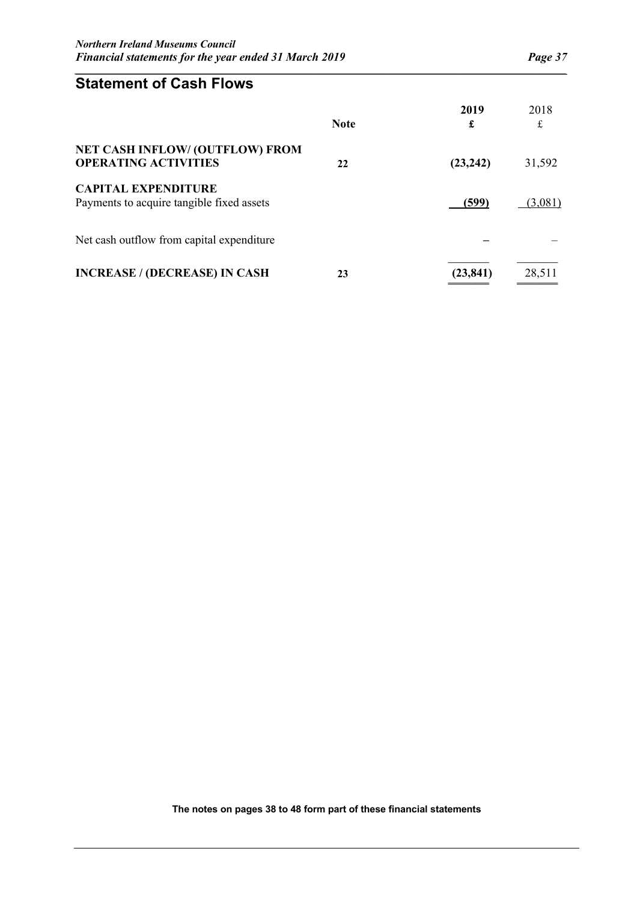**═════════** ═════════

### **Statement of Cash Flows**

|                                                                         | <b>Note</b> | 2019<br>£ | 2018<br>£ |
|-------------------------------------------------------------------------|-------------|-----------|-----------|
| <b>NET CASH INFLOW/ (OUTFLOW) FROM</b><br><b>OPERATING ACTIVITIES</b>   | 22          | (23, 242) | 31,592    |
| <b>CAPITAL EXPENDITURE</b><br>Payments to acquire tangible fixed assets |             | (599)     | (3,081)   |
| Net cash outflow from capital expenditure                               |             |           |           |
| <b>INCREASE / (DECREASE) IN CASH</b>                                    | 23          | (23, 841) | 28,511    |

*\_\_\_\_\_\_\_\_\_\_\_\_\_\_\_\_\_\_\_\_\_\_\_\_\_\_\_\_\_\_\_\_\_\_\_\_\_\_\_\_\_\_\_\_\_\_\_\_\_\_\_\_\_\_\_\_\_\_\_\_\_\_\_\_\_\_\_\_\_\_\_\_\_\_\_\_\_\_\_\_\_\_\_\_\_\_\_\_\_\_\_\_\_\_\_\_\_\_\_\_\_\_*

**The notes on pages 38 to 48 form part of these financial statements**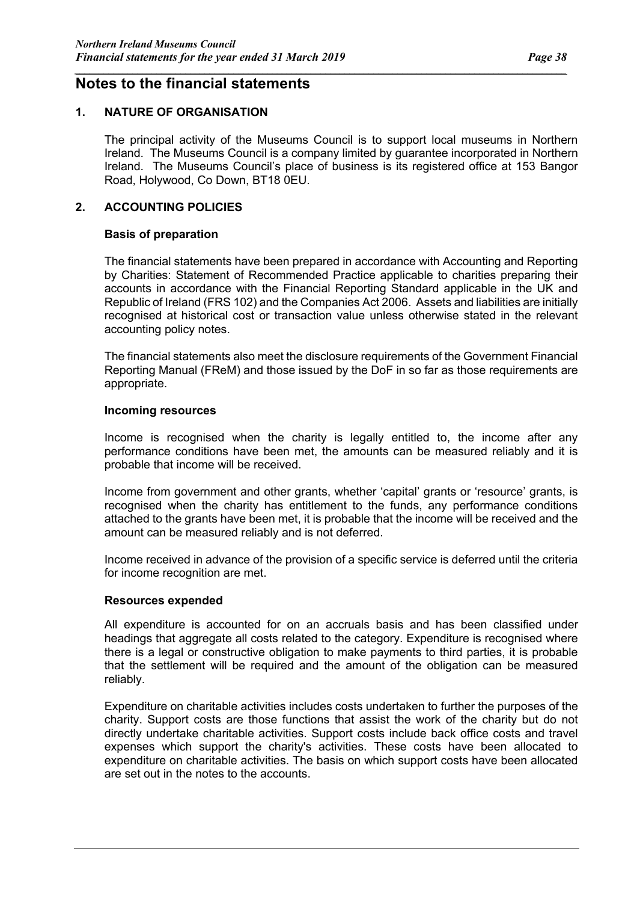#### **Notes to the financial statements**

#### **1. NATURE OF ORGANISATION**

The principal activity of the Museums Council is to support local museums in Northern Ireland. The Museums Council is a company limited by guarantee incorporated in Northern Ireland. The Museums Council's place of business is its registered office at 153 Bangor Road, Holywood, Co Down, BT18 0EU.

*\_\_\_\_\_\_\_\_\_\_\_\_\_\_\_\_\_\_\_\_\_\_\_\_\_\_\_\_\_\_\_\_\_\_\_\_\_\_\_\_\_\_\_\_\_\_\_\_\_\_\_\_\_\_\_\_\_\_\_\_\_\_\_\_\_\_\_\_\_\_\_\_\_\_\_\_\_\_\_\_\_\_\_\_\_\_\_\_\_\_\_\_\_\_\_\_\_\_\_\_\_\_*

#### **2. ACCOUNTING POLICIES**

#### **Basis of preparation**

The financial statements have been prepared in accordance with Accounting and Reporting by Charities: Statement of Recommended Practice applicable to charities preparing their accounts in accordance with the Financial Reporting Standard applicable in the UK and Republic of Ireland (FRS 102) and the Companies Act 2006. Assets and liabilities are initially recognised at historical cost or transaction value unless otherwise stated in the relevant accounting policy notes.

The financial statements also meet the disclosure requirements of the Government Financial Reporting Manual (FReM) and those issued by the DoF in so far as those requirements are appropriate.

#### **Incoming resources**

Income is recognised when the charity is legally entitled to, the income after any performance conditions have been met, the amounts can be measured reliably and it is probable that income will be received.

Income from government and other grants, whether 'capital' grants or 'resource' grants, is recognised when the charity has entitlement to the funds, any performance conditions attached to the grants have been met, it is probable that the income will be received and the amount can be measured reliably and is not deferred.

Income received in advance of the provision of a specific service is deferred until the criteria for income recognition are met.

#### **Resources expended**

All expenditure is accounted for on an accruals basis and has been classified under headings that aggregate all costs related to the category. Expenditure is recognised where there is a legal or constructive obligation to make payments to third parties, it is probable that the settlement will be required and the amount of the obligation can be measured reliably.

Expenditure on charitable activities includes costs undertaken to further the purposes of the charity. Support costs are those functions that assist the work of the charity but do not directly undertake charitable activities. Support costs include back office costs and travel expenses which support the charity's activities. These costs have been allocated to expenditure on charitable activities. The basis on which support costs have been allocated are set out in the notes to the accounts.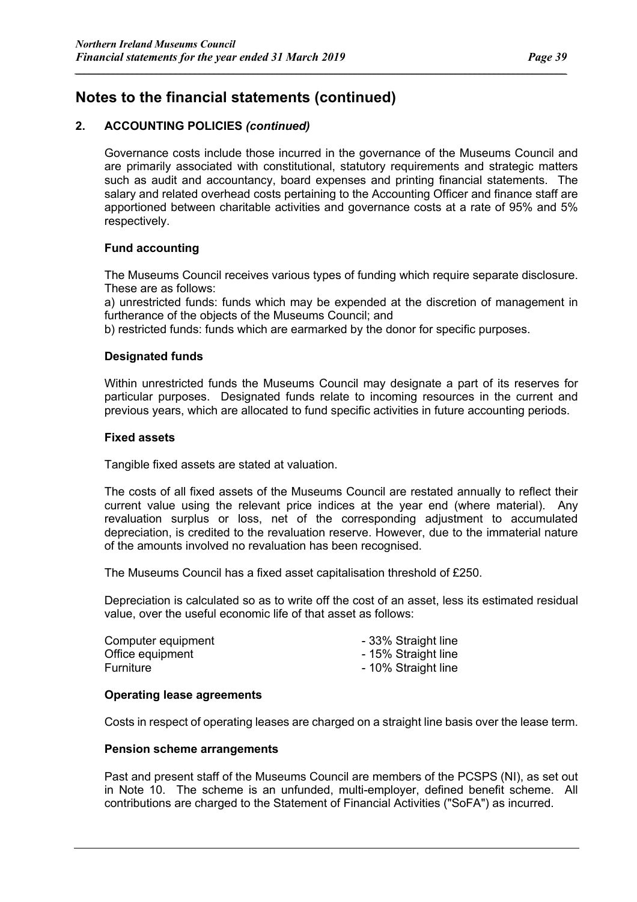#### **2. ACCOUNTING POLICIES** *(continued)*

Governance costs include those incurred in the governance of the Museums Council and are primarily associated with constitutional, statutory requirements and strategic matters such as audit and accountancy, board expenses and printing financial statements. The salary and related overhead costs pertaining to the Accounting Officer and finance staff are apportioned between charitable activities and governance costs at a rate of 95% and 5% respectively.

*\_\_\_\_\_\_\_\_\_\_\_\_\_\_\_\_\_\_\_\_\_\_\_\_\_\_\_\_\_\_\_\_\_\_\_\_\_\_\_\_\_\_\_\_\_\_\_\_\_\_\_\_\_\_\_\_\_\_\_\_\_\_\_\_\_\_\_\_\_\_\_\_\_\_\_\_\_\_\_\_\_\_\_\_\_\_\_\_\_\_\_\_\_\_\_\_\_\_\_\_\_\_*

#### **Fund accounting**

The Museums Council receives various types of funding which require separate disclosure. These are as follows:

a) unrestricted funds: funds which may be expended at the discretion of management in furtherance of the objects of the Museums Council; and

b) restricted funds: funds which are earmarked by the donor for specific purposes.

#### **Designated funds**

Within unrestricted funds the Museums Council may designate a part of its reserves for particular purposes. Designated funds relate to incoming resources in the current and previous years, which are allocated to fund specific activities in future accounting periods.

#### **Fixed assets**

Tangible fixed assets are stated at valuation.

The costs of all fixed assets of the Museums Council are restated annually to reflect their current value using the relevant price indices at the year end (where material). Any revaluation surplus or loss, net of the corresponding adjustment to accumulated depreciation, is credited to the revaluation reserve. However, due to the immaterial nature of the amounts involved no revaluation has been recognised.

The Museums Council has a fixed asset capitalisation threshold of £250.

Depreciation is calculated so as to write off the cost of an asset, less its estimated residual value, over the useful economic life of that asset as follows:

| Computer equipment | - 33% Straight line |
|--------------------|---------------------|
| Office equipment   | - 15% Straight line |
| Furniture          | - 10% Straight line |

#### **Operating lease agreements**

Costs in respect of operating leases are charged on a straight line basis over the lease term.

#### **Pension scheme arrangements**

Past and present staff of the Museums Council are members of the PCSPS (NI), as set out in Note 10. The scheme is an unfunded, multi-employer, defined benefit scheme. All contributions are charged to the Statement of Financial Activities ("SoFA") as incurred.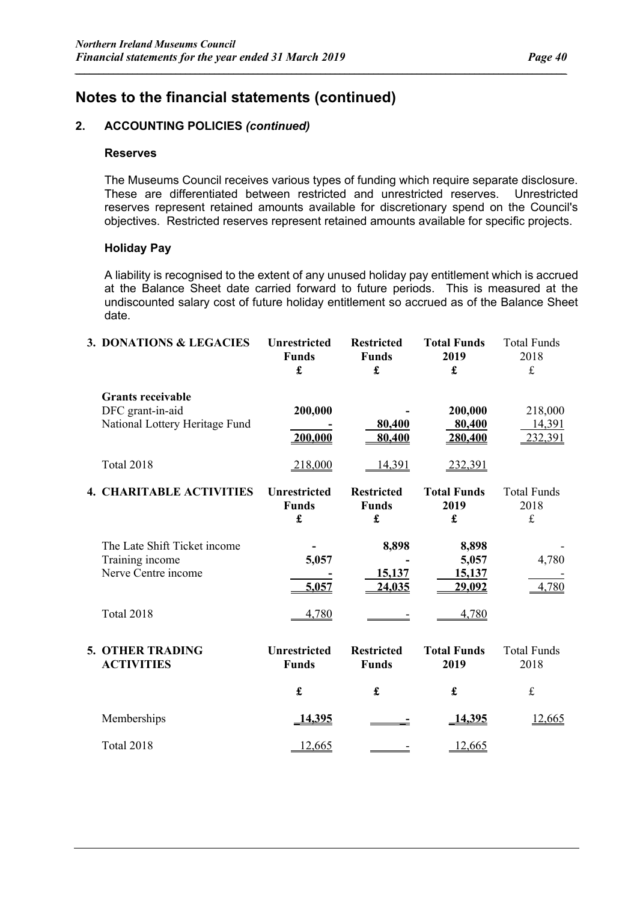#### **2. ACCOUNTING POLICIES** *(continued)*

#### **Reserves**

The Museums Council receives various types of funding which require separate disclosure. These are differentiated between restricted and unrestricted reserves. Unrestricted reserves represent retained amounts available for discretionary spend on the Council's objectives. Restricted reserves represent retained amounts available for specific projects.

*\_\_\_\_\_\_\_\_\_\_\_\_\_\_\_\_\_\_\_\_\_\_\_\_\_\_\_\_\_\_\_\_\_\_\_\_\_\_\_\_\_\_\_\_\_\_\_\_\_\_\_\_\_\_\_\_\_\_\_\_\_\_\_\_\_\_\_\_\_\_\_\_\_\_\_\_\_\_\_\_\_\_\_\_\_\_\_\_\_\_\_\_\_\_\_\_\_\_\_\_\_\_*

#### **Holiday Pay**

A liability is recognised to the extent of any unused holiday pay entitlement which is accrued at the Balance Sheet date carried forward to future periods. This is measured at the undiscounted salary cost of future holiday entitlement so accrued as of the Balance Sheet date.

| 3. DONATIONS & LEGACIES                                                        | <b>Unrestricted</b><br><b>Funds</b><br>£ | <b>Restricted</b><br><b>Funds</b><br>£ | <b>Total Funds</b><br>2019<br>£           | <b>Total Funds</b><br>2018<br>$\frak{t}$ |
|--------------------------------------------------------------------------------|------------------------------------------|----------------------------------------|-------------------------------------------|------------------------------------------|
| <b>Grants receivable</b><br>DFC grant-in-aid<br>National Lottery Heritage Fund | 200,000<br>200,000                       | 80,400<br>80,400                       | 200,000<br>80,400<br>280,400              | 218,000<br>14,391<br>232,391             |
| <b>Total 2018</b>                                                              | 218,000                                  | 14,391                                 | 232,391                                   |                                          |
| <b>4. CHARITABLE ACTIVITIES</b>                                                | <b>Unrestricted</b><br><b>Funds</b><br>£ | <b>Restricted</b><br><b>Funds</b><br>£ | <b>Total Funds</b><br>2019<br>£           | <b>Total Funds</b><br>2018<br>$\pounds$  |
| The Late Shift Ticket income<br>Training income<br>Nerve Centre income         | 5,057<br>5,057                           | 8,898<br>15,137<br>24,035              | 8,898<br>5,057<br>15,137<br><u>29,092</u> | 4,780<br>4,780                           |
| Total 2018                                                                     | 4,780                                    |                                        | 4,780                                     |                                          |
| <b>5. OTHER TRADING</b><br><b>ACTIVITIES</b>                                   | <b>Unrestricted</b><br><b>Funds</b>      | <b>Restricted</b><br><b>Funds</b>      | <b>Total Funds</b><br>2019                | <b>Total Funds</b><br>2018               |
|                                                                                | £                                        | $\mathbf f$                            | £                                         | $\pounds$                                |
| Memberships                                                                    | 14,395                                   |                                        | 14,395                                    | 12,665                                   |
| Total 2018                                                                     | 12,665                                   |                                        | 12,665                                    |                                          |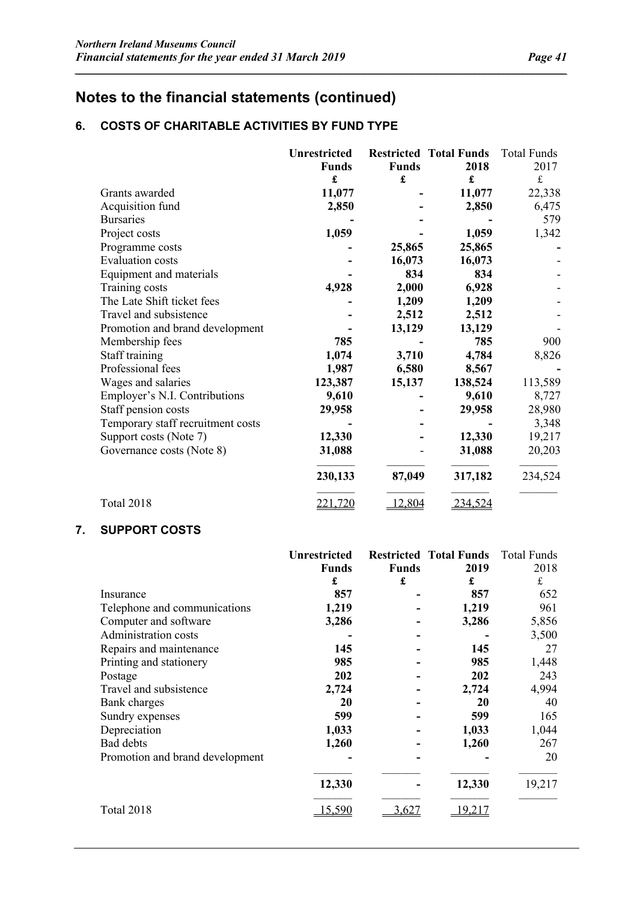### **6. COSTS OF CHARITABLE ACTIVITIES BY FUND TYPE**

|                                   | <b>Unrestricted</b><br><b>Funds</b> | <b>Funds</b> | <b>Restricted Total Funds</b><br>2018 | Total Funds<br>2017 |
|-----------------------------------|-------------------------------------|--------------|---------------------------------------|---------------------|
|                                   | £                                   | £            | £                                     | $\frak{t}$          |
| Grants awarded                    | 11,077                              |              | 11,077                                | 22,338              |
| Acquisition fund                  | 2,850                               |              | 2,850                                 | 6,475               |
| <b>Bursaries</b>                  |                                     |              |                                       | 579                 |
| Project costs                     | 1,059                               |              | 1,059                                 | 1,342               |
| Programme costs                   |                                     | 25,865       | 25,865                                |                     |
| <b>Evaluation</b> costs           |                                     | 16,073       | 16,073                                |                     |
| Equipment and materials           |                                     | 834          | 834                                   |                     |
| Training costs                    | 4,928                               | 2,000        | 6,928                                 |                     |
| The Late Shift ticket fees        |                                     | 1,209        | 1,209                                 |                     |
| Travel and subsistence            |                                     | 2,512        | 2,512                                 |                     |
| Promotion and brand development   |                                     | 13,129       | 13,129                                |                     |
| Membership fees                   | 785                                 |              | 785                                   | 900                 |
| Staff training                    | 1,074                               | 3,710        | 4,784                                 | 8,826               |
| Professional fees                 | 1,987                               | 6,580        | 8,567                                 |                     |
| Wages and salaries                | 123,387                             | 15,137       | 138,524                               | 113,589             |
| Employer's N.I. Contributions     | 9,610                               |              | 9,610                                 | 8,727               |
| Staff pension costs               | 29,958                              |              | 29,958                                | 28,980              |
| Temporary staff recruitment costs |                                     |              |                                       | 3,348               |
| Support costs (Note 7)            | 12,330                              |              | 12,330                                | 19,217              |
| Governance costs (Note 8)         | 31,088                              |              | 31,088                                | 20,203              |
|                                   | 230,133                             | 87,049       | 317,182                               | 234,524             |
| <b>Total 2018</b>                 | 221,720                             | 12,804       | 234,524                               |                     |

*\_\_\_\_\_\_\_\_\_\_\_\_\_\_\_\_\_\_\_\_\_\_\_\_\_\_\_\_\_\_\_\_\_\_\_\_\_\_\_\_\_\_\_\_\_\_\_\_\_\_\_\_\_\_\_\_\_\_\_\_\_\_\_\_\_\_\_\_\_\_\_\_\_\_\_\_\_\_\_\_\_\_\_\_\_\_\_\_\_\_\_\_\_\_\_\_\_\_\_\_\_\_*

#### **7. SUPPORT COSTS**

|                                 | <b>Unrestricted</b> |              | <b>Restricted Total Funds</b> | Total Funds |
|---------------------------------|---------------------|--------------|-------------------------------|-------------|
|                                 | <b>Funds</b>        | <b>Funds</b> | 2019                          | 2018        |
|                                 | £                   | £            | £                             | $\mathbf f$ |
| Insurance                       | 857                 |              | 857                           | 652         |
| Telephone and communications    | 1,219               |              | 1,219                         | 961         |
| Computer and software           | 3,286               |              | 3,286                         | 5,856       |
| Administration costs            |                     |              |                               | 3,500       |
| Repairs and maintenance         | 145                 |              | 145                           | 27          |
| Printing and stationery         | 985                 |              | 985                           | 1,448       |
| Postage                         | 202                 |              | 202                           | 243         |
| Travel and subsistence          | 2,724               |              | 2,724                         | 4,994       |
| <b>Bank</b> charges             | 20                  |              | 20                            | 40          |
| Sundry expenses                 | 599                 |              | 599                           | 165         |
| Depreciation                    | 1,033               |              | 1,033                         | 1,044       |
| Bad debts                       | 1,260               |              | 1,260                         | 267         |
| Promotion and brand development |                     |              |                               | 20          |
|                                 |                     |              |                               |             |
|                                 | 12,330              |              | 12,330                        | 19,217      |
| <b>Total 2018</b>               | 15,590              | 3.627        | 9,217                         |             |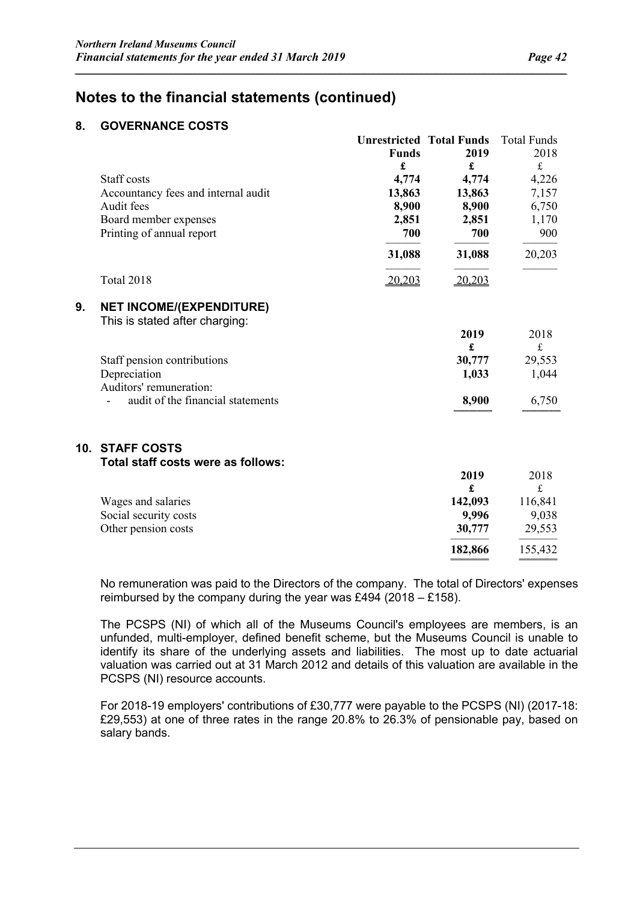══════════ ══════════

### **Notes to the financial statements (continued)**

#### **8. GOVERNANCE COSTS**

|     |                                                                   |              | <b>Unrestricted Total Funds</b> | <b>Total Funds</b> |
|-----|-------------------------------------------------------------------|--------------|---------------------------------|--------------------|
|     |                                                                   | <b>Funds</b> | 2019                            | 2018               |
|     |                                                                   | £            | £                               | $\mathbf f$        |
|     | Staff costs                                                       | 4,774        | 4,774                           | 4,226              |
|     | Accountancy fees and internal audit                               | 13,863       | 13,863                          | 7,157              |
|     | Audit fees                                                        | 8,900        | 8,900                           | 6,750              |
|     | Board member expenses                                             | 2,851        | 2,851                           | 1,170              |
|     | Printing of annual report                                         | 700          | 700                             | 900                |
|     |                                                                   | 31,088       | 31,088                          | 20,203             |
|     | <b>Total 2018</b>                                                 | 20,203       | 20,203                          |                    |
| 9.  | <b>NET INCOME/(EXPENDITURE)</b><br>This is stated after charging: |              |                                 |                    |
|     |                                                                   |              | 2019                            | 2018               |
|     |                                                                   |              | £                               | $\pounds$          |
|     | Staff pension contributions                                       |              | 30,777                          | 29,553             |
|     | Depreciation                                                      |              | 1,033                           | 1,044              |
|     | Auditors' remuneration:                                           |              |                                 |                    |
|     | audit of the financial statements                                 |              | 8,900                           | 6,750              |
| 10. | <b>STAFF COSTS</b>                                                |              |                                 |                    |
|     | Total staff costs were as follows:                                |              |                                 |                    |
|     |                                                                   |              | 2019<br>£                       | 2018<br>$\frak{t}$ |
|     | Wages and salaries                                                |              | 142,093                         | 116,841            |
|     | Social security costs                                             |              | 9,996                           | 9,038              |
|     | Other pension costs                                               |              | 30,777                          | 29,553             |
|     |                                                                   |              | 182,866                         | 155,432            |

*\_\_\_\_\_\_\_\_\_\_\_\_\_\_\_\_\_\_\_\_\_\_\_\_\_\_\_\_\_\_\_\_\_\_\_\_\_\_\_\_\_\_\_\_\_\_\_\_\_\_\_\_\_\_\_\_\_\_\_\_\_\_\_\_\_\_\_\_\_\_\_\_\_\_\_\_\_\_\_\_\_\_\_\_\_\_\_\_\_\_\_\_\_\_\_\_\_\_\_\_\_\_*

No remuneration was paid to the Directors of the company. The total of Directors' expenses reimbursed by the company during the year was £494 (2018 – £158).

The PCSPS (NI) of which all of the Museums Council's employees are members, is an unfunded, multi-employer, defined benefit scheme, but the Museums Council is unable to identify its share of the underlying assets and liabilities. The most up to date actuarial valuation was carried out at 31 March 2012 and details of this valuation are available in the PCSPS (NI) resource accounts.

For 2018-19 employers' contributions of £30,777 were payable to the PCSPS (NI) (2017-18: £29,553) at one of three rates in the range 20.8% to 26.3% of pensionable pay, based on salary bands.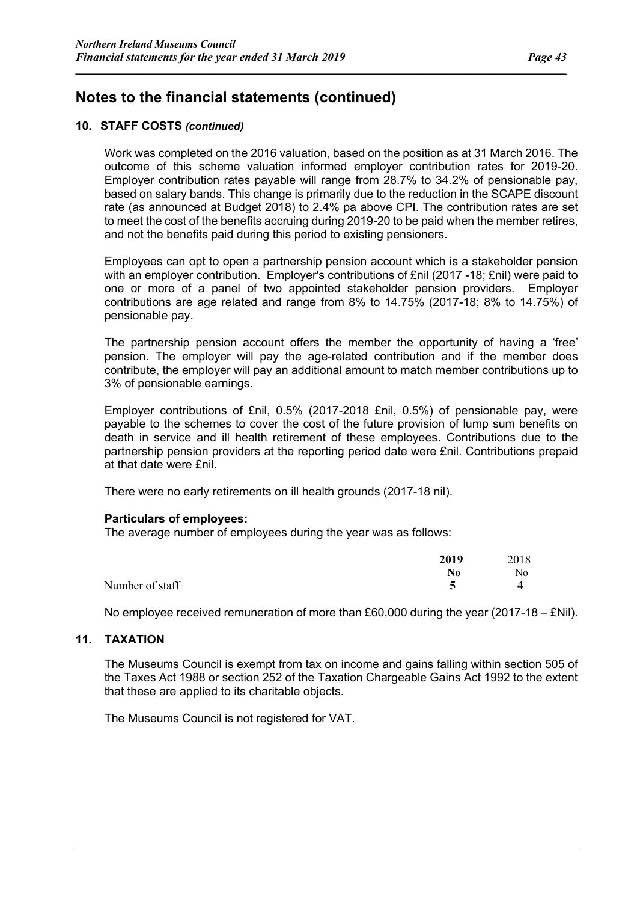#### **10. STAFF COSTS** *(continued)*

Work was completed on the 2016 valuation, based on the position as at 31 March 2016. The outcome of this scheme valuation informed employer contribution rates for 2019-20. Employer contribution rates payable will range from 28.7% to 34.2% of pensionable pay, based on salary bands. This change is primarily due to the reduction in the SCAPE discount rate (as announced at Budget 2018) to 2.4% pa above CPI. The contribution rates are set to meet the cost of the benefits accruing during 2019-20 to be paid when the member retires, and not the benefits paid during this period to existing pensioners.

*\_\_\_\_\_\_\_\_\_\_\_\_\_\_\_\_\_\_\_\_\_\_\_\_\_\_\_\_\_\_\_\_\_\_\_\_\_\_\_\_\_\_\_\_\_\_\_\_\_\_\_\_\_\_\_\_\_\_\_\_\_\_\_\_\_\_\_\_\_\_\_\_\_\_\_\_\_\_\_\_\_\_\_\_\_\_\_\_\_\_\_\_\_\_\_\_\_\_\_\_\_\_*

Employees can opt to open a partnership pension account which is a stakeholder pension with an employer contribution. Employer's contributions of £nil (2017 -18; £nil) were paid to one or more of a panel of two appointed stakeholder pension providers. Employer contributions are age related and range from 8% to 14.75% (2017-18; 8% to 14.75%) of pensionable pay.

The partnership pension account offers the member the opportunity of having a 'free' pension. The employer will pay the age-related contribution and if the member does contribute, the employer will pay an additional amount to match member contributions up to 3% of pensionable earnings.

Employer contributions of £nil, 0.5% (2017-2018 £nil, 0.5%) of pensionable pay, were payable to the schemes to cover the cost of the future provision of lump sum benefits on death in service and ill health retirement of these employees. Contributions due to the partnership pension providers at the reporting period date were £nil. Contributions prepaid at that date were £nil.

There were no early retirements on ill health grounds (2017-18 nil).

#### **Particulars of employees:**

The average number of employees during the year was as follows:

|                 | 2019 | 2018 |
|-----------------|------|------|
|                 | No   | No   |
| Number of staff |      |      |

No employee received remuneration of more than £60,000 during the year (2017-18 – £Nil).

#### **11. TAXATION**

The Museums Council is exempt from tax on income and gains falling within section 505 of the Taxes Act 1988 or section 252 of the Taxation Chargeable Gains Act 1992 to the extent that these are applied to its charitable objects.

The Museums Council is not registered for VAT.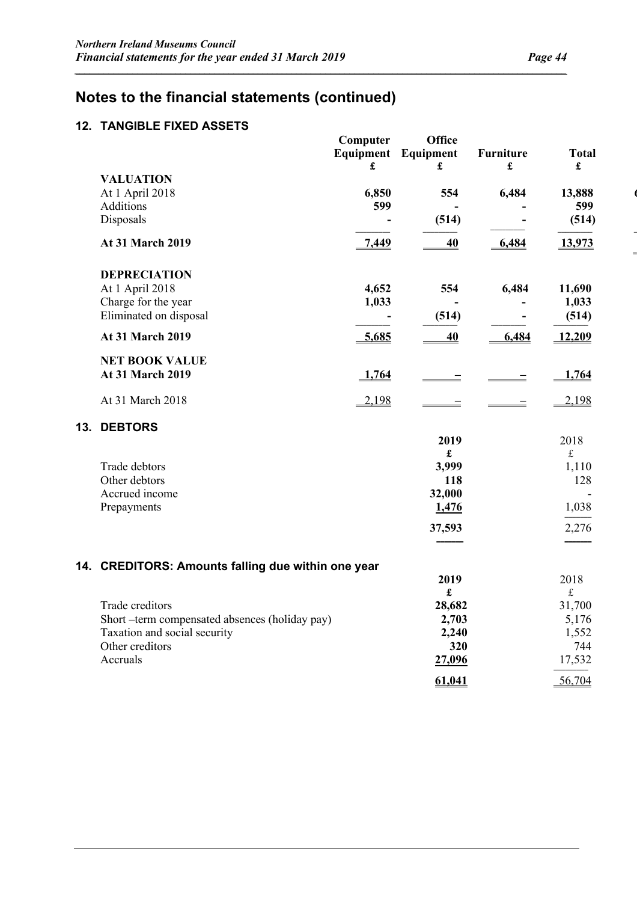### **Notes to the financial statements (continued)**

### **12. TANGIBLE FIXED ASSETS**

|                                                    | Computer<br>$\pmb{\mathfrak{L}}$ | <b>Office</b><br>Equipment Equipment<br>£ | <b>Furniture</b><br>$\pmb{\mathfrak{L}}$ | <b>Total</b><br>$\pmb{\mathfrak{L}}$ |  |
|----------------------------------------------------|----------------------------------|-------------------------------------------|------------------------------------------|--------------------------------------|--|
| <b>VALUATION</b>                                   |                                  |                                           |                                          |                                      |  |
| At 1 April 2018<br>Additions                       | 6,850<br>599                     | 554                                       | 6,484                                    | 13,888<br>599                        |  |
| Disposals                                          | $\blacksquare$                   | (514)                                     | $\blacksquare$                           | (514)                                |  |
|                                                    |                                  |                                           |                                          |                                      |  |
| At 31 March 2019                                   | $-7,449$                         | 40                                        | $-6,484$                                 | 13,973                               |  |
| <b>DEPRECIATION</b>                                |                                  |                                           |                                          |                                      |  |
| At 1 April 2018                                    | 4,652                            | 554                                       | 6,484                                    | 11,690                               |  |
| Charge for the year                                | 1,033                            |                                           |                                          | 1,033                                |  |
| Eliminated on disposal                             |                                  | (514)                                     | $\blacksquare$                           | (514)                                |  |
| At 31 March 2019                                   | 5,685                            | 40                                        | 6,484                                    | 12,209                               |  |
| <b>NET BOOK VALUE</b>                              |                                  |                                           |                                          |                                      |  |
| <b>At 31 March 2019</b>                            | 1,764                            |                                           |                                          | 1,764                                |  |
| At 31 March 2018                                   | $-2,198$                         |                                           |                                          | $-2,198$                             |  |
| 13. DEBTORS                                        |                                  |                                           |                                          |                                      |  |
|                                                    |                                  | 2019                                      |                                          | 2018                                 |  |
|                                                    |                                  | £                                         |                                          | $\mathbf f$                          |  |
| Trade debtors<br>Other debtors                     |                                  | 3,999<br>118                              |                                          | 1,110<br>128                         |  |
| Accrued income                                     |                                  | 32,000                                    |                                          |                                      |  |
| Prepayments                                        |                                  | 1,476                                     |                                          | 1,038                                |  |
|                                                    |                                  |                                           |                                          |                                      |  |
|                                                    |                                  | 37,593                                    |                                          | 2,276                                |  |
|                                                    |                                  |                                           |                                          |                                      |  |
| 14. CREDITORS: Amounts falling due within one year |                                  |                                           |                                          |                                      |  |
|                                                    |                                  | 2019<br>$\mathbf f$                       |                                          | 2018<br>$\mathbf f$                  |  |
| Trade creditors                                    |                                  | 28,682                                    |                                          | 31,700                               |  |
| Short-term compensated absences (holiday pay)      |                                  | 2,703                                     |                                          | 5,176                                |  |
| Taxation and social security                       |                                  | 2,240                                     |                                          | 1,552                                |  |
| Other creditors                                    |                                  | 320                                       |                                          | 744                                  |  |
| Accruals                                           |                                  | 27,096                                    |                                          | 17,532                               |  |
|                                                    |                                  | 61,041                                    |                                          | 56,704                               |  |

*\_\_\_\_\_\_\_\_\_\_\_\_\_\_\_\_\_\_\_\_\_\_\_\_\_\_\_\_\_\_\_\_\_\_\_\_\_\_\_\_\_\_\_\_\_\_\_\_\_\_\_\_\_\_\_\_\_\_\_\_\_\_\_\_\_\_\_\_\_\_\_\_\_\_\_\_\_\_\_\_\_\_\_\_\_\_\_\_\_\_\_\_\_\_\_\_\_\_\_\_\_\_*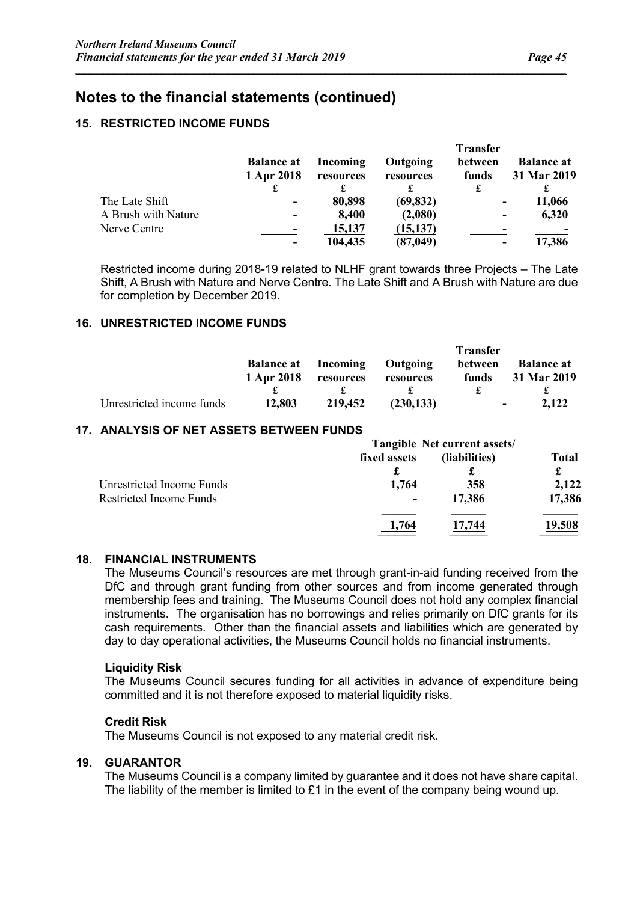#### **15. RESTRICTED INCOME FUNDS**

|                     |                                 |                       |                       | <b>Transfer</b>          |                                  |
|---------------------|---------------------------------|-----------------------|-----------------------|--------------------------|----------------------------------|
|                     | <b>Balance at</b><br>1 Apr 2018 | Incoming<br>resources | Outgoing<br>resources | between<br>funds<br>£    | <b>Balance at</b><br>31 Mar 2019 |
| The Late Shift      |                                 | 80,898                | (69, 832)             | -                        | 11,066                           |
| A Brush with Nature |                                 | 8,400                 | (2,080)               | $\overline{\phantom{a}}$ | 6,320                            |
| Nerve Centre        |                                 | 15,137                | (15, 137)             | -                        |                                  |
|                     |                                 | <u>104,435</u>        | (87, 049)             |                          | 17,386                           |

*\_\_\_\_\_\_\_\_\_\_\_\_\_\_\_\_\_\_\_\_\_\_\_\_\_\_\_\_\_\_\_\_\_\_\_\_\_\_\_\_\_\_\_\_\_\_\_\_\_\_\_\_\_\_\_\_\_\_\_\_\_\_\_\_\_\_\_\_\_\_\_\_\_\_\_\_\_\_\_\_\_\_\_\_\_\_\_\_\_\_\_\_\_\_\_\_\_\_\_\_\_\_*

Restricted income during 2018-19 related to NLHF grant towards three Projects – The Late Shift, A Brush with Nature and Nerve Centre. The Late Shift and A Brush with Nature are due for completion by December 2019.

#### **16. UNRESTRICTED INCOME FUNDS**

|                           |                                 |                       |                              | <b>Transfer</b>  |                                  |
|---------------------------|---------------------------------|-----------------------|------------------------------|------------------|----------------------------------|
|                           | <b>Balance at</b><br>1 Apr 2018 | Incoming<br>resources | <b>Outgoing</b><br>resources | between<br>funds | <b>Balance at</b><br>31 Mar 2019 |
|                           |                                 |                       |                              |                  |                                  |
| Unrestricted income funds | 12.803                          | 219.452               | (230, 133)                   |                  | $\blacksquare$                   |

#### **17. ANALYSIS OF NET ASSETS BETWEEN FUNDS**

| fixed assets | (liabilities) | <b>Total</b><br>£            |  |
|--------------|---------------|------------------------------|--|
| 1,764        | J.<br>358     | 2,122                        |  |
| ۰            | 17,386        | 17,386                       |  |
|              | 744           | <u>19.508</u>                |  |
|              | £             | Tangible Net current assets/ |  |

#### **18. FINANCIAL INSTRUMENTS**

The Museums Council's resources are met through grant-in-aid funding received from the DfC and through grant funding from other sources and from income generated through membership fees and training. The Museums Council does not hold any complex financial instruments. The organisation has no borrowings and relies primarily on DfC grants for its cash requirements. Other than the financial assets and liabilities which are generated by day to day operational activities, the Museums Council holds no financial instruments.

#### **Liquidity Risk**

The Museums Council secures funding for all activities in advance of expenditure being committed and it is not therefore exposed to material liquidity risks.

#### **Credit Risk**

The Museums Council is not exposed to any material credit risk.

#### **19. GUARANTOR**

The Museums Council is a company limited by guarantee and it does not have share capital. The liability of the member is limited to £1 in the event of the company being wound up.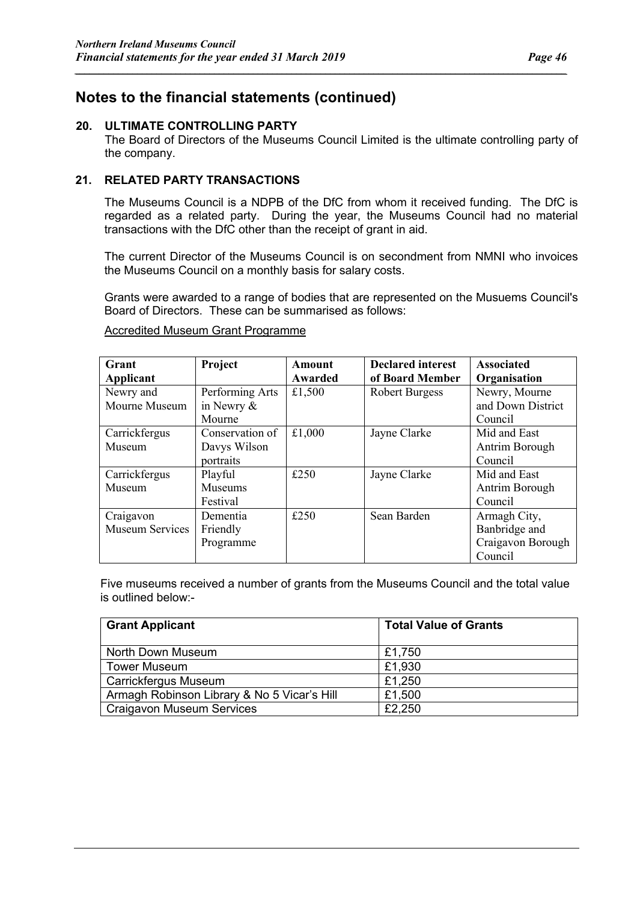#### **20. ULTIMATE CONTROLLING PARTY**

The Board of Directors of the Museums Council Limited is the ultimate controlling party of the company.

*\_\_\_\_\_\_\_\_\_\_\_\_\_\_\_\_\_\_\_\_\_\_\_\_\_\_\_\_\_\_\_\_\_\_\_\_\_\_\_\_\_\_\_\_\_\_\_\_\_\_\_\_\_\_\_\_\_\_\_\_\_\_\_\_\_\_\_\_\_\_\_\_\_\_\_\_\_\_\_\_\_\_\_\_\_\_\_\_\_\_\_\_\_\_\_\_\_\_\_\_\_\_*

#### **21. RELATED PARTY TRANSACTIONS**

The Museums Council is a NDPB of the DfC from whom it received funding. The DfC is regarded as a related party. During the year, the Museums Council had no material transactions with the DfC other than the receipt of grant in aid.

The current Director of the Museums Council is on secondment from NMNI who invoices the Museums Council on a monthly basis for salary costs.

Grants were awarded to a range of bodies that are represented on the Musuems Council's Board of Directors. These can be summarised as follows:

| Grant           | Project         | Amount  | <b>Declared interest</b> | <b>Associated</b> |
|-----------------|-----------------|---------|--------------------------|-------------------|
| Applicant       |                 | Awarded | of Board Member          | Organisation      |
| Newry and       | Performing Arts | £1,500  | <b>Robert Burgess</b>    | Newry, Mourne     |
| Mourne Museum   | in Newry &      |         |                          | and Down District |
|                 | Mourne          |         |                          | Council           |
| Carrickfergus   | Conservation of | £1,000  | Jayne Clarke             | Mid and East      |
| Museum          | Davys Wilson    |         |                          | Antrim Borough    |
|                 | portraits       |         |                          | Council           |
| Carrickfergus   | Playful         | £250    | Jayne Clarke             | Mid and East      |
| Museum          | <b>Museums</b>  |         |                          | Antrim Borough    |
|                 | Festival        |         |                          | Council           |
| Craigavon       | Dementia        | £250    | Sean Barden              | Armagh City,      |
| Museum Services | Friendly        |         |                          | Banbridge and     |
|                 | Programme       |         |                          | Craigavon Borough |
|                 |                 |         |                          | Council           |

Accredited Museum Grant Programme

Five museums received a number of grants from the Museums Council and the total value is outlined below:-

| <b>Grant Applicant</b>                      | <b>Total Value of Grants</b> |
|---------------------------------------------|------------------------------|
| North Down Museum                           | £1,750                       |
| <b>Tower Museum</b>                         | £1,930                       |
| Carrickfergus Museum                        | £1,250                       |
| Armagh Robinson Library & No 5 Vicar's Hill | £1,500                       |
| <b>Craigavon Museum Services</b>            | £2,250                       |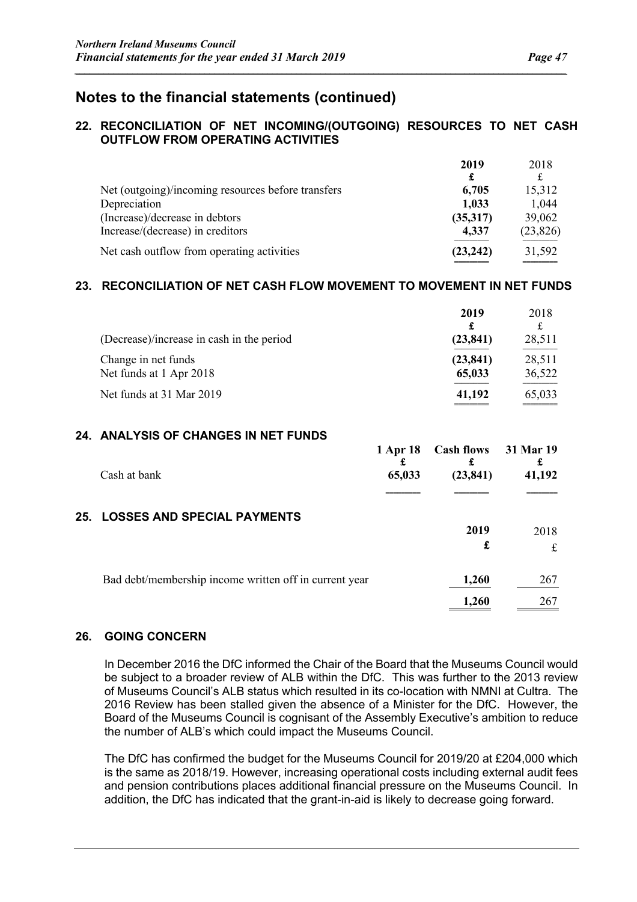#### **22. RECONCILIATION OF NET INCOMING/(OUTGOING) RESOURCES TO NET CASH OUTFLOW FROM OPERATING ACTIVITIES**

*\_\_\_\_\_\_\_\_\_\_\_\_\_\_\_\_\_\_\_\_\_\_\_\_\_\_\_\_\_\_\_\_\_\_\_\_\_\_\_\_\_\_\_\_\_\_\_\_\_\_\_\_\_\_\_\_\_\_\_\_\_\_\_\_\_\_\_\_\_\_\_\_\_\_\_\_\_\_\_\_\_\_\_\_\_\_\_\_\_\_\_\_\_\_\_\_\_\_\_\_\_\_*

|                                                    | 2019      | 2018      |
|----------------------------------------------------|-----------|-----------|
|                                                    | £         |           |
| Net (outgoing)/incoming resources before transfers | 6,705     | 15,312    |
| Depreciation                                       | 1,033     | 1,044     |
| (Increase)/decrease in debtors                     | (35,317)  | 39,062    |
| Increase/(decrease) in creditors                   | 4,337     | (23, 826) |
| Net cash outflow from operating activities         | (23, 242) | 31,592    |

#### **23. RECONCILIATION OF NET CASH FLOW MOVEMENT TO MOVEMENT IN NET FUNDS**

| (Decrease)/increase in cash in the period      | 2019<br>£<br>(23, 841) | 2018<br>£<br>28,511 |
|------------------------------------------------|------------------------|---------------------|
| Change in net funds<br>Net funds at 1 Apr 2018 | (23, 841)<br>65,033    | 28,511<br>36,522    |
| Net funds at 31 Mar 2019                       | 41,192                 | 65,033              |

#### **24. ANALYSIS OF CHANGES IN NET FUNDS**

| Cash at bank                                           | 1 Apr 18<br>65,033 | Cash flows 31 Mar 19<br>(23, 841) | 41,192 |
|--------------------------------------------------------|--------------------|-----------------------------------|--------|
|                                                        |                    |                                   |        |
| <b>25. LOSSES AND SPECIAL PAYMENTS</b>                 |                    | 2019                              | 2018   |
|                                                        |                    | £                                 | £      |
| Bad debt/membership income written off in current year |                    | 1,260                             | 267    |
|                                                        |                    | 1,260                             | 267    |

#### **26. GOING CONCERN**

In December 2016 the DfC informed the Chair of the Board that the Museums Council would be subject to a broader review of ALB within the DfC. This was further to the 2013 review of Museums Council's ALB status which resulted in its co-location with NMNI at Cultra. The 2016 Review has been stalled given the absence of a Minister for the DfC. However, the Board of the Museums Council is cognisant of the Assembly Executive's ambition to reduce the number of ALB's which could impact the Museums Council.

The DfC has confirmed the budget for the Museums Council for 2019/20 at £204,000 which is the same as 2018/19. However, increasing operational costs including external audit fees and pension contributions places additional financial pressure on the Museums Council. In addition, the DfC has indicated that the grant-in-aid is likely to decrease going forward.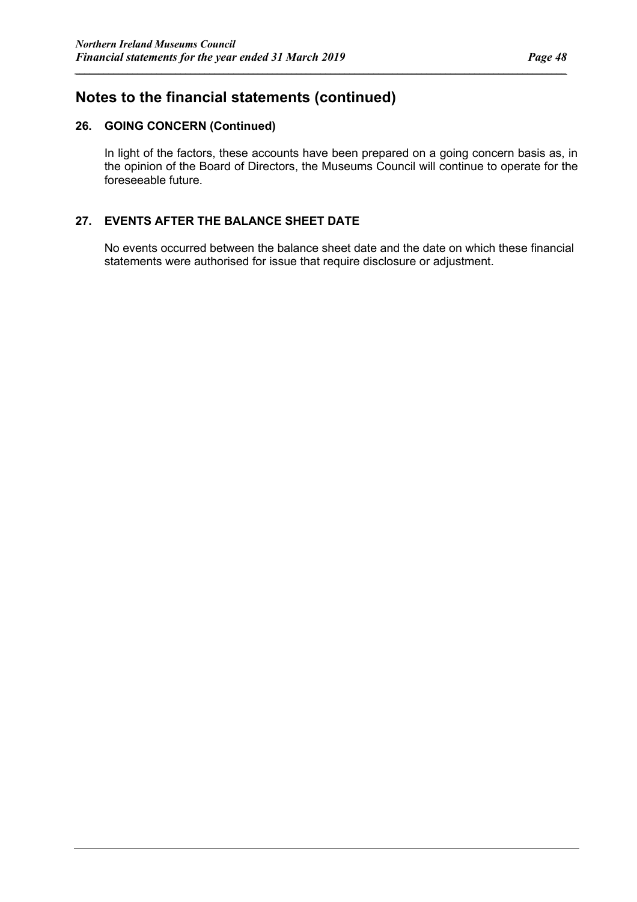#### **26. GOING CONCERN (Continued)**

In light of the factors, these accounts have been prepared on a going concern basis as, in the opinion of the Board of Directors, the Museums Council will continue to operate for the foreseeable future.

*\_\_\_\_\_\_\_\_\_\_\_\_\_\_\_\_\_\_\_\_\_\_\_\_\_\_\_\_\_\_\_\_\_\_\_\_\_\_\_\_\_\_\_\_\_\_\_\_\_\_\_\_\_\_\_\_\_\_\_\_\_\_\_\_\_\_\_\_\_\_\_\_\_\_\_\_\_\_\_\_\_\_\_\_\_\_\_\_\_\_\_\_\_\_\_\_\_\_\_\_\_\_*

#### **27. EVENTS AFTER THE BALANCE SHEET DATE**

No events occurred between the balance sheet date and the date on which these financial statements were authorised for issue that require disclosure or adjustment.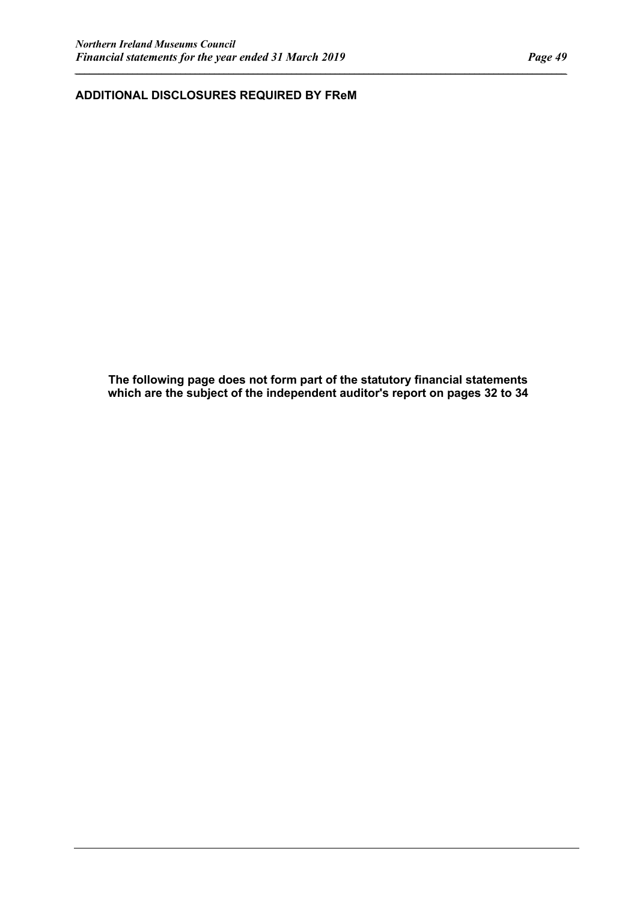**ADDITIONAL DISCLOSURES REQUIRED BY FReM**

**The following page does not form part of the statutory financial statements which are the subject of the independent auditor's report on pages 32 to 34**

*\_\_\_\_\_\_\_\_\_\_\_\_\_\_\_\_\_\_\_\_\_\_\_\_\_\_\_\_\_\_\_\_\_\_\_\_\_\_\_\_\_\_\_\_\_\_\_\_\_\_\_\_\_\_\_\_\_\_\_\_\_\_\_\_\_\_\_\_\_\_\_\_\_\_\_\_\_\_\_\_\_\_\_\_\_\_\_\_\_\_\_\_\_\_\_\_\_\_\_\_\_\_*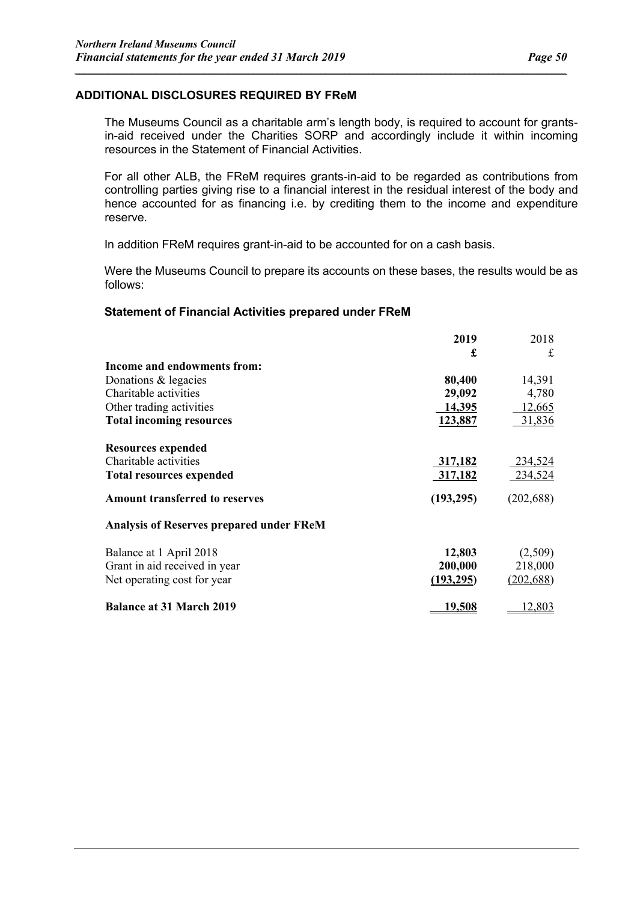#### **ADDITIONAL DISCLOSURES REQUIRED BY FReM**

The Museums Council as a charitable arm's length body, is required to account for grantsin-aid received under the Charities SORP and accordingly include it within incoming resources in the Statement of Financial Activities.

*\_\_\_\_\_\_\_\_\_\_\_\_\_\_\_\_\_\_\_\_\_\_\_\_\_\_\_\_\_\_\_\_\_\_\_\_\_\_\_\_\_\_\_\_\_\_\_\_\_\_\_\_\_\_\_\_\_\_\_\_\_\_\_\_\_\_\_\_\_\_\_\_\_\_\_\_\_\_\_\_\_\_\_\_\_\_\_\_\_\_\_\_\_\_\_\_\_\_\_\_\_\_*

For all other ALB, the FReM requires grants-in-aid to be regarded as contributions from controlling parties giving rise to a financial interest in the residual interest of the body and hence accounted for as financing i.e. by crediting them to the income and expenditure reserve.

In addition FReM requires grant-in-aid to be accounted for on a cash basis.

Were the Museums Council to prepare its accounts on these bases, the results would be as follows:

#### **Statement of Financial Activities prepared under FReM**

|                                                 | 2019          | 2018       |
|-------------------------------------------------|---------------|------------|
|                                                 | £             | £          |
| Income and endowments from:                     |               |            |
| Donations & legacies                            | 80,400        | 14,391     |
| Charitable activities                           | 29,092        | 4,780      |
| Other trading activities                        | 14,395        | 12,665     |
| <b>Total incoming resources</b>                 | 123,887       | 31,836     |
| <b>Resources expended</b>                       |               |            |
| Charitable activities                           | 317,182       | 234,524    |
| <b>Total resources expended</b>                 | 317,182       | 234,524    |
| <b>Amount transferred to reserves</b>           | (193,295)     | (202, 688) |
| <b>Analysis of Reserves prepared under FReM</b> |               |            |
| Balance at 1 April 2018                         | 12,803        | (2,509)    |
| Grant in aid received in year                   | 200,000       | 218,000    |
| Net operating cost for year                     | (193, 295)    | (202, 688) |
| <b>Balance at 31 March 2019</b>                 | <u>19,508</u> | 12,803     |